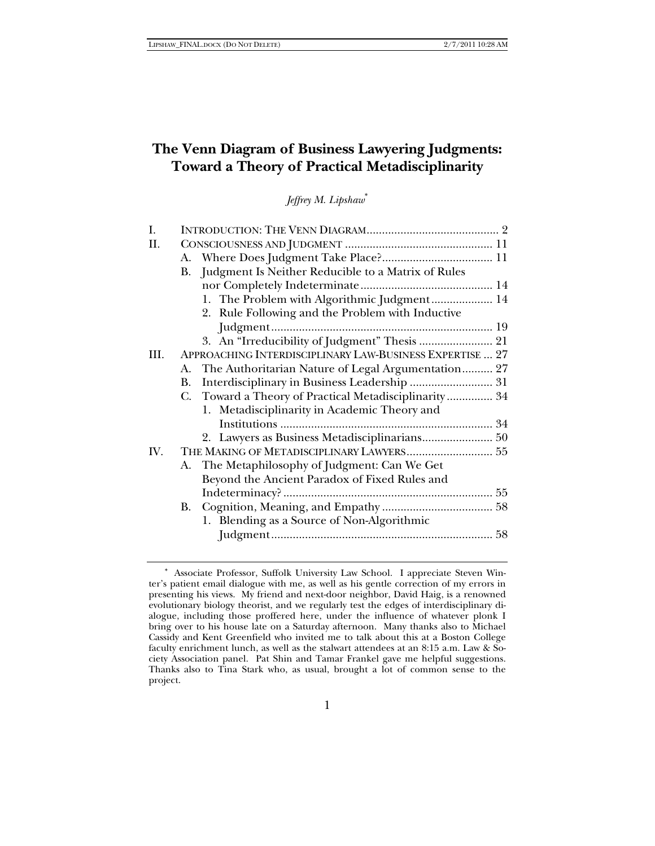# **The Venn Diagram of Business Lawyering Judgments: Toward a Theory of Practical Metadisciplinarity**

*Jeffrey M. Lipshaw*<sup>∗</sup>

| I.  |                                                          |                                                       |  |  |
|-----|----------------------------------------------------------|-------------------------------------------------------|--|--|
| П.  |                                                          |                                                       |  |  |
|     |                                                          |                                                       |  |  |
|     | Judgment Is Neither Reducible to a Matrix of Rules<br>В. |                                                       |  |  |
|     |                                                          |                                                       |  |  |
|     |                                                          | 1. The Problem with Algorithmic Judgment 14           |  |  |
|     |                                                          | 2. Rule Following and the Problem with Inductive      |  |  |
|     |                                                          |                                                       |  |  |
|     |                                                          | 3. An "Irreducibility of Judgment" Thesis  21         |  |  |
| Ш.  | APPROACHING INTERDISCIPLINARY LAW-BUSINESS EXPERTISE  27 |                                                       |  |  |
|     | А.                                                       | The Authoritarian Nature of Legal Argumentation 27    |  |  |
|     | В.                                                       |                                                       |  |  |
|     |                                                          | C. Toward a Theory of Practical Metadisciplinarity 34 |  |  |
|     |                                                          | 1. Metadisciplinarity in Academic Theory and          |  |  |
|     |                                                          |                                                       |  |  |
|     |                                                          |                                                       |  |  |
| IV. | THE MAKING OF METADISCIPLINARY LAWYERS 55                |                                                       |  |  |
|     |                                                          | A. The Metaphilosophy of Judgment: Can We Get         |  |  |
|     |                                                          | Beyond the Ancient Paradox of Fixed Rules and         |  |  |
|     |                                                          |                                                       |  |  |
|     | В.                                                       |                                                       |  |  |
|     |                                                          | 1. Blending as a Source of Non-Algorithmic            |  |  |
|     |                                                          |                                                       |  |  |
|     |                                                          |                                                       |  |  |

<sup>∗</sup> Associate Professor, Suffolk University Law School. I appreciate Steven Winter's patient email dialogue with me, as well as his gentle correction of my errors in presenting his views. My friend and next-door neighbor, David Haig, is a renowned evolutionary biology theorist, and we regularly test the edges of interdisciplinary dialogue, including those proffered here, under the influence of whatever plonk I bring over to his house late on a Saturday afternoon. Many thanks also to Michael Cassidy and Kent Greenfield who invited me to talk about this at a Boston College faculty enrichment lunch, as well as the stalwart attendees at an 8:15 a.m. Law & Society Association panel. Pat Shin and Tamar Frankel gave me helpful suggestions. Thanks also to Tina Stark who, as usual, brought a lot of common sense to the project.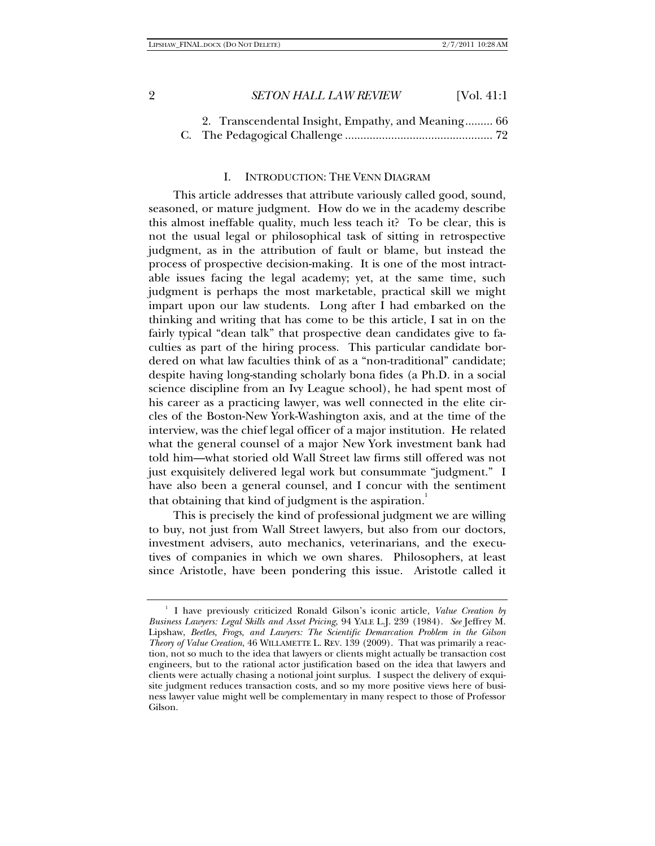| 2. Transcendental Insight, Empathy, and Meaning 66 |  |
|----------------------------------------------------|--|
|                                                    |  |

#### I. INTRODUCTION: THE VENN DIAGRAM

This article addresses that attribute variously called good, sound, seasoned, or mature judgment. How do we in the academy describe this almost ineffable quality, much less teach it? To be clear, this is not the usual legal or philosophical task of sitting in retrospective judgment, as in the attribution of fault or blame, but instead the process of prospective decision-making. It is one of the most intractable issues facing the legal academy; yet, at the same time, such judgment is perhaps the most marketable, practical skill we might impart upon our law students. Long after I had embarked on the thinking and writing that has come to be this article, I sat in on the fairly typical "dean talk" that prospective dean candidates give to faculties as part of the hiring process. This particular candidate bordered on what law faculties think of as a "non-traditional" candidate; despite having long-standing scholarly bona fides (a Ph.D. in a social science discipline from an Ivy League school), he had spent most of his career as a practicing lawyer, was well connected in the elite circles of the Boston-New York-Washington axis, and at the time of the interview, was the chief legal officer of a major institution. He related what the general counsel of a major New York investment bank had told him—what storied old Wall Street law firms still offered was not just exquisitely delivered legal work but consummate "judgment." I have also been a general counsel, and I concur with the sentiment that obtaining that kind of judgment is the aspiration.<sup>1</sup>

This is precisely the kind of professional judgment we are willing to buy, not just from Wall Street lawyers, but also from our doctors, investment advisers, auto mechanics, veterinarians, and the executives of companies in which we own shares. Philosophers, at least since Aristotle, have been pondering this issue. Aristotle called it

<sup>&</sup>lt;sup>1</sup> I have previously criticized Ronald Gilson's iconic article, *Value Creation by Business Lawyers: Legal Skills and Asset Pricing*, 94 YALE L.J. 239 (1984). *See* Jeffrey M. Lipshaw, *Beetles, Frogs, and Lawyers: The Scientific Demarcation Problem in the Gilson Theory of Value Creation*, 46 WILLAMETTE L. REV. 139 (2009). That was primarily a reaction, not so much to the idea that lawyers or clients might actually be transaction cost engineers, but to the rational actor justification based on the idea that lawyers and clients were actually chasing a notional joint surplus. I suspect the delivery of exquisite judgment reduces transaction costs, and so my more positive views here of business lawyer value might well be complementary in many respect to those of Professor Gilson.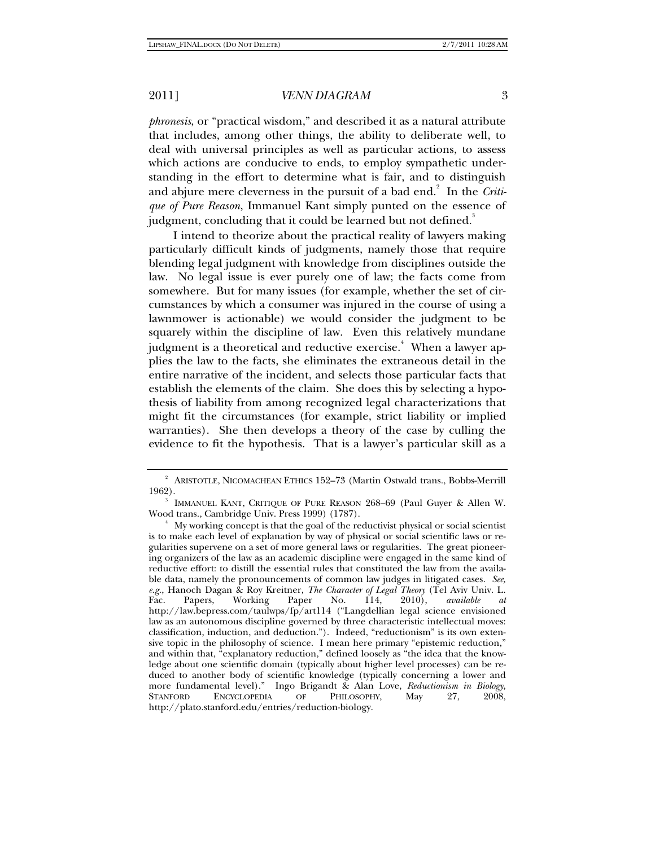*phronesis*, or "practical wisdom," and described it as a natural attribute that includes, among other things, the ability to deliberate well, to deal with universal principles as well as particular actions, to assess which actions are conducive to ends, to employ sympathetic understanding in the effort to determine what is fair, and to distinguish and abjure mere cleverness in the pursuit of a bad end.<sup>2</sup> In the *Critique of Pure Reason*, Immanuel Kant simply punted on the essence of judgment, concluding that it could be learned but not defined.<sup>3</sup>

I intend to theorize about the practical reality of lawyers making particularly difficult kinds of judgments, namely those that require blending legal judgment with knowledge from disciplines outside the law. No legal issue is ever purely one of law; the facts come from somewhere. But for many issues (for example, whether the set of circumstances by which a consumer was injured in the course of using a lawnmower is actionable) we would consider the judgment to be squarely within the discipline of law. Even this relatively mundane judgment is a theoretical and reductive exercise. $\overset{4}{\cdot}$  When a lawyer applies the law to the facts, she eliminates the extraneous detail in the entire narrative of the incident, and selects those particular facts that establish the elements of the claim. She does this by selecting a hypothesis of liability from among recognized legal characterizations that might fit the circumstances (for example, strict liability or implied warranties). She then develops a theory of the case by culling the evidence to fit the hypothesis. That is a lawyer's particular skill as a

<sup>2</sup> ARISTOTLE, NICOMACHEAN ETHICS 152–73 (Martin Ostwald trans., Bobbs-Merrill 1962).

IMMANUEL KANT, CRITIQUE OF PURE REASON 268–69 (Paul Guyer & Allen W. Wood trans., Cambridge Univ. Press 1999) (1787). 4

My working concept is that the goal of the reductivist physical or social scientist is to make each level of explanation by way of physical or social scientific laws or regularities supervene on a set of more general laws or regularities. The great pioneering organizers of the law as an academic discipline were engaged in the same kind of reductive effort: to distill the essential rules that constituted the law from the available data, namely the pronouncements of common law judges in litigated cases. *See, e.g.*, Hanoch Dagan & Roy Kreitner, *The Character of Legal Theory* (Tel Aviv Univ. L. Fac. Papers, Working Paper No. 114, 2010), *available at* http://law.bepress.com/taulwps/fp/art114 ("Langdellian legal science envisioned law as an autonomous discipline governed by three characteristic intellectual moves: classification, induction, and deduction."). Indeed, "reductionism" is its own extensive topic in the philosophy of science. I mean here primary "epistemic reduction," and within that, "explanatory reduction," defined loosely as "the idea that the knowledge about one scientific domain (typically about higher level processes) can be reduced to another body of scientific knowledge (typically concerning a lower and more fundamental level)." Ingo Brigandt & Alan Love, *Reductionism in Biology*, STANFORD ENCYCLOPEDIA OF PHILOSOPHY, May 27, 2008, http://plato.stanford.edu/entries/reduction-biology.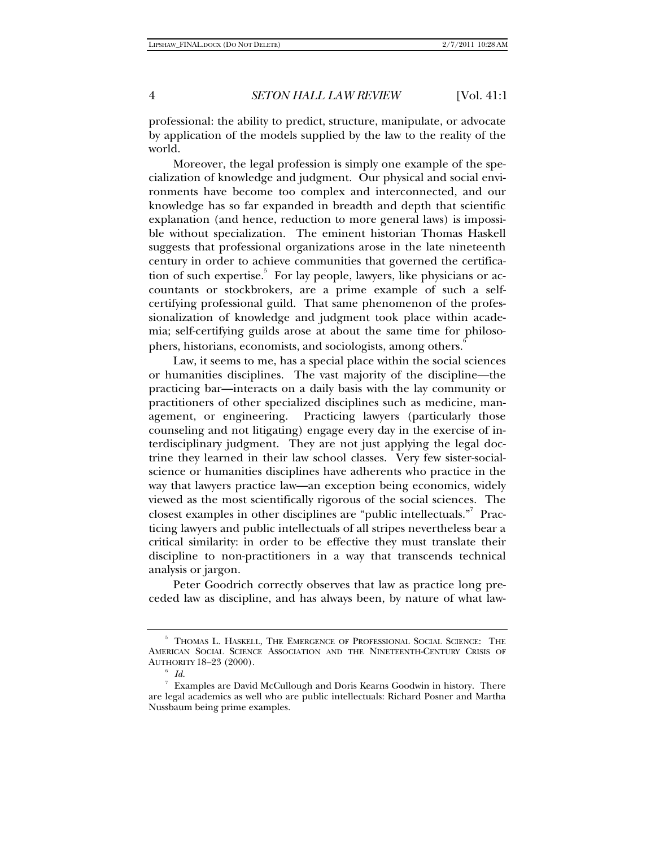professional: the ability to predict, structure, manipulate, or advocate by application of the models supplied by the law to the reality of the world.

Moreover, the legal profession is simply one example of the specialization of knowledge and judgment. Our physical and social environments have become too complex and interconnected, and our knowledge has so far expanded in breadth and depth that scientific explanation (and hence, reduction to more general laws) is impossible without specialization. The eminent historian Thomas Haskell suggests that professional organizations arose in the late nineteenth century in order to achieve communities that governed the certification of such expertise.<sup>5</sup> For lay people, lawyers, like physicians or accountants or stockbrokers, are a prime example of such a selfcertifying professional guild. That same phenomenon of the professionalization of knowledge and judgment took place within academia; self-certifying guilds arose at about the same time for philosophers, historians, economists, and sociologists, among others.<sup>6</sup>

Law, it seems to me, has a special place within the social sciences or humanities disciplines. The vast majority of the discipline—the practicing bar—interacts on a daily basis with the lay community or practitioners of other specialized disciplines such as medicine, management, or engineering. Practicing lawyers (particularly those counseling and not litigating) engage every day in the exercise of interdisciplinary judgment. They are not just applying the legal doctrine they learned in their law school classes. Very few sister-socialscience or humanities disciplines have adherents who practice in the way that lawyers practice law—an exception being economics, widely viewed as the most scientifically rigorous of the social sciences. The closest examples in other disciplines are "public intellectuals."<sup>7</sup> Practicing lawyers and public intellectuals of all stripes nevertheless bear a critical similarity: in order to be effective they must translate their discipline to non-practitioners in a way that transcends technical analysis or jargon.

Peter Goodrich correctly observes that law as practice long preceded law as discipline, and has always been, by nature of what law-

<sup>&</sup>lt;sup>5</sup> THOMAS L. HASKELL, THE EMERGENCE OF PROFESSIONAL SOCIAL SCIENCE: THE AMERICAN SOCIAL SCIENCE ASSOCIATION AND THE NINETEENTH-CENTURY CRISIS OF AUTHORITY 18-23 (2000).

 $^{\circ}$  *Id.*<br> $^{\circ}$  Examples are David McCullough and Doris Kearns Goodwin in history. There are legal academics as well who are public intellectuals: Richard Posner and Martha Nussbaum being prime examples.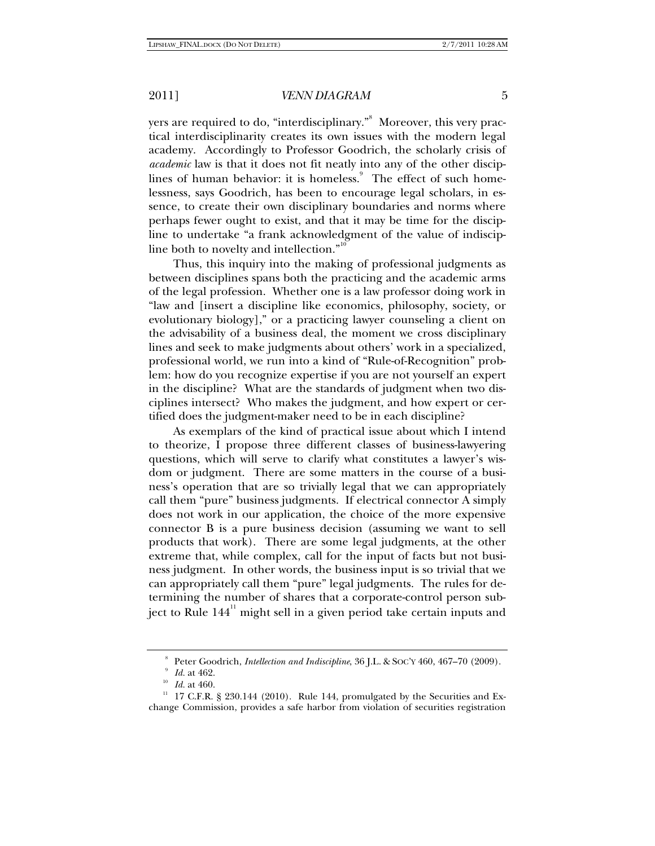yers are required to do, "interdisciplinary." Moreover, this very practical interdisciplinarity creates its own issues with the modern legal academy. Accordingly to Professor Goodrich, the scholarly crisis of *academic* law is that it does not fit neatly into any of the other disciplines of human behavior: it is homeless.<sup>9</sup> The effect of such homelessness, says Goodrich, has been to encourage legal scholars, in essence, to create their own disciplinary boundaries and norms where perhaps fewer ought to exist, and that it may be time for the discipline to undertake "a frank acknowledgment of the value of indiscipline both to novelty and intellection."<sup>10</sup>

Thus, this inquiry into the making of professional judgments as between disciplines spans both the practicing and the academic arms of the legal profession. Whether one is a law professor doing work in "law and [insert a discipline like economics, philosophy, society, or evolutionary biology]," or a practicing lawyer counseling a client on the advisability of a business deal, the moment we cross disciplinary lines and seek to make judgments about others' work in a specialized, professional world, we run into a kind of "Rule-of-Recognition" problem: how do you recognize expertise if you are not yourself an expert in the discipline? What are the standards of judgment when two disciplines intersect? Who makes the judgment, and how expert or certified does the judgment-maker need to be in each discipline?

As exemplars of the kind of practical issue about which I intend to theorize, I propose three different classes of business-lawyering questions, which will serve to clarify what constitutes a lawyer's wisdom or judgment. There are some matters in the course of a business's operation that are so trivially legal that we can appropriately call them "pure" business judgments. If electrical connector A simply does not work in our application, the choice of the more expensive connector B is a pure business decision (assuming we want to sell products that work). There are some legal judgments, at the other extreme that, while complex, call for the input of facts but not business judgment. In other words, the business input is so trivial that we can appropriately call them "pure" legal judgments. The rules for determining the number of shares that a corporate-control person subject to Rule  $144<sup>11</sup>$  might sell in a given period take certain inputs and

<sup>8</sup> Peter Goodrich, *Intellection and Indiscipline*, 36 J.L. & Soc'y 460, 467-70 (2009). *Id.* at 462.

<sup>&</sup>lt;sup>10</sup> *Id.* at 460. 11 17 C.F.R. § 230.144 (2010). Rule 144, promulgated by the Securities and Exchange Commission, provides a safe harbor from violation of securities registration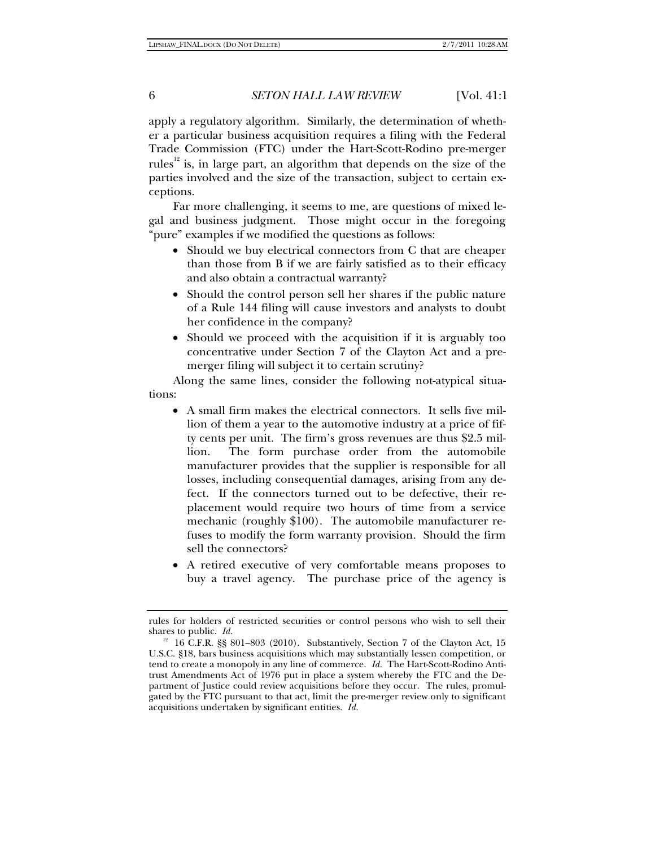apply a regulatory algorithm. Similarly, the determination of whether a particular business acquisition requires a filing with the Federal Trade Commission (FTC) under the Hart-Scott-Rodino pre-merger rules<sup> $12$ </sup> is, in large part, an algorithm that depends on the size of the parties involved and the size of the transaction, subject to certain exceptions.

Far more challenging, it seems to me, are questions of mixed legal and business judgment. Those might occur in the foregoing "pure" examples if we modified the questions as follows:

- Should we buy electrical connectors from C that are cheaper than those from B if we are fairly satisfied as to their efficacy and also obtain a contractual warranty?
- Should the control person sell her shares if the public nature of a Rule 144 filing will cause investors and analysts to doubt her confidence in the company?
- Should we proceed with the acquisition if it is arguably too concentrative under Section 7 of the Clayton Act and a premerger filing will subject it to certain scrutiny?

Along the same lines, consider the following not-atypical situations:

- A small firm makes the electrical connectors. It sells five million of them a year to the automotive industry at a price of fifty cents per unit. The firm's gross revenues are thus \$2.5 million. The form purchase order from the automobile manufacturer provides that the supplier is responsible for all losses, including consequential damages, arising from any defect. If the connectors turned out to be defective, their replacement would require two hours of time from a service mechanic (roughly \$100). The automobile manufacturer refuses to modify the form warranty provision. Should the firm sell the connectors?
- A retired executive of very comfortable means proposes to buy a travel agency. The purchase price of the agency is

rules for holders of restricted securities or control persons who wish to sell their shares to public. *Id.* 

 $12$  16 C.F.R. §§ 801–803 (2010). Substantively, Section 7 of the Clayton Act, 15 U.S.C. §18, bars business acquisitions which may substantially lessen competition, or tend to create a monopoly in any line of commerce. *Id.* The Hart-Scott-Rodino Antitrust Amendments Act of 1976 put in place a system whereby the FTC and the Department of Justice could review acquisitions before they occur. The rules, promulgated by the FTC pursuant to that act, limit the pre-merger review only to significant acquisitions undertaken by significant entities. *Id.*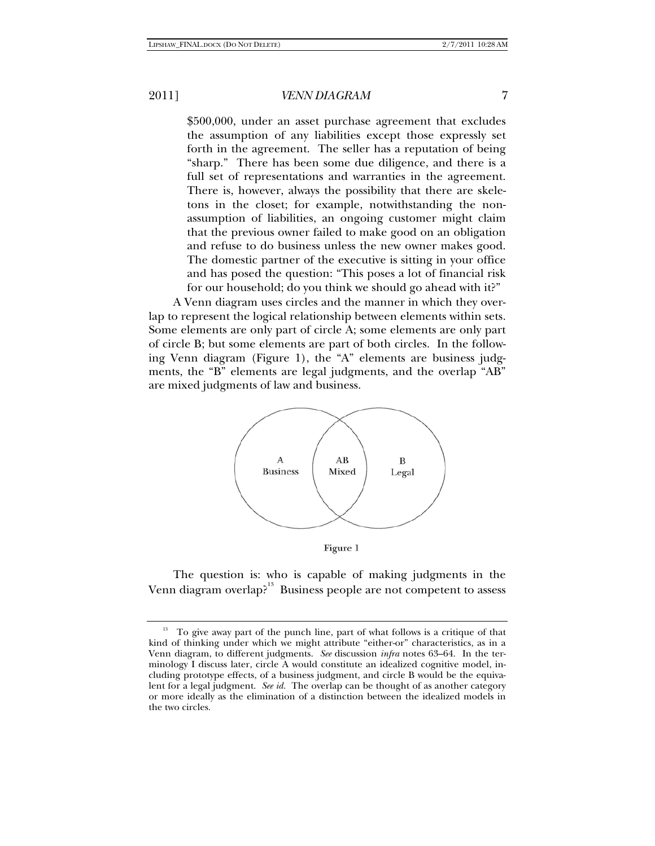\$500,000, under an asset purchase agreement that excludes the assumption of any liabilities except those expressly set forth in the agreement. The seller has a reputation of being "sharp." There has been some due diligence, and there is a full set of representations and warranties in the agreement. There is, however, always the possibility that there are skeletons in the closet; for example, notwithstanding the nonassumption of liabilities, an ongoing customer might claim that the previous owner failed to make good on an obligation and refuse to do business unless the new owner makes good. The domestic partner of the executive is sitting in your office and has posed the question: "This poses a lot of financial risk for our household; do you think we should go ahead with it?"

A Venn diagram uses circles and the manner in which they overlap to represent the logical relationship between elements within sets. Some elements are only part of circle A; some elements are only part of circle B; but some elements are part of both circles. In the following Venn diagram (Figure 1), the "A" elements are business judgments, the "B" elements are legal judgments, and the overlap "AB" are mixed judgments of law and business.



Figure 1

The question is: who is capable of making judgments in the Venn diagram overlap?<sup>13</sup> Business people are not competent to assess

<sup>&</sup>lt;sup>13</sup> To give away part of the punch line, part of what follows is a critique of that kind of thinking under which we might attribute "either-or" characteristics, as in a Venn diagram, to different judgments. *See* discussion *infra* notes 63–64. In the terminology I discuss later, circle A would constitute an idealized cognitive model, including prototype effects, of a business judgment, and circle B would be the equivalent for a legal judgment. *See id.* The overlap can be thought of as another category or more ideally as the elimination of a distinction between the idealized models in the two circles.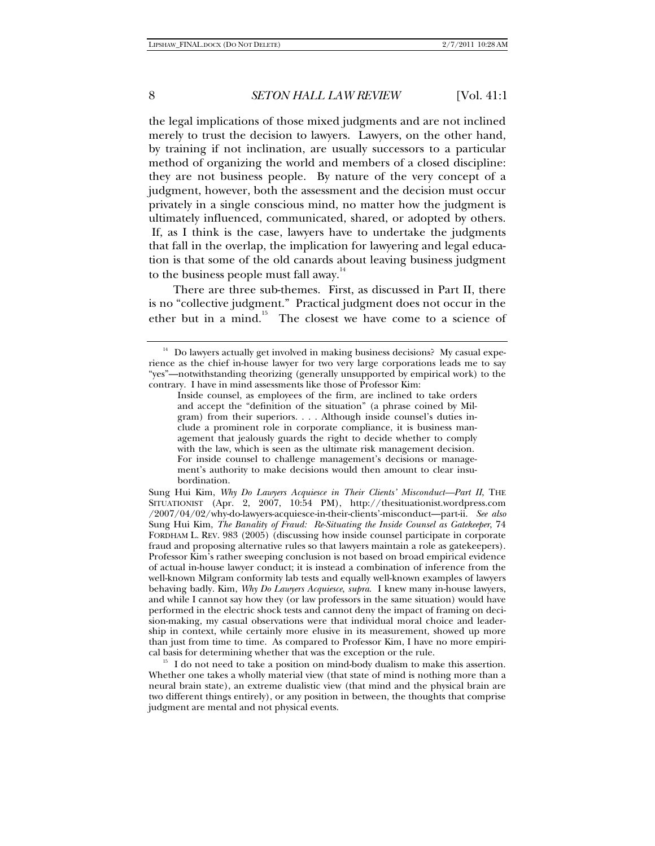the legal implications of those mixed judgments and are not inclined merely to trust the decision to lawyers. Lawyers, on the other hand, by training if not inclination, are usually successors to a particular method of organizing the world and members of a closed discipline: they are not business people. By nature of the very concept of a judgment, however, both the assessment and the decision must occur privately in a single conscious mind, no matter how the judgment is ultimately influenced, communicated, shared, or adopted by others. If, as I think is the case, lawyers have to undertake the judgments that fall in the overlap, the implication for lawyering and legal education is that some of the old canards about leaving business judgment to the business people must fall away.<sup>14</sup>

There are three sub-themes. First, as discussed in Part II, there is no "collective judgment." Practical judgment does not occur in the ether but in a mind.<sup>15</sup> The closest we have come to a science of

Sung Hui Kim, *Why Do Lawyers Acquiesce in Their Clients' Misconduct—Part II*, THE SITUATIONIST (Apr. 2, 2007, 10:54 PM), http://thesituationist.wordpress.com /2007/04/02/why-do-lawyers-acquiesce-in-their-clients'-misconduct--part-ii. See also Sung Hui Kim, *The Banality of Fraud: Re-Situating the Inside Counsel as Gatekeeper*, 74 FORDHAM L. REV. 983 (2005) (discussing how inside counsel participate in corporate fraud and proposing alternative rules so that lawyers maintain a role as gatekeepers). Professor Kim's rather sweeping conclusion is not based on broad empirical evidence of actual in-house lawyer conduct; it is instead a combination of inference from the well-known Milgram conformity lab tests and equally well-known examples of lawyers behaving badly. Kim, *Why Do Lawyers Acquiesce*, *supra*. I knew many in-house lawyers, and while I cannot say how they (or law professors in the same situation) would have performed in the electric shock tests and cannot deny the impact of framing on decision-making, my casual observations were that individual moral choice and leadership in context, while certainly more elusive in its measurement, showed up more than just from time to time. As compared to Professor Kim, I have no more empirical basis for determining whether that was the exception or the rule. 15 I do not need to take a position on mind-body dualism to make this assertion.

Whether one takes a wholly material view (that state of mind is nothing more than a neural brain state), an extreme dualistic view (that mind and the physical brain are two different things entirely), or any position in between, the thoughts that comprise judgment are mental and not physical events.

 $14$  Do lawyers actually get involved in making business decisions? My casual experience as the chief in-house lawyer for two very large corporations leads me to say "yes"—notwithstanding theorizing (generally unsupported by empirical work) to the contrary. I have in mind assessments like those of Professor Kim:

Inside counsel, as employees of the firm, are inclined to take orders and accept the "definition of the situation" (a phrase coined by Milgram) from their superiors. . . . Although inside counsel's duties include a prominent role in corporate compliance, it is business management that jealously guards the right to decide whether to comply with the law, which is seen as the ultimate risk management decision. For inside counsel to challenge management's decisions or management's authority to make decisions would then amount to clear insubordination.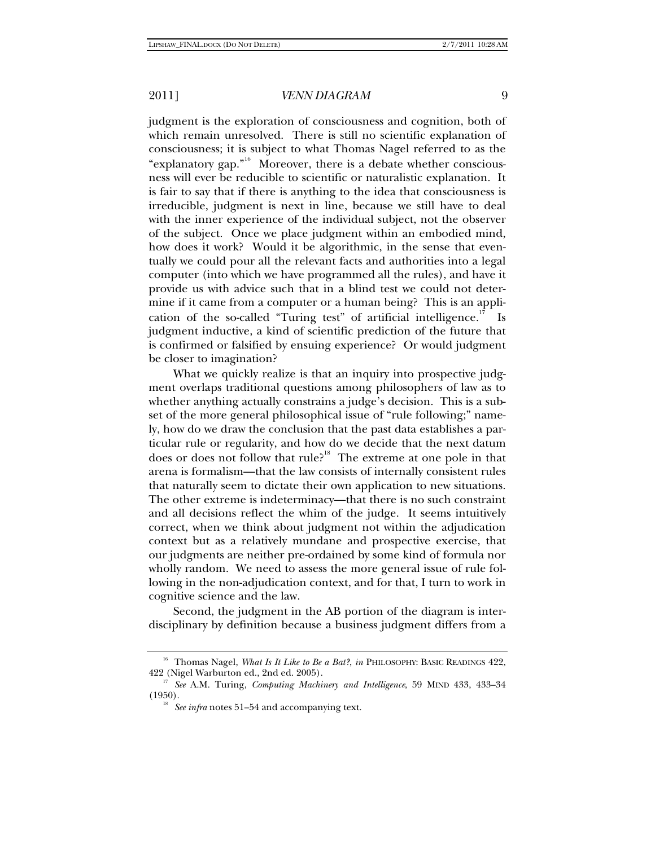judgment is the exploration of consciousness and cognition, both of which remain unresolved. There is still no scientific explanation of consciousness; it is subject to what Thomas Nagel referred to as the "explanatory gap."<sup>16</sup> Moreover, there is a debate whether consciousness will ever be reducible to scientific or naturalistic explanation. It is fair to say that if there is anything to the idea that consciousness is irreducible, judgment is next in line, because we still have to deal with the inner experience of the individual subject, not the observer of the subject. Once we place judgment within an embodied mind, how does it work? Would it be algorithmic, in the sense that eventually we could pour all the relevant facts and authorities into a legal computer (into which we have programmed all the rules), and have it provide us with advice such that in a blind test we could not determine if it came from a computer or a human being? This is an application of the so-called "Turing test" of artificial intelligence. $\frac{17}{15}$  Is judgment inductive, a kind of scientific prediction of the future that is confirmed or falsified by ensuing experience? Or would judgment be closer to imagination?

What we quickly realize is that an inquiry into prospective judgment overlaps traditional questions among philosophers of law as to whether anything actually constrains a judge's decision. This is a subset of the more general philosophical issue of "rule following;" namely, how do we draw the conclusion that the past data establishes a particular rule or regularity, and how do we decide that the next datum does or does not follow that rule?<sup>18</sup> The extreme at one pole in that arena is formalism—that the law consists of internally consistent rules that naturally seem to dictate their own application to new situations. The other extreme is indeterminacy—that there is no such constraint and all decisions reflect the whim of the judge. It seems intuitively correct, when we think about judgment not within the adjudication context but as a relatively mundane and prospective exercise, that our judgments are neither pre-ordained by some kind of formula nor wholly random. We need to assess the more general issue of rule following in the non-adjudication context, and for that, I turn to work in cognitive science and the law.

Second, the judgment in the AB portion of the diagram is interdisciplinary by definition because a business judgment differs from a

<sup>&</sup>lt;sup>16</sup> Thomas Nagel, *What Is It Like to Be a Bat?*, *in* PHILOSOPHY: BASIC READINGS 422,

<sup>422 (</sup>Nigel Warburton ed., 2nd ed. 2005). 17 *See* A.M. Turing, *Computing Machinery and Intelligence*, 59 MIND 433, 433–34  $(1950)$ .<br><sup>18</sup> *See infra* notes 51–54 and accompanying text.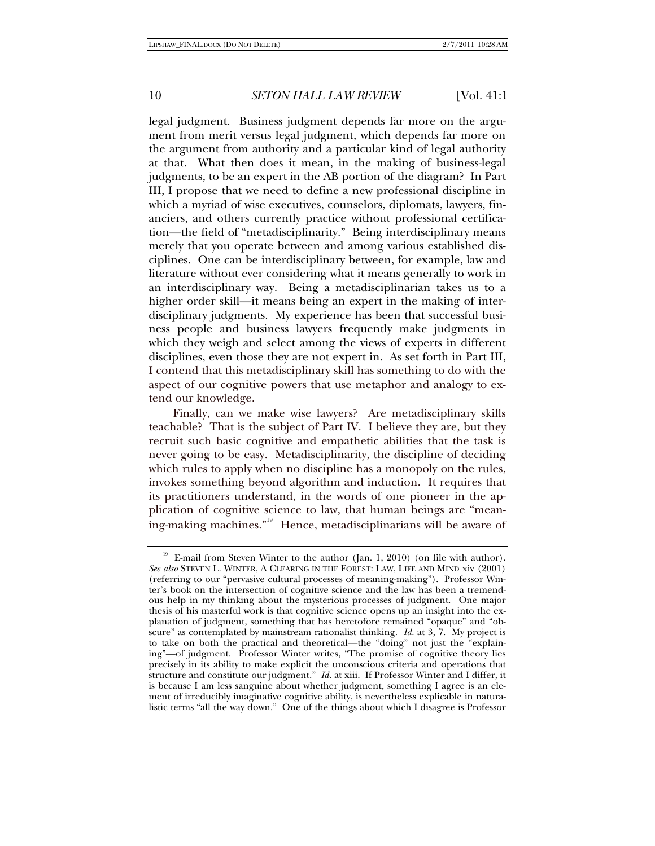legal judgment. Business judgment depends far more on the argument from merit versus legal judgment, which depends far more on the argument from authority and a particular kind of legal authority at that. What then does it mean, in the making of business-legal judgments, to be an expert in the AB portion of the diagram? In Part III, I propose that we need to define a new professional discipline in which a myriad of wise executives, counselors, diplomats, lawyers, financiers, and others currently practice without professional certification—the field of "metadisciplinarity." Being interdisciplinary means merely that you operate between and among various established disciplines. One can be interdisciplinary between, for example, law and literature without ever considering what it means generally to work in an interdisciplinary way. Being a metadisciplinarian takes us to a higher order skill—it means being an expert in the making of interdisciplinary judgments. My experience has been that successful business people and business lawyers frequently make judgments in which they weigh and select among the views of experts in different disciplines, even those they are not expert in. As set forth in Part III, I contend that this metadisciplinary skill has something to do with the aspect of our cognitive powers that use metaphor and analogy to extend our knowledge.

Finally, can we make wise lawyers? Are metadisciplinary skills teachable? That is the subject of Part IV. I believe they are, but they recruit such basic cognitive and empathetic abilities that the task is never going to be easy. Metadisciplinarity, the discipline of deciding which rules to apply when no discipline has a monopoly on the rules, invokes something beyond algorithm and induction. It requires that its practitioners understand, in the words of one pioneer in the application of cognitive science to law, that human beings are "meaning-making machines."19 Hence, metadisciplinarians will be aware of

<sup>&</sup>lt;sup>19</sup> E-mail from Steven Winter to the author (Jan. 1, 2010) (on file with author). *See also* STEVEN L. WINTER, A CLEARING IN THE FOREST: LAW, LIFE AND MIND xiv (2001) (referring to our "pervasive cultural processes of meaning-making"). Professor Winter's book on the intersection of cognitive science and the law has been a tremendous help in my thinking about the mysterious processes of judgment. One major thesis of his masterful work is that cognitive science opens up an insight into the explanation of judgment, something that has heretofore remained "opaque" and "obscure" as contemplated by mainstream rationalist thinking. *Id.* at 3, 7. My project is to take on both the practical and theoretical—the "doing" not just the "explaining"—of judgment. Professor Winter writes, "The promise of cognitive theory lies precisely in its ability to make explicit the unconscious criteria and operations that structure and constitute our judgment." *Id.* at xiii. If Professor Winter and I differ, it is because I am less sanguine about whether judgment, something I agree is an element of irreducibly imaginative cognitive ability, is nevertheless explicable in naturalistic terms "all the way down." One of the things about which I disagree is Professor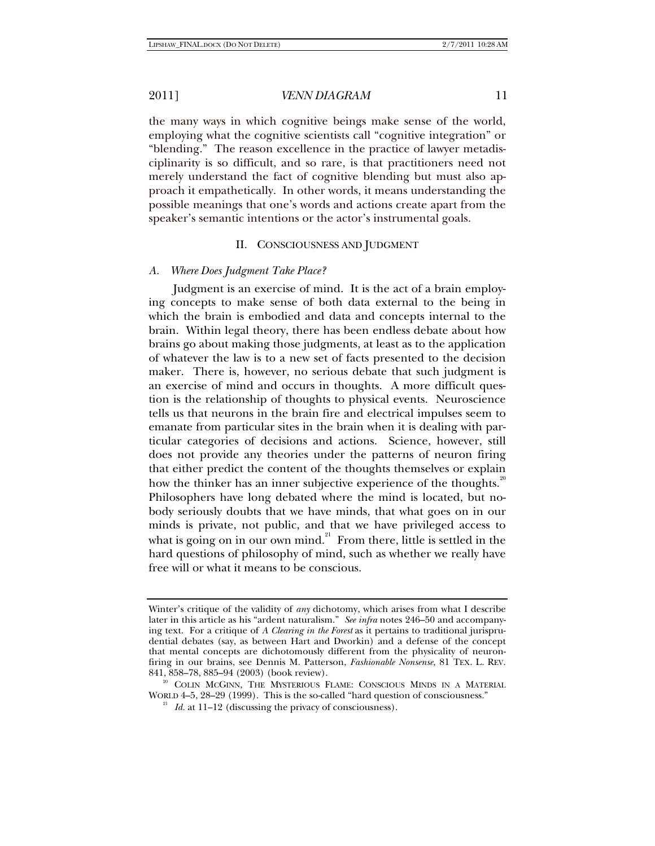the many ways in which cognitive beings make sense of the world, employing what the cognitive scientists call "cognitive integration" or "blending." The reason excellence in the practice of lawyer metadisciplinarity is so difficult, and so rare, is that practitioners need not merely understand the fact of cognitive blending but must also approach it empathetically. In other words, it means understanding the possible meanings that one's words and actions create apart from the speaker's semantic intentions or the actor's instrumental goals.

#### II. CONSCIOUSNESS AND JUDGMENT

#### *A. Where Does Judgment Take Place?*

Judgment is an exercise of mind. It is the act of a brain employing concepts to make sense of both data external to the being in which the brain is embodied and data and concepts internal to the brain. Within legal theory, there has been endless debate about how brains go about making those judgments, at least as to the application of whatever the law is to a new set of facts presented to the decision maker. There is, however, no serious debate that such judgment is an exercise of mind and occurs in thoughts. A more difficult question is the relationship of thoughts to physical events. Neuroscience tells us that neurons in the brain fire and electrical impulses seem to emanate from particular sites in the brain when it is dealing with particular categories of decisions and actions. Science, however, still does not provide any theories under the patterns of neuron firing that either predict the content of the thoughts themselves or explain how the thinker has an inner subjective experience of the thoughts.<sup>20</sup> Philosophers have long debated where the mind is located, but nobody seriously doubts that we have minds, that what goes on in our minds is private, not public, and that we have privileged access to what is going on in our own mind.<sup>21</sup> From there, little is settled in the hard questions of philosophy of mind, such as whether we really have free will or what it means to be conscious.

Winter's critique of the validity of *any* dichotomy, which arises from what I describe later in this article as his "ardent naturalism." *See infra* notes 246–50 and accompanying text. For a critique of *A Clearing in the Forest* as it pertains to traditional jurisprudential debates (say, as between Hart and Dworkin) and a defense of the concept that mental concepts are dichotomously different from the physicality of neuronfiring in our brains, see Dennis M. Patterson, *Fashionable Nonsense*, 81 TEX. L. REV. 841, 858–78, 885–94 (2003) (book review).<br><sup>20</sup> COLIN McGINN, THE MYSTERIOUS FLAME: CONSCIOUS MINDS IN A MATERIAL

WORLD 4–5, 28–29 (1999). This is the so-called "hard question of consciousness." 21 *Id.* at 11–12 (discussing the privacy of consciousness).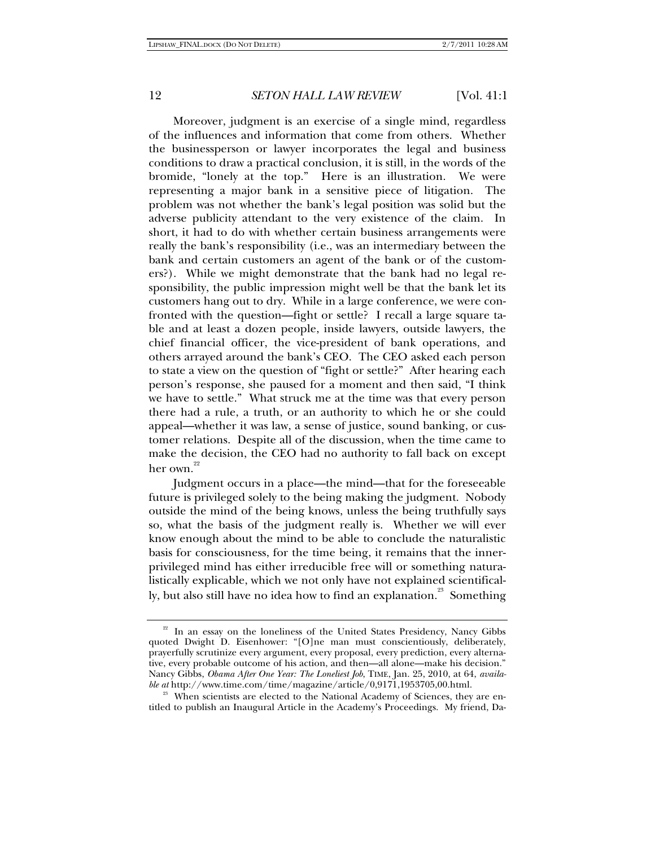Moreover, judgment is an exercise of a single mind, regardless of the influences and information that come from others. Whether the businessperson or lawyer incorporates the legal and business conditions to draw a practical conclusion, it is still, in the words of the bromide, "lonely at the top." Here is an illustration. We were representing a major bank in a sensitive piece of litigation. The problem was not whether the bank's legal position was solid but the adverse publicity attendant to the very existence of the claim. In short, it had to do with whether certain business arrangements were really the bank's responsibility (i.e., was an intermediary between the bank and certain customers an agent of the bank or of the customers?). While we might demonstrate that the bank had no legal responsibility, the public impression might well be that the bank let its customers hang out to dry. While in a large conference, we were confronted with the question—fight or settle? I recall a large square table and at least a dozen people, inside lawyers, outside lawyers, the chief financial officer, the vice-president of bank operations, and others arrayed around the bank's CEO. The CEO asked each person to state a view on the question of "fight or settle?" After hearing each person's response, she paused for a moment and then said, "I think we have to settle." What struck me at the time was that every person there had a rule, a truth, or an authority to which he or she could appeal—whether it was law, a sense of justice, sound banking, or customer relations. Despite all of the discussion, when the time came to make the decision, the CEO had no authority to fall back on except her own.<sup>22</sup>

Judgment occurs in a place—the mind—that for the foreseeable future is privileged solely to the being making the judgment. Nobody outside the mind of the being knows, unless the being truthfully says so, what the basis of the judgment really is. Whether we will ever know enough about the mind to be able to conclude the naturalistic basis for consciousness, for the time being, it remains that the innerprivileged mind has either irreducible free will or something naturalistically explicable, which we not only have not explained scientifically, but also still have no idea how to find an explanation.<sup>23</sup> Something

<sup>&</sup>lt;sup>22</sup> In an essay on the loneliness of the United States Presidency, Nancy Gibbs quoted Dwight D. Eisenhower: "[O]ne man must conscientiously, deliberately, prayerfully scrutinize every argument, every proposal, every prediction, every alternative, every probable outcome of his action, and then—all alone—make his decision." Nancy Gibbs, *Obama After One Year: The Loneliest Job*, TIME, Jan. 25, 2010, at 64, *available at* http://www.time.com/time/magazine/article/0,9171,1953705,00.html.<br><sup>23</sup> When scientists are elected to the National Academy of Sciences, they are en-

titled to publish an Inaugural Article in the Academy's Proceedings. My friend, Da-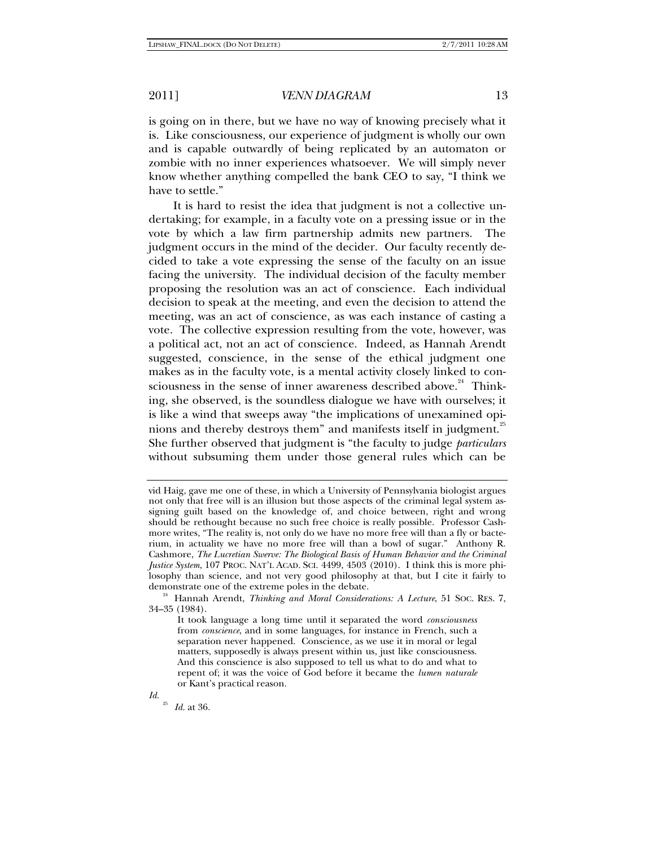is going on in there, but we have no way of knowing precisely what it is. Like consciousness, our experience of judgment is wholly our own and is capable outwardly of being replicated by an automaton or zombie with no inner experiences whatsoever. We will simply never know whether anything compelled the bank CEO to say, "I think we have to settle."

It is hard to resist the idea that judgment is not a collective undertaking; for example, in a faculty vote on a pressing issue or in the vote by which a law firm partnership admits new partners. The judgment occurs in the mind of the decider. Our faculty recently decided to take a vote expressing the sense of the faculty on an issue facing the university. The individual decision of the faculty member proposing the resolution was an act of conscience. Each individual decision to speak at the meeting, and even the decision to attend the meeting, was an act of conscience, as was each instance of casting a vote. The collective expression resulting from the vote, however, was a political act, not an act of conscience. Indeed, as Hannah Arendt suggested, conscience, in the sense of the ethical judgment one makes as in the faculty vote, is a mental activity closely linked to consciousness in the sense of inner awareness described above. $24$  Thinking, she observed, is the soundless dialogue we have with ourselves; it is like a wind that sweeps away "the implications of unexamined opinions and thereby destroys them" and manifests itself in judgment.<sup>25</sup> She further observed that judgment is "the faculty to judge *particulars* without subsuming them under those general rules which can be

<sup>25</sup> *Id.* at 36.

*Id.*

vid Haig, gave me one of these, in which a University of Pennsylvania biologist argues not only that free will is an illusion but those aspects of the criminal legal system assigning guilt based on the knowledge of, and choice between, right and wrong should be rethought because no such free choice is really possible. Professor Cashmore writes, "The reality is, not only do we have no more free will than a fly or bacterium, in actuality we have no more free will than a bowl of sugar." Anthony R. Cashmore, *The Lucretian Swerve: The Biological Basis of Human Behavior and the Criminal Justice System*, 107 PROC. NAT'L ACAD. SCI. 4499, 4503 (2010). I think this is more philosophy than science, and not very good philosophy at that, but I cite it fairly to demonstrate one of the extreme poles in the debate.

<sup>&</sup>lt;sup>24</sup> Hannah Arendt, *Thinking and Moral Considerations: A Lecture*, 51 SOC. RES. 7, 34–35 (1984).

It took language a long time until it separated the word *consciousness* from *conscience*, and in some languages, for instance in French, such a separation never happened. Conscience, as we use it in moral or legal matters, supposedly is always present within us, just like consciousness. And this conscience is also supposed to tell us what to do and what to repent of; it was the voice of God before it became the *lumen naturale* or Kant's practical reason.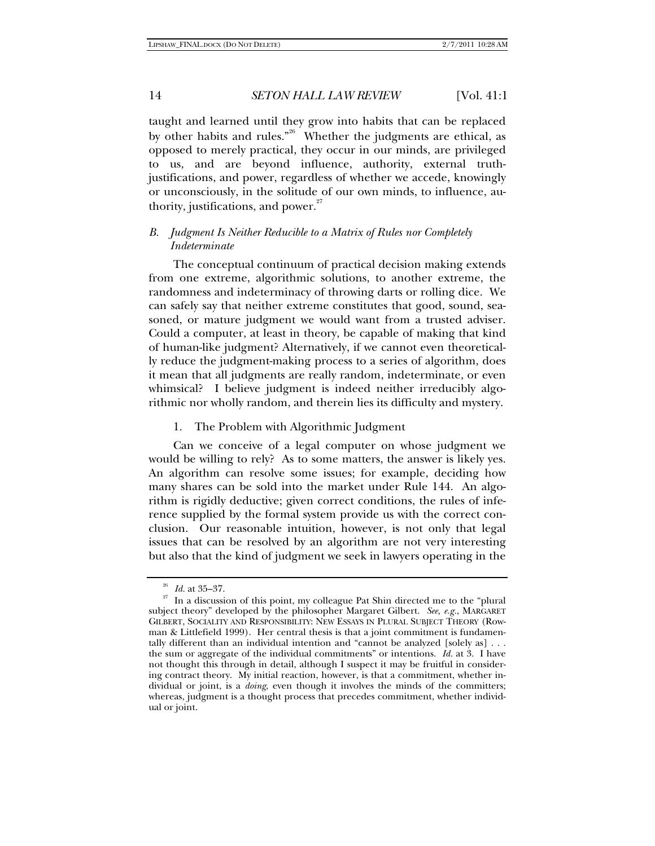taught and learned until they grow into habits that can be replaced by other habits and rules."<sup>26</sup> Whether the judgments are ethical, as opposed to merely practical, they occur in our minds, are privileged to us, and are beyond influence, authority, external truthjustifications, and power, regardless of whether we accede, knowingly or unconsciously, in the solitude of our own minds, to influence, authority, justifications, and power. $27$ 

## *B. Judgment Is Neither Reducible to a Matrix of Rules nor Completely Indeterminate*

The conceptual continuum of practical decision making extends from one extreme, algorithmic solutions, to another extreme, the randomness and indeterminacy of throwing darts or rolling dice. We can safely say that neither extreme constitutes that good, sound, seasoned, or mature judgment we would want from a trusted adviser. Could a computer, at least in theory, be capable of making that kind of human-like judgment? Alternatively, if we cannot even theoretically reduce the judgment-making process to a series of algorithm, does it mean that all judgments are really random, indeterminate, or even whimsical? I believe judgment is indeed neither irreducibly algorithmic nor wholly random, and therein lies its difficulty and mystery.

#### 1. The Problem with Algorithmic Judgment

Can we conceive of a legal computer on whose judgment we would be willing to rely? As to some matters, the answer is likely yes. An algorithm can resolve some issues; for example, deciding how many shares can be sold into the market under Rule 144. An algorithm is rigidly deductive; given correct conditions, the rules of inference supplied by the formal system provide us with the correct conclusion. Our reasonable intuition, however, is not only that legal issues that can be resolved by an algorithm are not very interesting but also that the kind of judgment we seek in lawyers operating in the

<sup>&</sup>lt;sup>26</sup> *Id.* at 35–37.<br><sup>27</sup> In a discussion of this point, my colleague Pat Shin directed me to the "plural" subject theory" developed by the philosopher Margaret Gilbert. *See, e.g.*, MARGARET GILBERT, SOCIALITY AND RESPONSIBILITY: NEW ESSAYS IN PLURAL SUBJECT THEORY (Rowman & Littlefield 1999). Her central thesis is that a joint commitment is fundamentally different than an individual intention and "cannot be analyzed [solely as]  $\dots$ the sum or aggregate of the individual commitments" or intentions. *Id.* at 3. I have not thought this through in detail, although I suspect it may be fruitful in considering contract theory. My initial reaction, however, is that a commitment, whether individual or joint, is a *doing*, even though it involves the minds of the committers; whereas, judgment is a thought process that precedes commitment, whether individual or joint.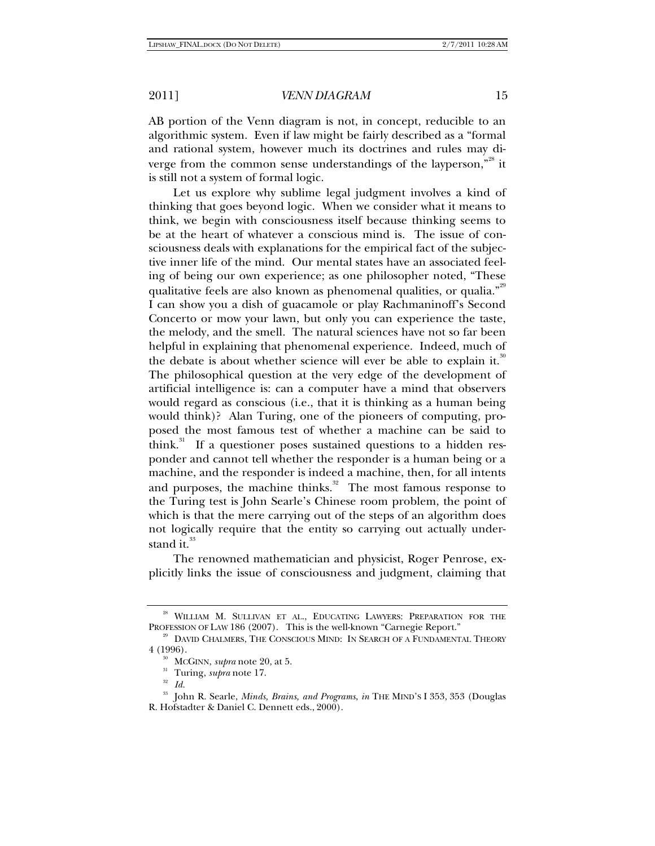AB portion of the Venn diagram is not, in concept, reducible to an algorithmic system. Even if law might be fairly described as a "formal and rational system, however much its doctrines and rules may diverge from the common sense understandings of the layperson,"<sup>28</sup> it is still not a system of formal logic.

Let us explore why sublime legal judgment involves a kind of thinking that goes beyond logic. When we consider what it means to think, we begin with consciousness itself because thinking seems to be at the heart of whatever a conscious mind is. The issue of consciousness deals with explanations for the empirical fact of the subjective inner life of the mind. Our mental states have an associated feeling of being our own experience; as one philosopher noted, "These qualitative feels are also known as phenomenal qualities, or qualia."<sup>29</sup> I can show you a dish of guacamole or play Rachmaninoff's Second Concerto or mow your lawn, but only you can experience the taste, the melody, and the smell. The natural sciences have not so far been helpful in explaining that phenomenal experience. Indeed, much of the debate is about whether science will ever be able to explain it.<sup>30</sup> The philosophical question at the very edge of the development of artificial intelligence is: can a computer have a mind that observers would regard as conscious (i.e., that it is thinking as a human being would think)? Alan Turing, one of the pioneers of computing, proposed the most famous test of whether a machine can be said to think.<sup>31</sup> If a questioner poses sustained questions to a hidden responder and cannot tell whether the responder is a human being or a machine, and the responder is indeed a machine, then, for all intents and purposes, the machine thinks. $32$  The most famous response to the Turing test is John Searle's Chinese room problem, the point of which is that the mere carrying out of the steps of an algorithm does not logically require that the entity so carrying out actually understand it. $^{33}$ 

The renowned mathematician and physicist, Roger Penrose, explicitly links the issue of consciousness and judgment, claiming that

<sup>&</sup>lt;sup>28</sup> WILLIAM M. SULLIVAN ET AL., EDUCATING LAWYERS: PREPARATION FOR THE PROFESSION OF LAW 186 (2007). This is the well-known "Carnegie Report."<br><sup>29</sup> DAVID CHALMERS, THE CONSCIOUS MIND: IN SEARCH OF A FUNDAMENTAL THEORY

<sup>4 (1996). 30</sup> MCGINN, *supra* note 20, at 5. 31 Turing, *supra* note 17. 32 *Id.*

<sup>33</sup> John R. Searle, *Minds, Brains, and Programs*, *in* THE MIND'S I 353, 353 (Douglas R. Hofstadter & Daniel C. Dennett eds., 2000).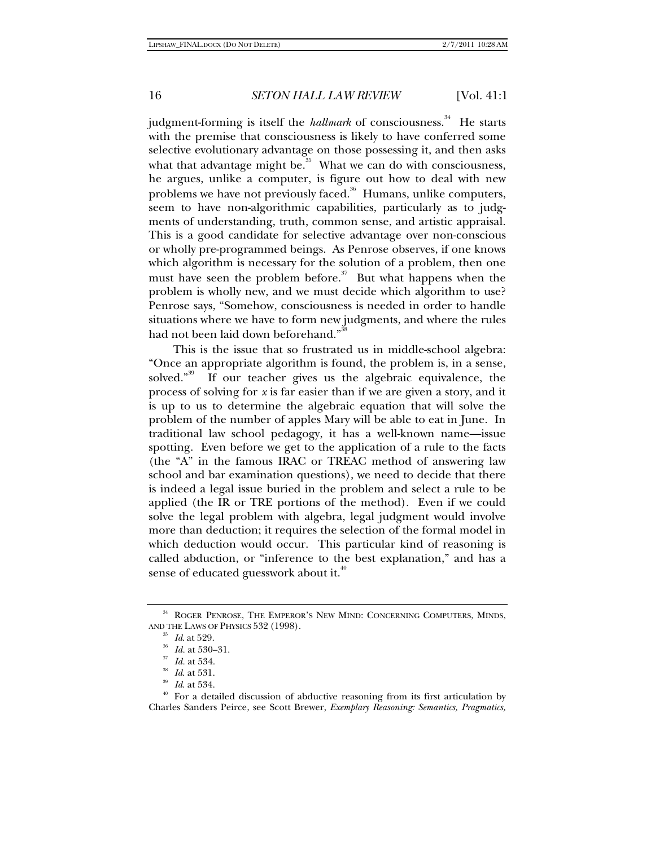judgment-forming is itself the *hallmark* of consciousness.<sup>34</sup> He starts with the premise that consciousness is likely to have conferred some selective evolutionary advantage on those possessing it, and then asks what that advantage might be.<sup>35</sup> What we can do with consciousness, he argues, unlike a computer, is figure out how to deal with new problems we have not previously faced.<sup>36</sup> Humans, unlike computers, seem to have non-algorithmic capabilities, particularly as to judgments of understanding, truth, common sense, and artistic appraisal. This is a good candidate for selective advantage over non-conscious or wholly pre-programmed beings. As Penrose observes, if one knows which algorithm is necessary for the solution of a problem, then one must have seen the problem before.<sup> $37$ </sup> But what happens when the problem is wholly new, and we must decide which algorithm to use? Penrose says, "Somehow, consciousness is needed in order to handle situations where we have to form new judgments, and where the rules had not been laid down beforehand."

This is the issue that so frustrated us in middle-school algebra: "Once an appropriate algorithm is found, the problem is, in a sense, solved."<sup>39</sup> If our teacher gives us the algebraic equivalence, the process of solving for *x* is far easier than if we are given a story, and it is up to us to determine the algebraic equation that will solve the problem of the number of apples Mary will be able to eat in June. In traditional law school pedagogy, it has a well-known name—issue spotting. Even before we get to the application of a rule to the facts (the "A" in the famous IRAC or TREAC method of answering law school and bar examination questions), we need to decide that there is indeed a legal issue buried in the problem and select a rule to be applied (the IR or TRE portions of the method). Even if we could solve the legal problem with algebra, legal judgment would involve more than deduction; it requires the selection of the formal model in which deduction would occur. This particular kind of reasoning is called abduction, or "inference to the best explanation," and has a sense of educated guesswork about it.<sup>41</sup>

 $^{34}$  ROGER PENROSE, THE EMPEROR'S NEW MIND: CONCERNING COMPUTERS, MINDS, AND THE LAWS OF PHYSICS 532 (1998).

<sup>&</sup>lt;sup>35</sup> *Id.* at 529.<br><sup>36</sup> *Id.* at 530–31.<br><sup>37</sup> *Id.* at 534.<br><sup>39</sup> *Id.* at 531.<br><sup>39</sup> *Id.* at 534.<br><sup>40</sup> For a detailed discussion of abductive reasoning from its first articulation by Charles Sanders Peirce, see Scott Brewer, *Exemplary Reasoning: Semantics, Pragmatics,*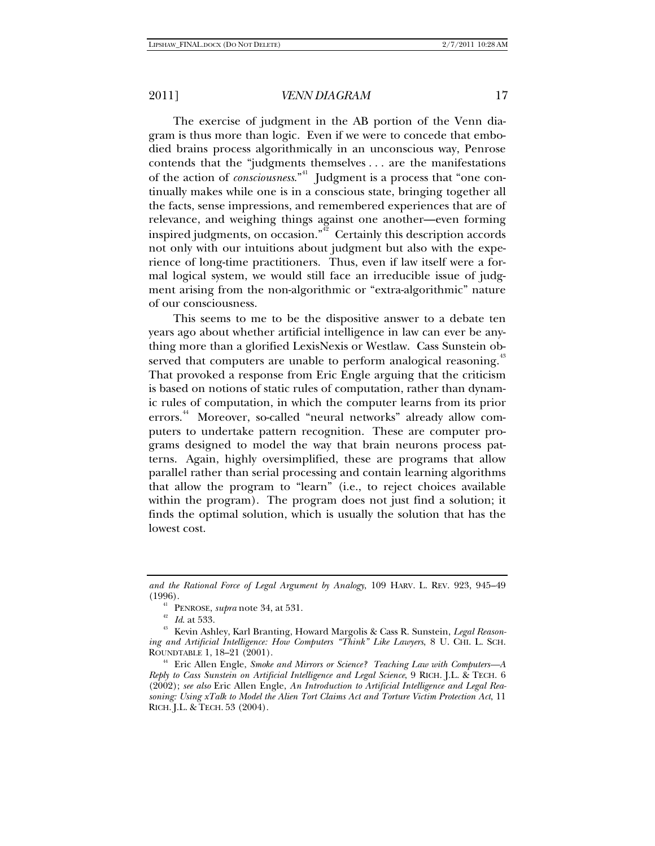The exercise of judgment in the AB portion of the Venn diagram is thus more than logic. Even if we were to concede that embodied brains process algorithmically in an unconscious way, Penrose contends that the "judgments themselves . . . are the manifestations of the action of *consciousness*."<sup>41</sup> Judgment is a process that "one continually makes while one is in a conscious state, bringing together all the facts, sense impressions, and remembered experiences that are of relevance, and weighing things against one another—even forming inspired judgments, on occasion." $42$  Certainly this description accords not only with our intuitions about judgment but also with the experience of long-time practitioners. Thus, even if law itself were a formal logical system, we would still face an irreducible issue of judgment arising from the non-algorithmic or "extra-algorithmic" nature of our consciousness.

This seems to me to be the dispositive answer to a debate ten years ago about whether artificial intelligence in law can ever be anything more than a glorified LexisNexis or Westlaw. Cass Sunstein observed that computers are unable to perform analogical reasoning.<sup>†</sup> That provoked a response from Eric Engle arguing that the criticism is based on notions of static rules of computation, rather than dynamic rules of computation, in which the computer learns from its prior errors.<sup>44</sup> Moreover, so-called "neural networks" already allow computers to undertake pattern recognition. These are computer programs designed to model the way that brain neurons process patterns. Again, highly oversimplified, these are programs that allow parallel rather than serial processing and contain learning algorithms that allow the program to "learn" (i.e., to reject choices available within the program). The program does not just find a solution; it finds the optimal solution, which is usually the solution that has the lowest cost.

*and the Rational Force of Legal Argument by Analogy*, 109 HARV. L. REV. 923, 945–49

<sup>(1996). 41</sup> PENROSE, *supra* note 34, at 531. 42 *Id*. at 533. 43 Kevin Ashley, Karl Branting, Howard Margolis & Cass R. Sunstein, *Legal Reasoning and Artificial Intelligence: How Computers "Think" Like Lawyers*, 8 U. CHI. L. SCH. ROUNDTABLE 1, 18–21 (2001). 44 Eric Allen Engle, *Smoke and Mirrors or Science? Teaching Law with Computers—A* 

*Reply to Cass Sunstein on Artificial Intelligence and Legal Science*, 9 RICH. J.L. & TECH. 6 (2002); *see also* Eric Allen Engle, *An Introduction to Artificial Intelligence and Legal Reasoning: Using xTalk to Model the Alien Tort Claims Act and Torture Victim Protection Act*, 11 RICH. J.L. & TECH. 53 (2004).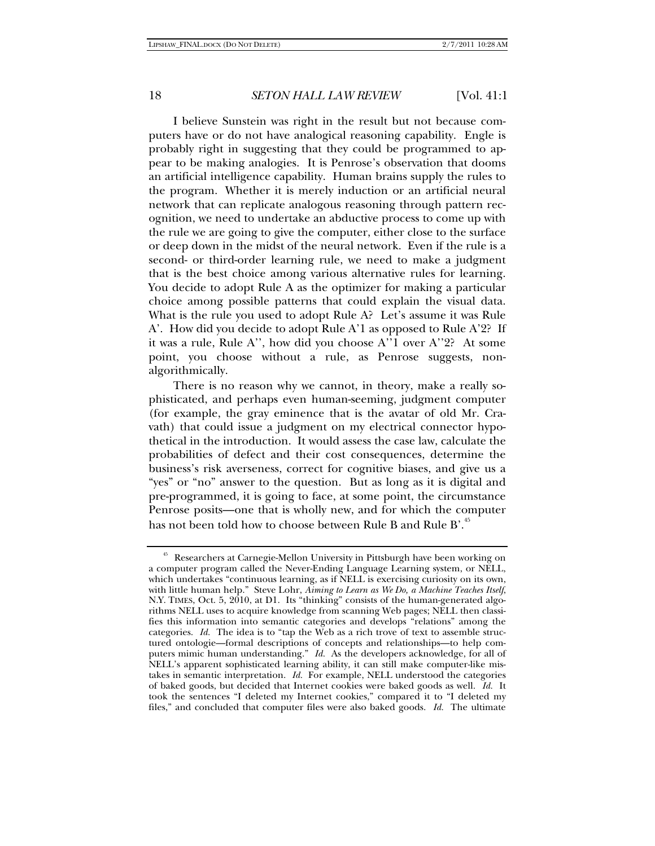I believe Sunstein was right in the result but not because computers have or do not have analogical reasoning capability. Engle is probably right in suggesting that they could be programmed to appear to be making analogies. It is Penrose's observation that dooms an artificial intelligence capability. Human brains supply the rules to the program. Whether it is merely induction or an artificial neural network that can replicate analogous reasoning through pattern recognition, we need to undertake an abductive process to come up with the rule we are going to give the computer, either close to the surface or deep down in the midst of the neural network. Even if the rule is a second- or third-order learning rule, we need to make a judgment that is the best choice among various alternative rules for learning. You decide to adopt Rule A as the optimizer for making a particular choice among possible patterns that could explain the visual data. What is the rule you used to adopt Rule A? Let's assume it was Rule A'. How did you decide to adopt Rule A'1 as opposed to Rule A'2? If it was a rule, Rule A'', how did you choose A''1 over A''2? At some point, you choose without a rule, as Penrose suggests, nonalgorithmically.

There is no reason why we cannot, in theory, make a really sophisticated, and perhaps even human-seeming, judgment computer (for example, the gray eminence that is the avatar of old Mr. Cravath) that could issue a judgment on my electrical connector hypothetical in the introduction. It would assess the case law, calculate the probabilities of defect and their cost consequences, determine the business's risk averseness, correct for cognitive biases, and give us a "yes" or "no" answer to the question. But as long as it is digital and pre-programmed, it is going to face, at some point, the circumstance Penrose posits—one that is wholly new, and for which the computer has not been told how to choose between Rule B and Rule B'.<sup>45</sup>

<sup>45</sup> Researchers at Carnegie-Mellon University in Pittsburgh have been working on a computer program called the Never-Ending Language Learning system, or NELL, which undertakes "continuous learning, as if NELL is exercising curiosity on its own, with little human help." Steve Lohr, *Aiming to Learn as We Do, a Machine Teaches Itself*, N.Y. TIMES, Oct. 5, 2010, at D1. Its "thinking" consists of the human-generated algorithms NELL uses to acquire knowledge from scanning Web pages; NELL then classifies this information into semantic categories and develops "relations" among the categories. *Id.* The idea is to "tap the Web as a rich trove of text to assemble structured ontologie—formal descriptions of concepts and relationships—to help computers mimic human understanding." *Id.* As the developers acknowledge, for all of NELL's apparent sophisticated learning ability, it can still make computer-like mistakes in semantic interpretation. *Id.* For example, NELL understood the categories of baked goods, but decided that Internet cookies were baked goods as well. *Id.* It took the sentences "I deleted my Internet cookies," compared it to "I deleted my files," and concluded that computer files were also baked goods. *Id.* The ultimate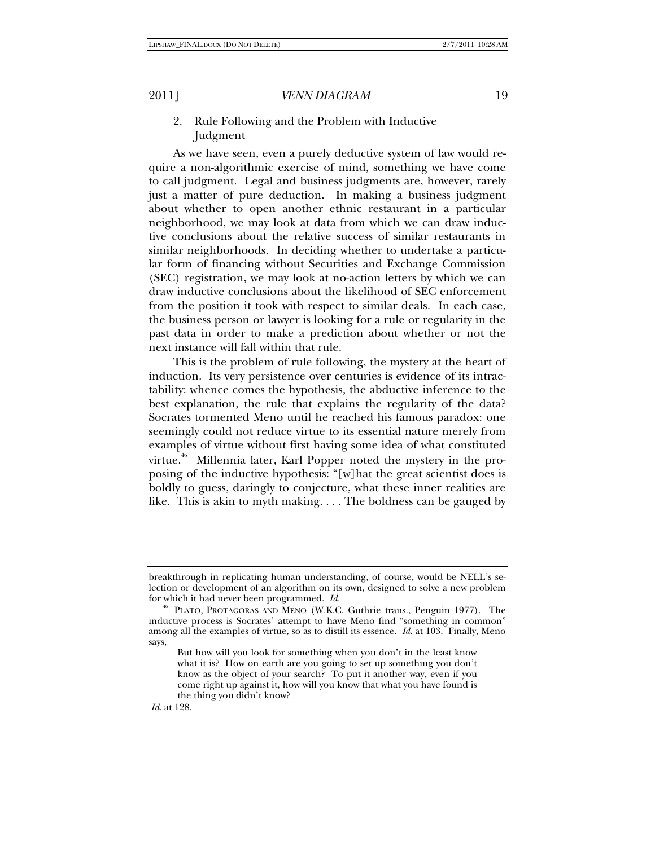## 2. Rule Following and the Problem with Inductive Judgment

As we have seen, even a purely deductive system of law would require a non-algorithmic exercise of mind, something we have come to call judgment. Legal and business judgments are, however, rarely just a matter of pure deduction. In making a business judgment about whether to open another ethnic restaurant in a particular neighborhood, we may look at data from which we can draw inductive conclusions about the relative success of similar restaurants in similar neighborhoods. In deciding whether to undertake a particular form of financing without Securities and Exchange Commission (SEC) registration, we may look at no-action letters by which we can draw inductive conclusions about the likelihood of SEC enforcement from the position it took with respect to similar deals. In each case, the business person or lawyer is looking for a rule or regularity in the past data in order to make a prediction about whether or not the next instance will fall within that rule.

This is the problem of rule following, the mystery at the heart of induction. Its very persistence over centuries is evidence of its intractability: whence comes the hypothesis, the abductive inference to the best explanation, the rule that explains the regularity of the data? Socrates tormented Meno until he reached his famous paradox: one seemingly could not reduce virtue to its essential nature merely from examples of virtue without first having some idea of what constituted virtue.<sup>46</sup> Millennia later, Karl Popper noted the mystery in the proposing of the inductive hypothesis: "[w]hat the great scientist does is boldly to guess, daringly to conjecture, what these inner realities are like. This is akin to myth making. . . . The boldness can be gauged by

*Id*. at 128.

breakthrough in replicating human understanding, of course, would be NELL's selection or development of an algorithm on its own, designed to solve a new problem for which it had never been programmed. *Id.*

<sup>46</sup> PLATO, PROTAGORAS AND MENO (W.K.C. Guthrie trans., Penguin 1977). The inductive process is Socrates' attempt to have Meno find "something in common" among all the examples of virtue, so as to distill its essence. *Id*. at 103. Finally, Meno says,

But how will you look for something when you don't in the least know what it is? How on earth are you going to set up something you don't know as the object of your search? To put it another way, even if you come right up against it, how will you know that what you have found is the thing you didn't know?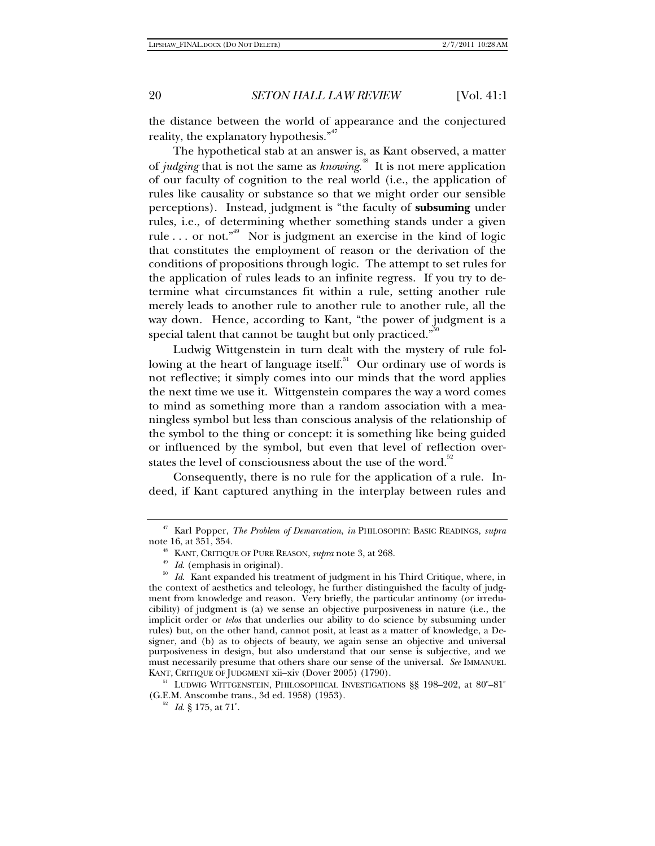the distance between the world of appearance and the conjectured reality, the explanatory hypothesis. $\mathbf{a}^{47}$ 

The hypothetical stab at an answer is, as Kant observed, a matter of *judging* that is not the same as *knowing*. 48 It is not mere application of our faculty of cognition to the real world (i.e., the application of rules like causality or substance so that we might order our sensible perceptions). Instead, judgment is "the faculty of **subsuming** under rules, i.e., of determining whether something stands under a given rule ... or not.<sup> $n^{49}$ </sup> Nor is judgment an exercise in the kind of logic that constitutes the employment of reason or the derivation of the conditions of propositions through logic. The attempt to set rules for the application of rules leads to an infinite regress. If you try to determine what circumstances fit within a rule, setting another rule merely leads to another rule to another rule to another rule, all the way down. Hence, according to Kant, "the power of judgment is a special talent that cannot be taught but only practiced."

Ludwig Wittgenstein in turn dealt with the mystery of rule following at the heart of language itself.<sup>51</sup> Our ordinary use of words is not reflective; it simply comes into our minds that the word applies the next time we use it. Wittgenstein compares the way a word comes to mind as something more than a random association with a meaningless symbol but less than conscious analysis of the relationship of the symbol to the thing or concept: it is something like being guided or influenced by the symbol, but even that level of reflection overstates the level of consciousness about the use of the word.<sup>32</sup>

Consequently, there is no rule for the application of a rule. Indeed, if Kant captured anything in the interplay between rules and

KANT, CRITIQUE OF JUDGMENT xii–xiv (Dover 2005) (1790).<br><sup>51</sup> LUDWIG WITTGENSTEIN, PHILOSOPHICAL INVESTIGATIONS §§ 198–202, at 80<sup>e</sup>–81<sup>e</sup> (G.E.M. Anscombe trans., 3d ed. 1958) (1953).

<sup>47</sup> Karl Popper, *The Problem of Demarcation*, *in* PHILOSOPHY: BASIC READINGS, *supra*

note 3, at 268.<br>*Id.* (emphasis in original).<br>*Id.* Kant expanded his treatment of judgment in his Third Critique, where, in the context of aesthetics and teleology, he further distinguished the faculty of judgment from knowledge and reason. Very briefly, the particular antinomy (or irreducibility) of judgment is (a) we sense an objective purposiveness in nature (i.e., the implicit order or *telos* that underlies our ability to do science by subsuming under rules) but, on the other hand, cannot posit, at least as a matter of knowledge, a Designer, and (b) as to objects of beauty, we again sense an objective and universal purposiveness in design, but also understand that our sense is subjective, and we must necessarily presume that others share our sense of the universal. *See* IMMANUEL

<sup>&</sup>lt;sup>52</sup> *Id.* § 175, at 71<sup>e</sup>.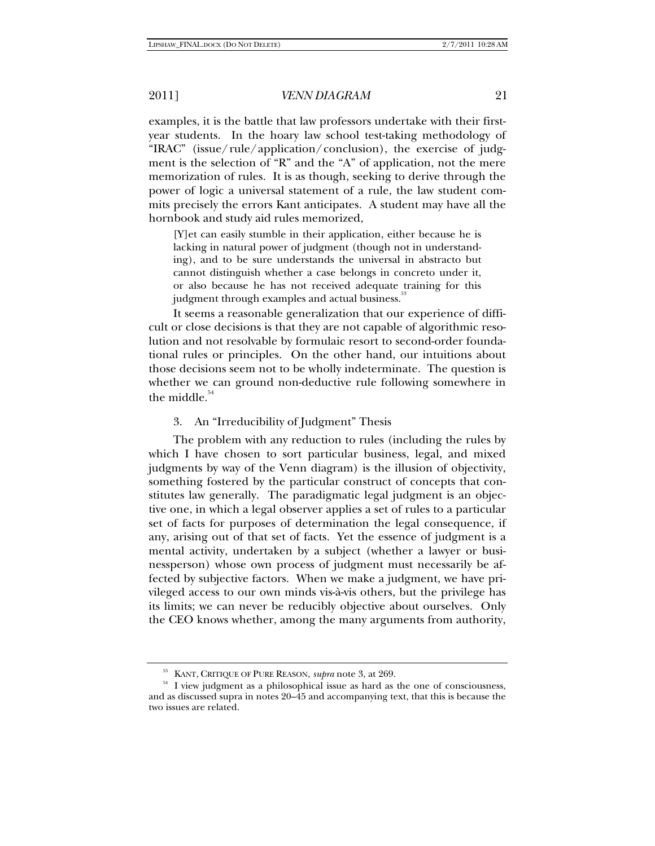examples, it is the battle that law professors undertake with their firstyear students. In the hoary law school test-taking methodology of "IRAC" (issue/rule/application/conclusion), the exercise of judgment is the selection of "R" and the "A" of application, not the mere memorization of rules. It is as though, seeking to derive through the power of logic a universal statement of a rule, the law student commits precisely the errors Kant anticipates. A student may have all the hornbook and study aid rules memorized,

[Y]et can easily stumble in their application, either because he is lacking in natural power of judgment (though not in understanding), and to be sure understands the universal in abstracto but cannot distinguish whether a case belongs in concreto under it, or also because he has not received adequate training for this judgment through examples and actual business.<sup>3</sup>

It seems a reasonable generalization that our experience of difficult or close decisions is that they are not capable of algorithmic resolution and not resolvable by formulaic resort to second-order foundational rules or principles. On the other hand, our intuitions about those decisions seem not to be wholly indeterminate. The question is whether we can ground non-deductive rule following somewhere in the middle. $54$ 

#### 3. An "Irreducibility of Judgment" Thesis

The problem with any reduction to rules (including the rules by which I have chosen to sort particular business, legal, and mixed judgments by way of the Venn diagram) is the illusion of objectivity, something fostered by the particular construct of concepts that constitutes law generally. The paradigmatic legal judgment is an objective one, in which a legal observer applies a set of rules to a particular set of facts for purposes of determination the legal consequence, if any, arising out of that set of facts. Yet the essence of judgment is a mental activity, undertaken by a subject (whether a lawyer or businessperson) whose own process of judgment must necessarily be affected by subjective factors. When we make a judgment, we have privileged access to our own minds vis-à-vis others, but the privilege has its limits; we can never be reducibly objective about ourselves. Only the CEO knows whether, among the many arguments from authority,

<sup>&</sup>lt;sup>53</sup> KANT, CRITIQUE OF PURE REASON, *supra* note 3, at 269.<br><sup>54</sup> I view judgment as a philosophical issue as hard as the one of consciousness, and as discussed supra in notes 20–45 and accompanying text, that this is because the two issues are related.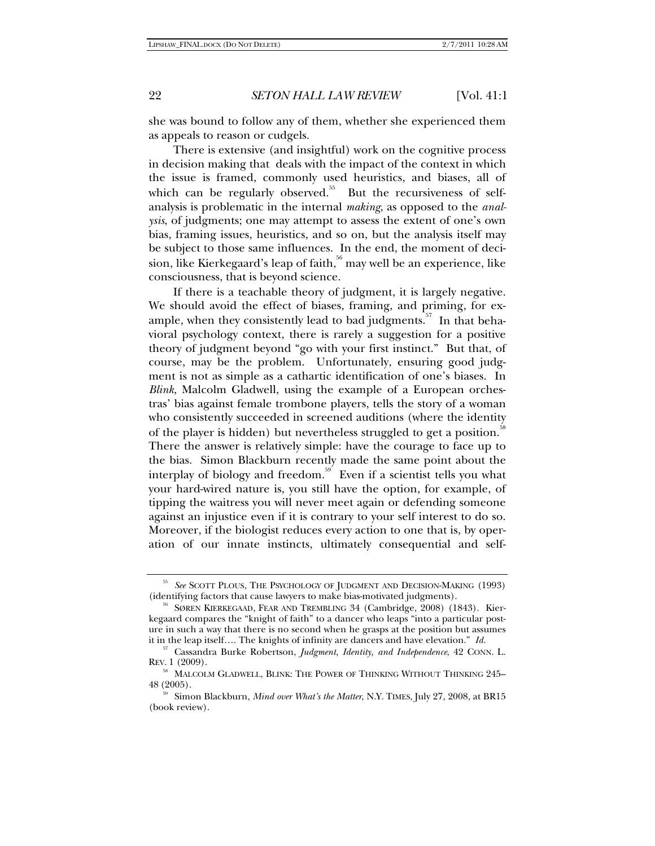she was bound to follow any of them, whether she experienced them as appeals to reason or cudgels.

There is extensive (and insightful) work on the cognitive process in decision making that deals with the impact of the context in which the issue is framed, commonly used heuristics, and biases, all of which can be regularly observed.<sup>55</sup> But the recursiveness of selfanalysis is problematic in the internal *making*, as opposed to the *analysis*, of judgments; one may attempt to assess the extent of one's own bias, framing issues, heuristics, and so on, but the analysis itself may be subject to those same influences. In the end, the moment of decision, like Kierkegaard's leap of faith,  $56$  may well be an experience, like consciousness, that is beyond science.

If there is a teachable theory of judgment, it is largely negative. We should avoid the effect of biases, framing, and priming, for example, when they consistently lead to bad judgments.<sup>57</sup> In that behavioral psychology context, there is rarely a suggestion for a positive theory of judgment beyond "go with your first instinct." But that, of course, may be the problem. Unfortunately, ensuring good judgment is not as simple as a cathartic identification of one's biases. In *Blink*, Malcolm Gladwell, using the example of a European orchestras' bias against female trombone players, tells the story of a woman who consistently succeeded in screened auditions (where the identity of the player is hidden) but nevertheless struggled to get a position.<sup>88</sup> There the answer is relatively simple: have the courage to face up to the bias. Simon Blackburn recently made the same point about the interplay of biology and freedom.<sup>59</sup> Even if a scientist tells you what your hard-wired nature is, you still have the option, for example, of tipping the waitress you will never meet again or defending someone against an injustice even if it is contrary to your self interest to do so. Moreover, if the biologist reduces every action to one that is, by operation of our innate instincts, ultimately consequential and self-

<sup>55</sup> *See* SCOTT PLOUS, THE PSYCHOLOGY OF JUDGMENT AND DECISION-MAKING (1993) (identifying factors that cause lawyers to make bias-motivated judgments).<br><sup>56</sup> SØREN KIERKEGAAD, FEAR AND TREMBLING 34 (Cambridge, 2008) (1843). Kier-

kegaard compares the "knight of faith" to a dancer who leaps "into a particular posture in such a way that there is no second when he grasps at the position but assumes

it in the leap itself…. The knights of infinity are dancers and have elevation." *Id.* 57 Cassandra Burke Robertson, *Judgment, Identity, and Independence*, 42 CONN. L. REV. 1 (2009).

<sup>58</sup> MALCOLM GLADWELL, BLINK: THE POWER OF THINKING WITHOUT THINKING 245– 48 (2005).

<sup>59</sup> Simon Blackburn, *Mind over What's the Matter*, N.Y. TIMES, July 27, 2008, at BR15 (book review).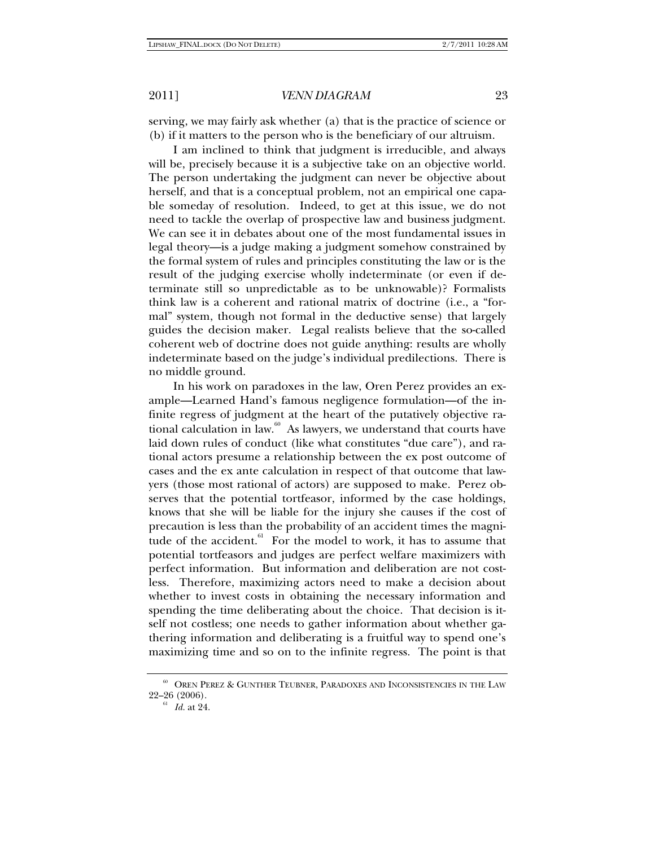serving, we may fairly ask whether (a) that is the practice of science or (b) if it matters to the person who is the beneficiary of our altruism.

I am inclined to think that judgment is irreducible, and always will be, precisely because it is a subjective take on an objective world. The person undertaking the judgment can never be objective about herself, and that is a conceptual problem, not an empirical one capable someday of resolution. Indeed, to get at this issue, we do not need to tackle the overlap of prospective law and business judgment. We can see it in debates about one of the most fundamental issues in legal theory—is a judge making a judgment somehow constrained by the formal system of rules and principles constituting the law or is the result of the judging exercise wholly indeterminate (or even if determinate still so unpredictable as to be unknowable)? Formalists think law is a coherent and rational matrix of doctrine (i.e., a "formal" system, though not formal in the deductive sense) that largely guides the decision maker. Legal realists believe that the so-called coherent web of doctrine does not guide anything: results are wholly indeterminate based on the judge's individual predilections. There is no middle ground.

In his work on paradoxes in the law, Oren Perez provides an example—Learned Hand's famous negligence formulation—of the infinite regress of judgment at the heart of the putatively objective rational calculation in law.<sup>60</sup> As lawyers, we understand that courts have laid down rules of conduct (like what constitutes "due care"), and rational actors presume a relationship between the ex post outcome of cases and the ex ante calculation in respect of that outcome that lawyers (those most rational of actors) are supposed to make. Perez observes that the potential tortfeasor, informed by the case holdings, knows that she will be liable for the injury she causes if the cost of precaution is less than the probability of an accident times the magnitude of the accident. $61$  For the model to work, it has to assume that potential tortfeasors and judges are perfect welfare maximizers with perfect information. But information and deliberation are not costless. Therefore, maximizing actors need to make a decision about whether to invest costs in obtaining the necessary information and spending the time deliberating about the choice. That decision is itself not costless; one needs to gather information about whether gathering information and deliberating is a fruitful way to spend one's maximizing time and so on to the infinite regress. The point is that

 $^{60}$  OREN PEREZ & GUNTHER TEUBNER, PARADOXES AND INCONSISTENCIES IN THE LAW 22–26 (2006).

<sup>&</sup>lt;sup>61</sup> *Id.* at 24.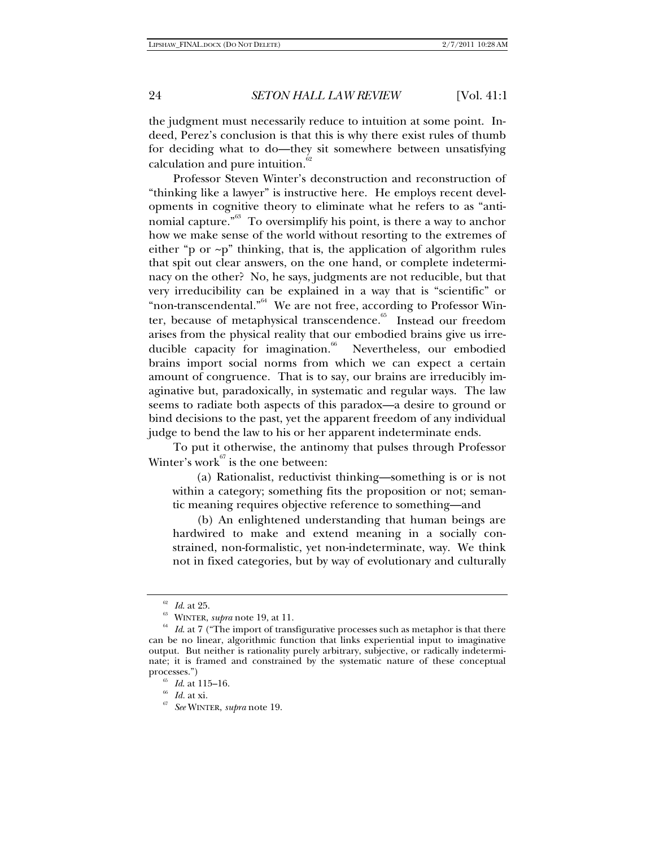the judgment must necessarily reduce to intuition at some point. Indeed, Perez's conclusion is that this is why there exist rules of thumb for deciding what to do—they sit somewhere between unsatisfying calculation and pure intuition.<sup>6</sup>

Professor Steven Winter's deconstruction and reconstruction of "thinking like a lawyer" is instructive here. He employs recent developments in cognitive theory to eliminate what he refers to as "antinomial capture."<sup>63</sup> To oversimplify his point, is there a way to anchor how we make sense of the world without resorting to the extremes of either "p or  $\neg p$ " thinking, that is, the application of algorithm rules that spit out clear answers, on the one hand, or complete indeterminacy on the other? No, he says, judgments are not reducible, but that very irreducibility can be explained in a way that is "scientific" or "non-transcendental."<sup>64</sup> We are not free, according to Professor Winter, because of metaphysical transcendence.<sup>65</sup> Instead our freedom arises from the physical reality that our embodied brains give us irreducible capacity for imagination.<sup>66</sup> Nevertheless, our embodied brains import social norms from which we can expect a certain amount of congruence. That is to say, our brains are irreducibly imaginative but, paradoxically, in systematic and regular ways. The law seems to radiate both aspects of this paradox—a desire to ground or bind decisions to the past, yet the apparent freedom of any individual judge to bend the law to his or her apparent indeterminate ends.

To put it otherwise, the antinomy that pulses through Professor Winter's work $^{67}$  is the one between:

(a) Rationalist, reductivist thinking—something is or is not within a category; something fits the proposition or not; semantic meaning requires objective reference to something—and

(b) An enlightened understanding that human beings are hardwired to make and extend meaning in a socially constrained, non-formalistic, yet non-indeterminate, way. We think not in fixed categories, but by way of evolutionary and culturally

<sup>&</sup>lt;sup>62</sup> *Id.* at 25.<br><sup>63</sup> WINTER, *supra* note 19, at 11.<br><sup>64</sup> *Id.* at 7 ("The import of transfigurative processes such as metaphor is that there can be no linear, algorithmic function that links experiential input to imaginative output. But neither is rationality purely arbitrary, subjective, or radically indeterminate; it is framed and constrained by the systematic nature of these conceptual processes.") 65 *Id*. at 115–16. 66 *Id.* at xi. 67 *See* WINTER, *supra* note 19.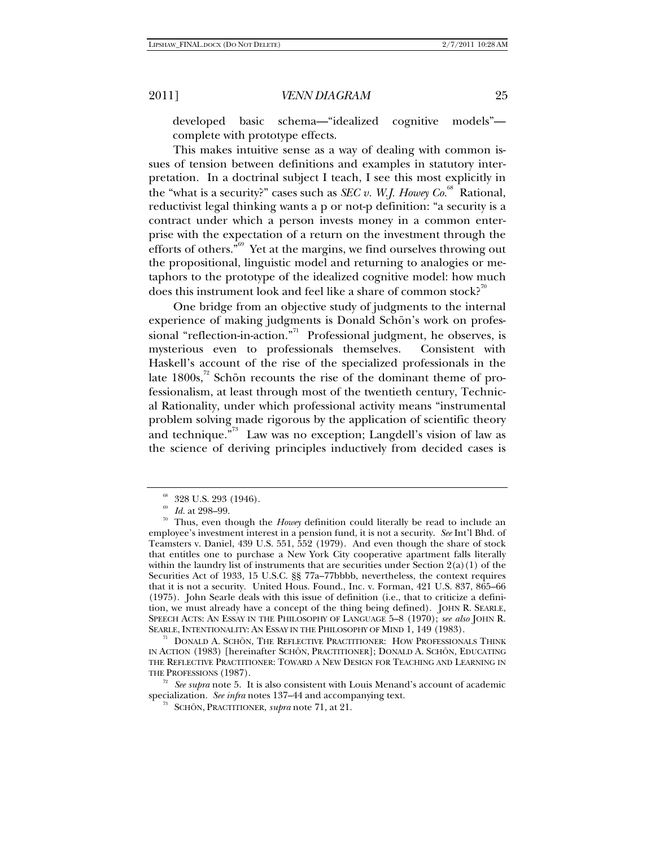developed basic schema—"idealized cognitive models" complete with prototype effects.

This makes intuitive sense as a way of dealing with common issues of tension between definitions and examples in statutory interpretation. In a doctrinal subject I teach, I see this most explicitly in the "what is a security?" cases such as *SEC v. W.J. Howey Co.*<sup>68</sup> Rational, reductivist legal thinking wants a p or not-p definition: "a security is a contract under which a person invests money in a common enterprise with the expectation of a return on the investment through the efforts of others."69 Yet at the margins, we find ourselves throwing out the propositional, linguistic model and returning to analogies or metaphors to the prototype of the idealized cognitive model: how much does this instrument look and feel like a share of common stock?<sup> $\degree$ </sup>

One bridge from an objective study of judgments to the internal experience of making judgments is Donald Schön's work on professional "reflection-in-action."<sup>71</sup> Professional judgment, he observes, is mysterious even to professionals themselves. Consistent with Haskell's account of the rise of the specialized professionals in the late  $1800s$ ,<sup>72</sup> Schön recounts the rise of the dominant theme of professionalism, at least through most of the twentieth century, Technical Rationality, under which professional activity means "instrumental problem solving made rigorous by the application of scientific theory and technique. $n^{33}$  Law was no exception; Langdell's vision of law as the science of deriving principles inductively from decided cases is

 $^{68}$  328 U.S. 293 (1946).<br><sup>69</sup> Id. at 298–99.

<sup>&</sup>lt;sup>70</sup> Thus, even though the *Howe*y definition could literally be read to include an employee's investment interest in a pension fund, it is not a security. *See* Int'l Bhd. of Teamsters v. Daniel, 439 U.S. 551, 552 (1979). And even though the share of stock that entitles one to purchase a New York City cooperative apartment falls literally within the laundry list of instruments that are securities under Section  $2(a)(1)$  of the Securities Act of 1933, 15 U.S.C. §§ 77a–77bbbb, nevertheless, the context requires that it is not a security. United Hous. Found., Inc. v. Forman, 421 U.S. 837, 865–66 (1975). John Searle deals with this issue of definition (i.e., that to criticize a definition, we must already have a concept of the thing being defined). JOHN R. SEARLE, SPEECH ACTS: AN ESSAY IN THE PHILOSOPHY OF LANGUAGE 5–8 (1970); *see also* JOHN R.

 $n<sup>71</sup>$  DONALD A. SCHÖN, THE REFLECTIVE PRACTITIONER: HOW PROFESSIONALS THINK IN ACTION (1983) [hereinafter SCHÖN, PRACTITIONER]; DONALD A. SCHÖN, EDUCATING THE REFLECTIVE PRACTITIONER: TOWARD A NEW DESIGN FOR TEACHING AND LEARNING IN

THE PROFESSIONS (1987).<br><sup>72</sup> *See supra* note 5. It is also consistent with Louis Menand's account of academic specialization. *See infra* notes 137–44 and accompanying text.

<sup>&</sup>lt;sup>73</sup> SCHÖN, PRACTITIONER, *supra* note 71, at 21.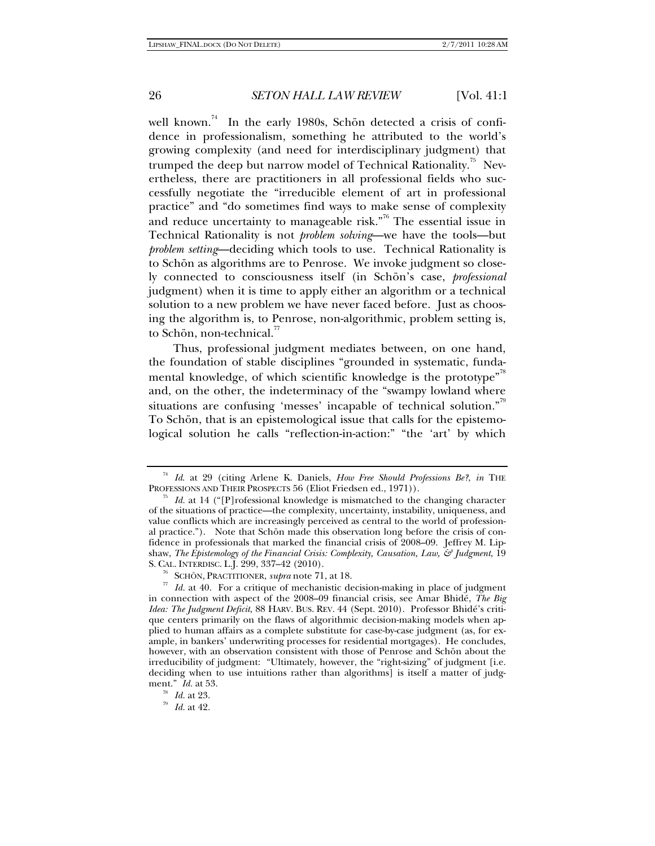well known.<sup>74</sup> In the early 1980s, Schön detected a crisis of confidence in professionalism, something he attributed to the world's growing complexity (and need for interdisciplinary judgment) that trumped the deep but narrow model of Technical Rationality.<sup>75</sup> Nevertheless, there are practitioners in all professional fields who successfully negotiate the "irreducible element of art in professional practice" and "do sometimes find ways to make sense of complexity and reduce uncertainty to manageable risk."<sup> $\frac{1}{6}$ </sup> The essential issue in Technical Rationality is not *problem solving*—we have the tools—but *problem setting*—deciding which tools to use. Technical Rationality is to Schön as algorithms are to Penrose. We invoke judgment so closely connected to consciousness itself (in Schön's case, *professional* judgment) when it is time to apply either an algorithm or a technical solution to a new problem we have never faced before. Just as choosing the algorithm is, to Penrose, non-algorithmic, problem setting is, to Schön, non-technical.<sup>77</sup>

Thus, professional judgment mediates between, on one hand, the foundation of stable disciplines "grounded in systematic, fundamental knowledge, of which scientific knowledge is the prototype<sup> $n^8$ </sup> and, on the other, the indeterminacy of the "swampy lowland where situations are confusing 'messes' incapable of technical solution."<sup>79</sup> To Schön, that is an epistemological issue that calls for the epistemological solution he calls "reflection-in-action:" "the 'art' by which

<sup>74</sup> *Id*. at 29 (citing Arlene K. Daniels, *How Free Should Professions Be?*, *in* THE

<sup>&</sup>lt;sup>75</sup> Id. at 14 ("[P]rofessional knowledge is mismatched to the changing character of the situations of practice—the complexity, uncertainty, instability, uniqueness, and value conflicts which are increasingly perceived as central to the world of professional practice."). Note that Schön made this observation long before the crisis of confidence in professionals that marked the financial crisis of 2008–09. Jeffrey M. Lipshaw, *The Epistemology of the Financial Crisis: Complexity, Causation, Law, & Judgment*, 19 S. CAL. INTERDISC. L.J. 299, 337–42 (2010).

<sup>&</sup>lt;sup>76</sup> SCHÖN, PRACTITIONER, *supra* note 71, at 18.<br><sup>77</sup> *Id.* at 40. For a critique of mechanistic decision-making in place of judgment in connection with aspect of the 2008–09 financial crisis, see Amar Bhidé, *The Big Idea: The Judgment Deficit*, 88 HARV. BUS. REV. 44 (Sept. 2010). Professor Bhidé's critique centers primarily on the flaws of algorithmic decision-making models when applied to human affairs as a complete substitute for case-by-case judgment (as, for example, in bankers' underwriting processes for residential mortgages). He concludes, however, with an observation consistent with those of Penrose and Schön about the irreducibility of judgment: "Ultimately, however, the "right-sizing" of judgment [i.e. deciding when to use intuitions rather than algorithms] is itself a matter of judgment." *Id.* at 53.<br>
<sup>78</sup> *Id.* at 23.<br> *79 Id.* at 42.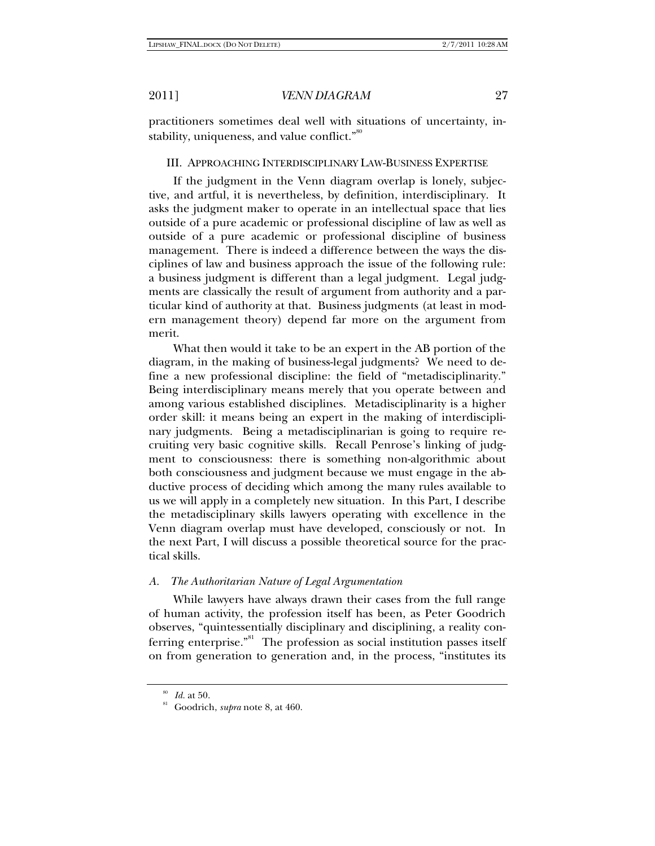practitioners sometimes deal well with situations of uncertainty, instability, uniqueness, and value conflict."<sup>80</sup>

#### III. APPROACHING INTERDISCIPLINARY LAW-BUSINESS EXPERTISE

If the judgment in the Venn diagram overlap is lonely, subjective, and artful, it is nevertheless, by definition, interdisciplinary. It asks the judgment maker to operate in an intellectual space that lies outside of a pure academic or professional discipline of law as well as outside of a pure academic or professional discipline of business management. There is indeed a difference between the ways the disciplines of law and business approach the issue of the following rule: a business judgment is different than a legal judgment. Legal judgments are classically the result of argument from authority and a particular kind of authority at that. Business judgments (at least in modern management theory) depend far more on the argument from merit.

What then would it take to be an expert in the AB portion of the diagram, in the making of business-legal judgments? We need to define a new professional discipline: the field of "metadisciplinarity." Being interdisciplinary means merely that you operate between and among various established disciplines. Metadisciplinarity is a higher order skill: it means being an expert in the making of interdisciplinary judgments. Being a metadisciplinarian is going to require recruiting very basic cognitive skills. Recall Penrose's linking of judgment to consciousness: there is something non-algorithmic about both consciousness and judgment because we must engage in the abductive process of deciding which among the many rules available to us we will apply in a completely new situation. In this Part, I describe the metadisciplinary skills lawyers operating with excellence in the Venn diagram overlap must have developed, consciously or not. In the next Part, I will discuss a possible theoretical source for the practical skills.

### *A. The Authoritarian Nature of Legal Argumentation*

While lawyers have always drawn their cases from the full range of human activity, the profession itself has been, as Peter Goodrich observes, "quintessentially disciplinary and disciplining, a reality conferring enterprise."<sup>81</sup> The profession as social institution passes itself on from generation to generation and, in the process, "institutes its

<sup>80</sup> *Id.* at 50. 81 Goodrich, *supra* note 8, at 460.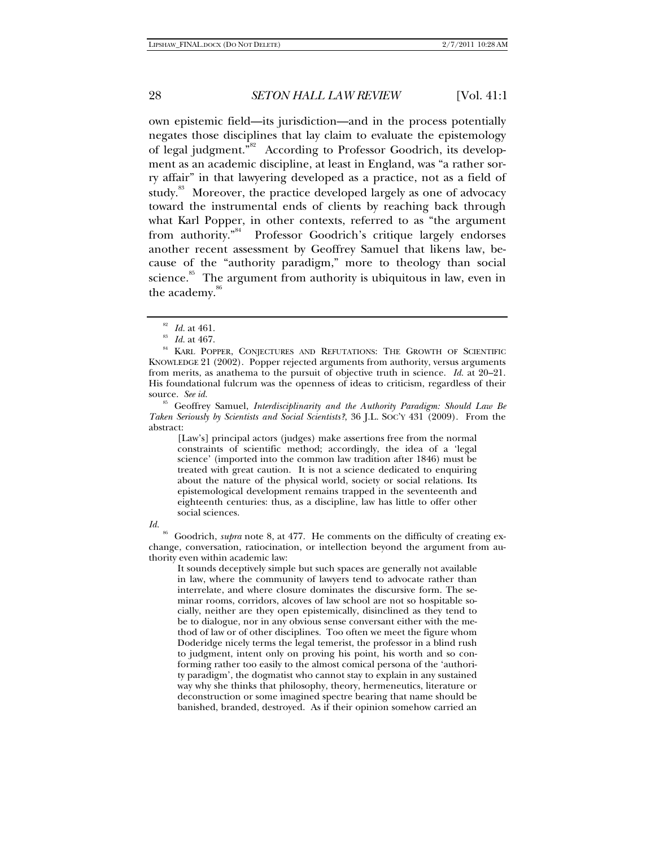own epistemic field—its jurisdiction—and in the process potentially negates those disciplines that lay claim to evaluate the epistemology of legal judgment."82 According to Professor Goodrich, its development as an academic discipline, at least in England, was "a rather sorry affair" in that lawyering developed as a practice, not as a field of study.<sup>83</sup> Moreover, the practice developed largely as one of advocacy toward the instrumental ends of clients by reaching back through what Karl Popper, in other contexts, referred to as "the argument from authority."<sup>84</sup> Professor Goodrich's critique largely endorses another recent assessment by Geoffrey Samuel that likens law, because of the "authority paradigm," more to theology than social science. $\frac{85}{3}$  The argument from authority is ubiquitous in law, even in the academy.<sup>86</sup>

85 Geoffrey Samuel, *Interdisciplinarity and the Authority Paradigm: Should Law Be Taken Seriously by Scientists and Social Scientists?*, 36 J.L. SOC'Y 431 (2009). From the abstract:

[Law's] principal actors (judges) make assertions free from the normal constraints of scientific method; accordingly, the idea of a 'legal science' (imported into the common law tradition after 1846) must be treated with great caution. It is not a science dedicated to enquiring about the nature of the physical world, society or social relations. Its epistemological development remains trapped in the seventeenth and eighteenth centuries: thus, as a discipline, law has little to offer other social sciences.

#### *Id.*

86 Goodrich, *supra* note 8, at 477. He comments on the difficulty of creating exchange, conversation, ratiocination, or intellection beyond the argument from authority even within academic law:

It sounds deceptively simple but such spaces are generally not available in law, where the community of lawyers tend to advocate rather than interrelate, and where closure dominates the discursive form. The seminar rooms, corridors, alcoves of law school are not so hospitable socially, neither are they open epistemically, disinclined as they tend to be to dialogue, nor in any obvious sense conversant either with the method of law or of other disciplines. Too often we meet the figure whom Doderidge nicely terms the legal temerist, the professor in a blind rush to judgment, intent only on proving his point, his worth and so conforming rather too easily to the almost comical persona of the 'authority paradigm', the dogmatist who cannot stay to explain in any sustained way why she thinks that philosophy, theory, hermeneutics, literature or deconstruction or some imagined spectre bearing that name should be banished, branded, destroyed. As if their opinion somehow carried an

<sup>&</sup>lt;sup>82</sup> Id. at 461.<br><sup>83</sup> Id. at 467.<br><sup>84</sup> KARL POPPER, CONJECTURES AND REFUTATIONS: THE GROWTH OF SCIENTIFIC KNOWLEDGE 21 (2002). Popper rejected arguments from authority, versus arguments from merits, as anathema to the pursuit of objective truth in science. *Id.* at 20–21. His foundational fulcrum was the openness of ideas to criticism, regardless of their source. *See id.*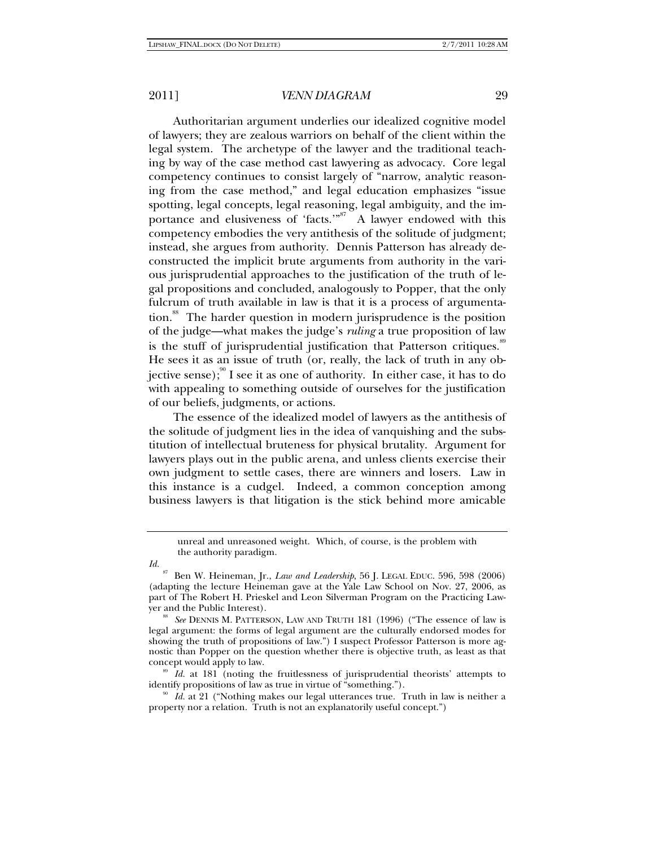Authoritarian argument underlies our idealized cognitive model of lawyers; they are zealous warriors on behalf of the client within the legal system. The archetype of the lawyer and the traditional teaching by way of the case method cast lawyering as advocacy. Core legal competency continues to consist largely of "narrow, analytic reasoning from the case method," and legal education emphasizes "issue spotting, legal concepts, legal reasoning, legal ambiguity, and the importance and elusiveness of 'facts.'"<sup>87</sup> A lawyer endowed with this competency embodies the very antithesis of the solitude of judgment; instead, she argues from authority. Dennis Patterson has already deconstructed the implicit brute arguments from authority in the various jurisprudential approaches to the justification of the truth of legal propositions and concluded, analogously to Popper, that the only fulcrum of truth available in law is that it is a process of argumentation.<sup>88</sup> The harder question in modern jurisprudence is the position of the judge—what makes the judge's *ruling* a true proposition of law is the stuff of jurisprudential justification that Patterson critiques.<sup>89</sup> He sees it as an issue of truth (or, really, the lack of truth in any objective sense); $\frac{90}{3}$  I see it as one of authority. In either case, it has to do with appealing to something outside of ourselves for the justification of our beliefs, judgments, or actions.

The essence of the idealized model of lawyers as the antithesis of the solitude of judgment lies in the idea of vanquishing and the substitution of intellectual bruteness for physical brutality. Argument for lawyers plays out in the public arena, and unless clients exercise their own judgment to settle cases, there are winners and losers. Law in this instance is a cudgel. Indeed, a common conception among business lawyers is that litigation is the stick behind more amicable

concept would apply to law.<br><sup>89</sup> *Id.* at 181 (noting the fruitlessness of jurisprudential theorists' attempts to identify propositions of law as true in virtue of "something.").

<sup>o</sup> Id. at 21 ("Nothing makes our legal utterances true. Truth in law is neither a property nor a relation. Truth is not an explanatorily useful concept.")

unreal and unreasoned weight. Which, of course, is the problem with the authority paradigm.

*Id.*

<sup>87</sup> Ben W. Heineman, Jr., *Law and Leadership*, 56 J. LEGAL EDUC. 596, 598 (2006) (adapting the lecture Heineman gave at the Yale Law School on Nov. 27, 2006, as part of The Robert H. Prieskel and Leon Silverman Program on the Practicing Law-

yer and the Public Interest). 88 *See* DENNIS M. PATTERSON, LAW AND TRUTH 181 (1996) ("The essence of law is legal argument: the forms of legal argument are the culturally endorsed modes for showing the truth of propositions of law.") I suspect Professor Patterson is more agnostic than Popper on the question whether there is objective truth, as least as that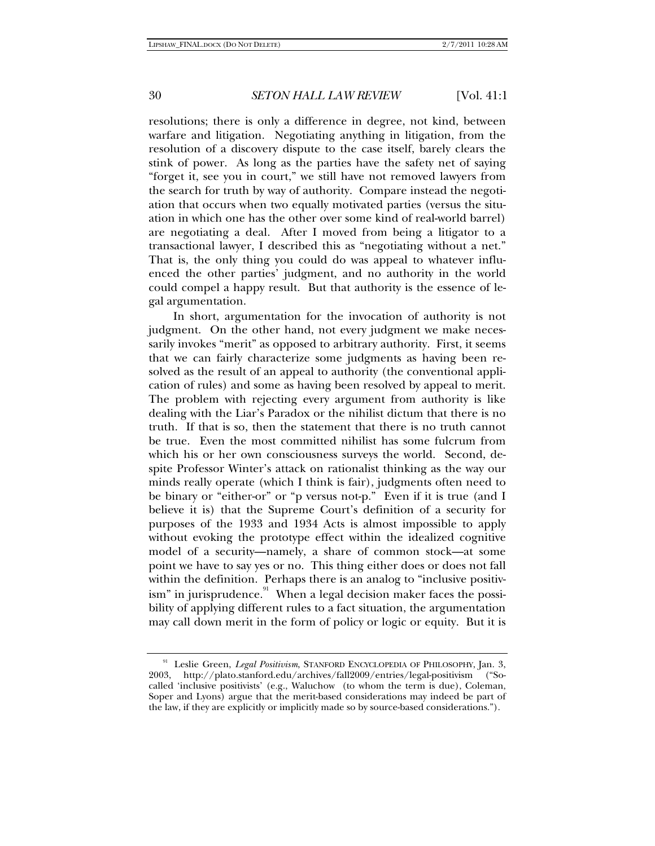resolutions; there is only a difference in degree, not kind, between warfare and litigation. Negotiating anything in litigation, from the resolution of a discovery dispute to the case itself, barely clears the stink of power. As long as the parties have the safety net of saying "forget it, see you in court," we still have not removed lawyers from the search for truth by way of authority. Compare instead the negotiation that occurs when two equally motivated parties (versus the situation in which one has the other over some kind of real-world barrel) are negotiating a deal. After I moved from being a litigator to a transactional lawyer, I described this as "negotiating without a net." That is, the only thing you could do was appeal to whatever influenced the other parties' judgment, and no authority in the world could compel a happy result. But that authority is the essence of legal argumentation.

In short, argumentation for the invocation of authority is not judgment. On the other hand, not every judgment we make necessarily invokes "merit" as opposed to arbitrary authority. First, it seems that we can fairly characterize some judgments as having been resolved as the result of an appeal to authority (the conventional application of rules) and some as having been resolved by appeal to merit. The problem with rejecting every argument from authority is like dealing with the Liar's Paradox or the nihilist dictum that there is no truth. If that is so, then the statement that there is no truth cannot be true. Even the most committed nihilist has some fulcrum from which his or her own consciousness surveys the world. Second, despite Professor Winter's attack on rationalist thinking as the way our minds really operate (which I think is fair), judgments often need to be binary or "either-or" or "p versus not-p." Even if it is true (and I believe it is) that the Supreme Court's definition of a security for purposes of the 1933 and 1934 Acts is almost impossible to apply without evoking the prototype effect within the idealized cognitive model of a security—namely, a share of common stock—at some point we have to say yes or no. This thing either does or does not fall within the definition. Perhaps there is an analog to "inclusive positivism" in jurisprudence. $\degree$  When a legal decision maker faces the possibility of applying different rules to a fact situation, the argumentation may call down merit in the form of policy or logic or equity. But it is

<sup>&</sup>lt;sup>91</sup> Leslie Green, *Legal Positivism*, STANFORD ENCYCLOPEDIA OF PHILOSOPHY, Jan. 3, 2003, http://plato.stanford.edu/archives/fall2009/entries/legal-positivism ("Socalled 'inclusive positivists' (e.g., Waluchow (to whom the term is due), Coleman, Soper and Lyons) argue that the merit-based considerations may indeed be part of the law, if they are explicitly or implicitly made so by source-based considerations.").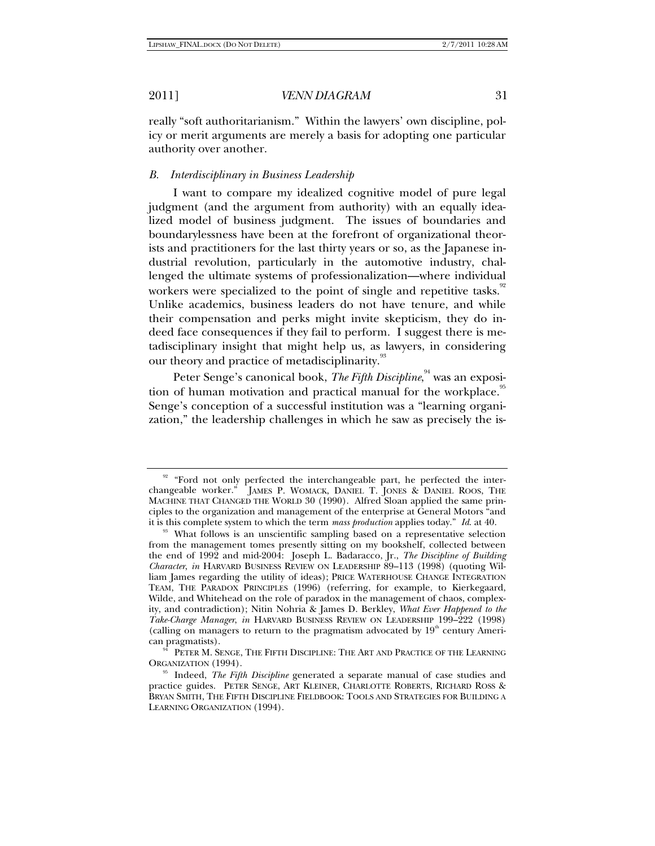really "soft authoritarianism." Within the lawyers' own discipline, policy or merit arguments are merely a basis for adopting one particular authority over another.

## *B. Interdisciplinary in Business Leadership*

I want to compare my idealized cognitive model of pure legal judgment (and the argument from authority) with an equally idealized model of business judgment. The issues of boundaries and boundarylessness have been at the forefront of organizational theorists and practitioners for the last thirty years or so, as the Japanese industrial revolution, particularly in the automotive industry, challenged the ultimate systems of professionalization—where individual workers were specialized to the point of single and repetitive tasks.<sup>92</sup> Unlike academics, business leaders do not have tenure, and while their compensation and perks might invite skepticism, they do indeed face consequences if they fail to perform. I suggest there is metadisciplinary insight that might help us, as lawyers, in considering our theory and practice of metadisciplinarity.<sup>93</sup>

Peter Senge's canonical book, *The Fifth Discipline,* $^{\textrm{\tiny{94}}}$  was an exposition of human motivation and practical manual for the workplace.<sup>95</sup> Senge's conception of a successful institution was a "learning organization," the leadership challenges in which he saw as precisely the is-

<sup>&</sup>lt;sup>92</sup> "Ford not only perfected the interchangeable part, he perfected the interchangeable worker." JAMES P. WOMACK, DANIEL T. JONES & DANIEL ROOS, THE MACHINE THAT CHANGED THE WORLD 30 (1990). Alfred Sloan applied the same principles to the organization and management of the enterprise at General Motors "and<br>it is this complete system to which the term *mass production* applies today." *Id.* at 40.

<sup>&</sup>lt;sup>93</sup> What follows is an unscientific sampling based on a representative selection from the management tomes presently sitting on my bookshelf, collected between the end of 1992 and mid-2004: Joseph L. Badaracco, Jr., *The Discipline of Building Character*, *in* HARVARD BUSINESS REVIEW ON LEADERSHIP 89–113 (1998) (quoting William James regarding the utility of ideas); PRICE WATERHOUSE CHANGE INTEGRATION TEAM, THE PARADOX PRINCIPLES (1996) (referring, for example, to Kierkegaard, Wilde, and Whitehead on the role of paradox in the management of chaos, complexity, and contradiction); Nitin Nohria & James D. Berkley, *What Ever Happened to the Take-Charge Manager*, *in* HARVARD BUSINESS REVIEW ON LEADERSHIP 199–222 (1998) (calling on managers to return to the pragmatism advocated by  $19<sup>th</sup>$  century Ameri-<br>can pragmatists).

 $^{94}$  PETER M. SENGE, THE FIFTH DISCIPLINE: THE ART AND PRACTICE OF THE LEARNING ORGANIZATION (1994).

<sup>&</sup>lt;sup>95</sup> Indeed, *The Fifth Discipline* generated a separate manual of case studies and practice guides. PETER SENGE, ART KLEINER, CHARLOTTE ROBERTS, RICHARD ROSS & BRYAN SMITH, THE FIFTH DISCIPLINE FIELDBOOK: TOOLS AND STRATEGIES FOR BUILDING A LEARNING ORGANIZATION (1994).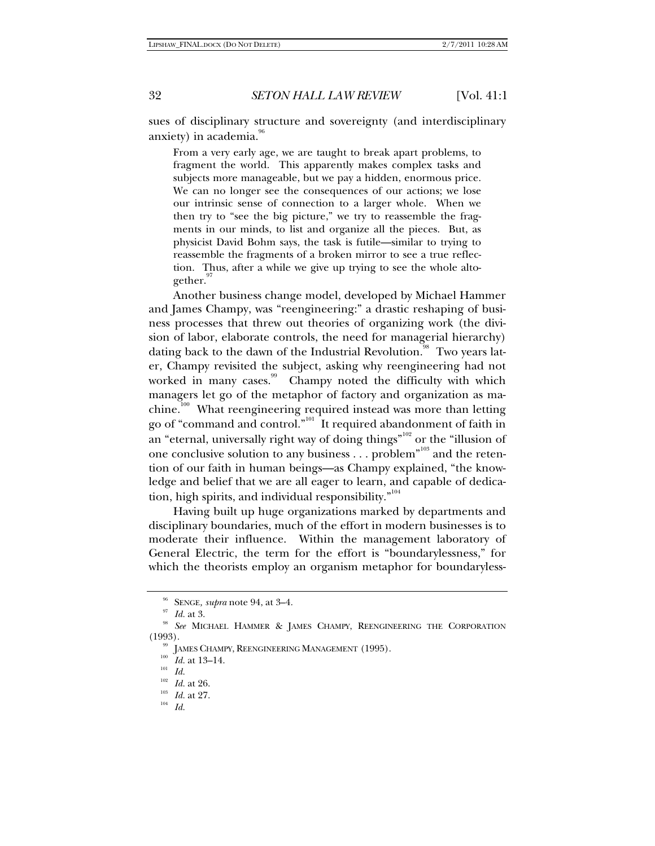sues of disciplinary structure and sovereignty (and interdisciplinary anxiety) in academia.

From a very early age, we are taught to break apart problems, to fragment the world. This apparently makes complex tasks and subjects more manageable, but we pay a hidden, enormous price. We can no longer see the consequences of our actions; we lose our intrinsic sense of connection to a larger whole. When we then try to "see the big picture," we try to reassemble the fragments in our minds, to list and organize all the pieces. But, as physicist David Bohm says, the task is futile—similar to trying to reassemble the fragments of a broken mirror to see a true reflection. Thus, after a while we give up trying to see the whole altogether.

Another business change model, developed by Michael Hammer and James Champy, was "reengineering:" a drastic reshaping of business processes that threw out theories of organizing work (the division of labor, elaborate controls, the need for managerial hierarchy) dating back to the dawn of the Industrial Revolution.<sup>98</sup> Two years later, Champy revisited the subject, asking why reengineering had not worked in many cases.<sup>99</sup> Champy noted the difficulty with which managers let go of the metaphor of factory and organization as machine.<sup>100</sup> What reengineering required instead was more than letting go of "command and control."101 It required abandonment of faith in an "eternal, universally right way of doing things"<sup>102</sup> or the "illusion of one conclusive solution to any business . . . problem"<sup>103</sup> and the retention of our faith in human beings—as Champy explained, "the knowledge and belief that we are all eager to learn, and capable of dedication, high spirits, and individual responsibility."<sup>104</sup>

Having built up huge organizations marked by departments and disciplinary boundaries, much of the effort in modern businesses is to moderate their influence. Within the management laboratory of General Electric, the term for the effort is "boundarylessness," for which the theorists employ an organism metaphor for boundaryless-

<sup>&</sup>lt;sup>96</sup> SENGE, *supra* note 94, at 3–4.<br><sup>97</sup> Id. at 3.<br><sup>98</sup> See MICHAEL HAMMER & JAMES CHAMPY, REENGINEERING THE CORPORATION (1993).<br><sup>99</sup> JAMES CHAMPY, REENGINEERING MANAGEMENT (1995).<br><sup>100</sup> *Id.* at 13–14.<br><sup>102</sup> *Id. Id.* 

 $\frac{102}{103}$  *Id.* at 26.

<sup>103</sup> *Id.* at 27. 104 *Id.*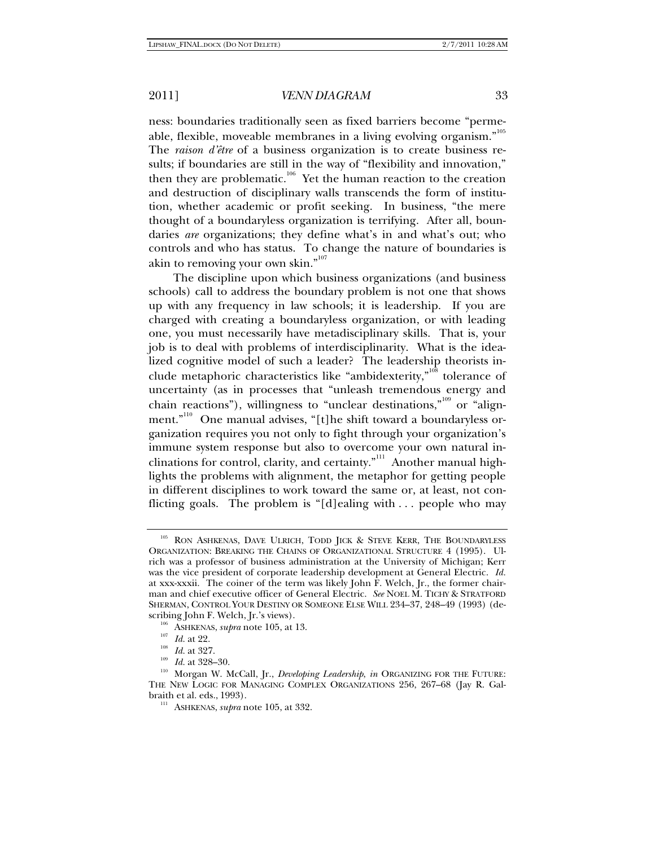ness: boundaries traditionally seen as fixed barriers become "permeable, flexible, moveable membranes in a living evolving organism." $^{105}$ The *raison d'être* of a business organization is to create business results; if boundaries are still in the way of "flexibility and innovation," then they are problematic.<sup>106</sup> Yet the human reaction to the creation and destruction of disciplinary walls transcends the form of institution, whether academic or profit seeking. In business, "the mere thought of a boundaryless organization is terrifying. After all, boundaries *are* organizations; they define what's in and what's out; who controls and who has status. To change the nature of boundaries is akin to removing your own skin."<sup>107</sup>

The discipline upon which business organizations (and business schools) call to address the boundary problem is not one that shows up with any frequency in law schools; it is leadership. If you are charged with creating a boundaryless organization, or with leading one, you must necessarily have metadisciplinary skills. That is, your job is to deal with problems of interdisciplinarity. What is the idealized cognitive model of such a leader? The leadership theorists include metaphoric characteristics like "ambidexterity," $108$  tolerance of uncertainty (as in processes that "unleash tremendous energy and chain reactions"), willingness to "unclear destinations,"<sup>109</sup> or "alignment."<sup>110</sup> One manual advises, "[t]he shift toward a boundaryless organization requires you not only to fight through your organization's immune system response but also to overcome your own natural inclinations for control, clarity, and certainty."<sup>111</sup> Another manual highlights the problems with alignment, the metaphor for getting people in different disciplines to work toward the same or, at least, not conflicting goals. The problem is "[d]ealing with . . . people who may

<sup>&</sup>lt;sup>105</sup> RON ASHKENAS, DAVE ULRICH, TODD JICK & STEVE KERR, THE BOUNDARYLESS ORGANIZATION: BREAKING THE CHAINS OF ORGANIZATIONAL STRUCTURE 4 (1995). Ulrich was a professor of business administration at the University of Michigan; Kerr was the vice president of corporate leadership development at General Electric. *Id.* at xxx-xxxii. The coiner of the term was likely John F. Welch, Jr., the former chairman and chief executive officer of General Electric. *See* NOEL M. TICHY & STRATFORD SHERMAN, CONTROL YOUR DESTINY OR SOMEONE ELSE WILL 234–37, 248–49 (1993) (de-

scribing John F. Welch, Jr.'s views).<br>
<sup>106</sup> ASHKENAS, *supra* note 105, at 13.<br>
<sup>107</sup> *Id.* at 22.<br>
<sup>109</sup> *Id.* at 327.<br>
<sup>109</sup> *Id.* at 328–30.<br>
<sup>109</sup> Morgan W. McCall, Jr., *Developing Leadership, in* ORGANIZING FOR THE THE NEW LOGIC FOR MANAGING COMPLEX ORGANIZATIONS 256, 267–68 (Jay R. Galbraith et al. eds., 1993). 111 ASHKENAS, *supra* note 105, at 332.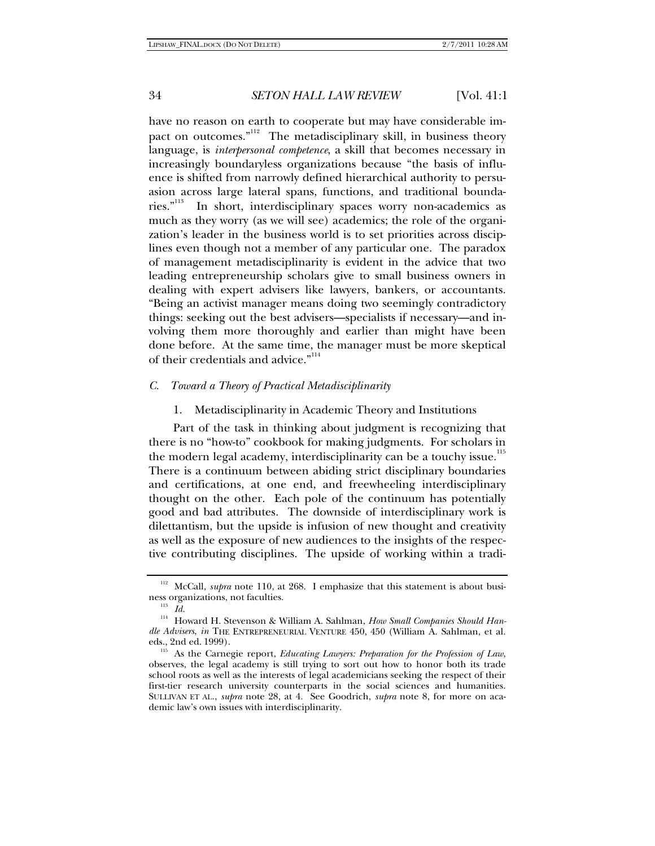have no reason on earth to cooperate but may have considerable impact on outcomes."<sup>112</sup> The metadisciplinary skill, in business theory language, is *interpersonal competence*, a skill that becomes necessary in increasingly boundaryless organizations because "the basis of influence is shifted from narrowly defined hierarchical authority to persuasion across large lateral spans, functions, and traditional boundaries."113 In short, interdisciplinary spaces worry non-academics as much as they worry (as we will see) academics; the role of the organization's leader in the business world is to set priorities across disciplines even though not a member of any particular one. The paradox of management metadisciplinarity is evident in the advice that two leading entrepreneurship scholars give to small business owners in dealing with expert advisers like lawyers, bankers, or accountants. "Being an activist manager means doing two seemingly contradictory things: seeking out the best advisers—specialists if necessary—and involving them more thoroughly and earlier than might have been done before. At the same time, the manager must be more skeptical of their credentials and advice."<sup>114</sup>

#### *C. Toward a Theory of Practical Metadisciplinarity*

1. Metadisciplinarity in Academic Theory and Institutions

Part of the task in thinking about judgment is recognizing that there is no "how-to" cookbook for making judgments. For scholars in the modern legal academy, interdisciplinarity can be a touchy issue.<sup>115</sup> There is a continuum between abiding strict disciplinary boundaries and certifications, at one end, and freewheeling interdisciplinary thought on the other. Each pole of the continuum has potentially good and bad attributes. The downside of interdisciplinary work is dilettantism, but the upside is infusion of new thought and creativity as well as the exposure of new audiences to the insights of the respective contributing disciplines. The upside of working within a tradi-

<sup>&</sup>lt;sup>112</sup> McCall, *supra* note 110, at 268. I emphasize that this statement is about business organizations, not faculties. 113 *Id.*

<sup>114</sup> Howard H. Stevenson & William A. Sahlman, *How Small Companies Should Handle Advisers*, *in* THE ENTREPRENEURIAL VENTURE 450, 450 (William A. Sahlman, et al. eds., 2nd ed. 1999).<br><sup>115</sup> As the Carnegie report, *Educating Lawyers: Preparation for the Profession of Law*,

observes, the legal academy is still trying to sort out how to honor both its trade school roots as well as the interests of legal academicians seeking the respect of their first-tier research university counterparts in the social sciences and humanities. SULLIVAN ET AL., *supra* note 28, at 4. See Goodrich, *supra* note 8, for more on academic law's own issues with interdisciplinarity.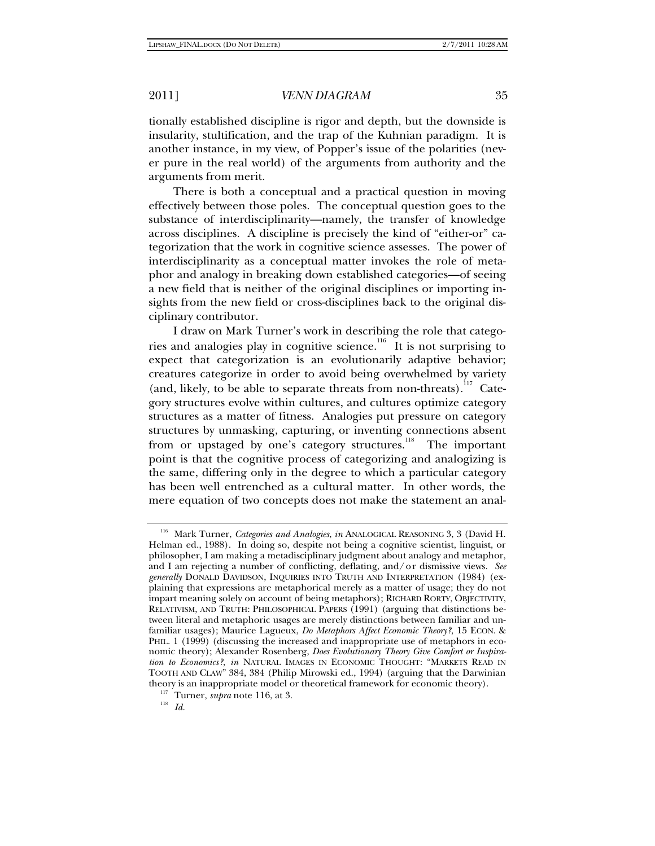tionally established discipline is rigor and depth, but the downside is insularity, stultification, and the trap of the Kuhnian paradigm. It is another instance, in my view, of Popper's issue of the polarities (never pure in the real world) of the arguments from authority and the arguments from merit.

There is both a conceptual and a practical question in moving effectively between those poles. The conceptual question goes to the substance of interdisciplinarity—namely, the transfer of knowledge across disciplines. A discipline is precisely the kind of "either-or" categorization that the work in cognitive science assesses. The power of interdisciplinarity as a conceptual matter invokes the role of metaphor and analogy in breaking down established categories—of seeing a new field that is neither of the original disciplines or importing insights from the new field or cross-disciplines back to the original disciplinary contributor.

I draw on Mark Turner's work in describing the role that categories and analogies play in cognitive science.<sup>116</sup> It is not surprising to expect that categorization is an evolutionarily adaptive behavior; creatures categorize in order to avoid being overwhelmed by variety (and, likely, to be able to separate threats from non-threats).<sup>117</sup> Category structures evolve within cultures, and cultures optimize category structures as a matter of fitness. Analogies put pressure on category structures by unmasking, capturing, or inventing connections absent from or upstaged by one's category structures.<sup>118</sup> The important point is that the cognitive process of categorizing and analogizing is the same, differing only in the degree to which a particular category has been well entrenched as a cultural matter. In other words, the mere equation of two concepts does not make the statement an anal-

<sup>116</sup> Mark Turner, *Categories and Analogies*, *in* ANALOGICAL REASONING 3, 3 (David H. Helman ed., 1988). In doing so, despite not being a cognitive scientist, linguist, or philosopher, I am making a metadisciplinary judgment about analogy and metaphor, and I am rejecting a number of conflicting, deflating, and/or dismissive views. *See generally* DONALD DAVIDSON, INQUIRIES INTO TRUTH AND INTERPRETATION (1984) (explaining that expressions are metaphorical merely as a matter of usage; they do not impart meaning solely on account of being metaphors); RICHARD RORTY, OBJECTIVITY, RELATIVISM, AND TRUTH: PHILOSOPHICAL PAPERS (1991) (arguing that distinctions between literal and metaphoric usages are merely distinctions between familiar and unfamiliar usages); Maurice Lagueux, *Do Metaphors Affect Economic Theory?*, 15 ECON. & PHIL. 1 (1999) (discussing the increased and inappropriate use of metaphors in economic theory); Alexander Rosenberg, *Does Evolutionary Theory Give Comfort or Inspiration to Economics?*, *in* NATURAL IMAGES IN ECONOMIC THOUGHT: "MARKETS READ IN TOOTH AND CLAW" 384, 384 (Philip Mirowski ed., 1994) (arguing that the Darwinian theory is an inappropriate model or theoretical framework for economic theory).<br><sup>117</sup> Turner, *supra* note 116, at 3.<br><sup>118</sup> *Id*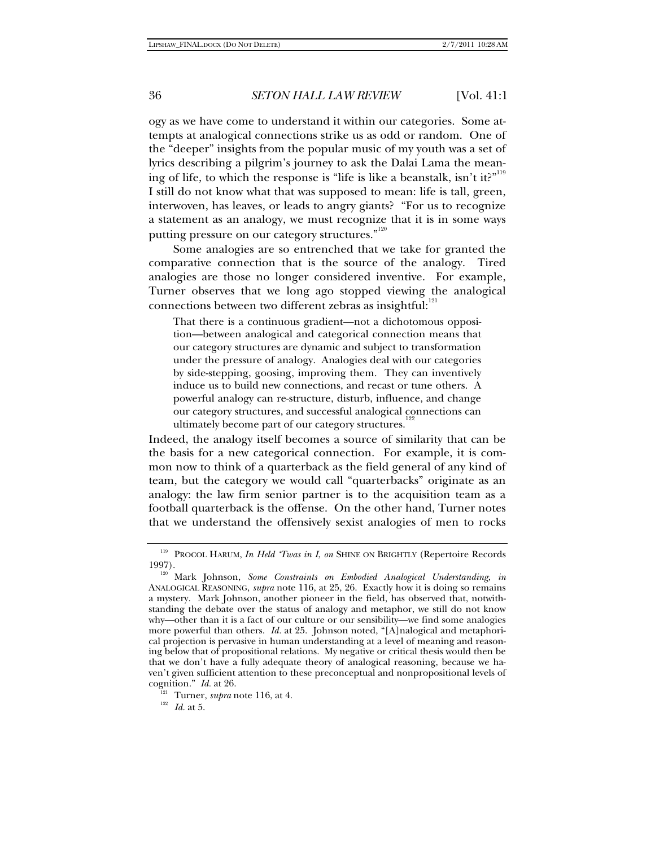ogy as we have come to understand it within our categories. Some attempts at analogical connections strike us as odd or random. One of the "deeper" insights from the popular music of my youth was a set of lyrics describing a pilgrim's journey to ask the Dalai Lama the meaning of life, to which the response is "life is like a beanstalk, isn't it?"<sup>119</sup> I still do not know what that was supposed to mean: life is tall, green, interwoven, has leaves, or leads to angry giants? "For us to recognize a statement as an analogy, we must recognize that it is in some ways putting pressure on our category structures."<sup>120</sup>

Some analogies are so entrenched that we take for granted the comparative connection that is the source of the analogy. Tired analogies are those no longer considered inventive. For example, Turner observes that we long ago stopped viewing the analogical connections between two different zebras as insightful: $^{121}$ 

That there is a continuous gradient—not a dichotomous opposition—between analogical and categorical connection means that our category structures are dynamic and subject to transformation under the pressure of analogy. Analogies deal with our categories by side-stepping, goosing, improving them. They can inventively induce us to build new connections, and recast or tune others. A powerful analogy can re-structure, disturb, influence, and change our category structures, and successful analogical connections can ultimately become part of our category structures.<sup>1</sup>

Indeed, the analogy itself becomes a source of similarity that can be the basis for a new categorical connection. For example, it is common now to think of a quarterback as the field general of any kind of team, but the category we would call "quarterbacks" originate as an analogy: the law firm senior partner is to the acquisition team as a football quarterback is the offense. On the other hand, Turner notes that we understand the offensively sexist analogies of men to rocks

<sup>&</sup>lt;sup>119</sup> PROCOL HARUM, *In Held 'Twas in I*, *on* SHINE ON BRIGHTLY (Repertoire Records 1997).

<sup>&</sup>lt;sup>120</sup> Mark Johnson, *Some Constraints on Embodied Analogical Understanding*, *in* ANALOGICAL REASONING, *supra* note 116, at 25, 26. Exactly how it is doing so remains a mystery. Mark Johnson, another pioneer in the field, has observed that, notwithstanding the debate over the status of analogy and metaphor, we still do not know why—other than it is a fact of our culture or our sensibility—we find some analogies more powerful than others. *Id.* at 25. Johnson noted, "[A]nalogical and metaphorical projection is pervasive in human understanding at a level of meaning and reasoning below that of propositional relations. My negative or critical thesis would then be that we don't have a fully adequate theory of analogical reasoning, because we haven't given sufficient attention to these preconceptual and nonpropositional levels of cognition." *Id.* at 26.<br><sup>121</sup> Turner, *supra* note 116, at 4.<br><sup>122</sup> *Id.* at 5.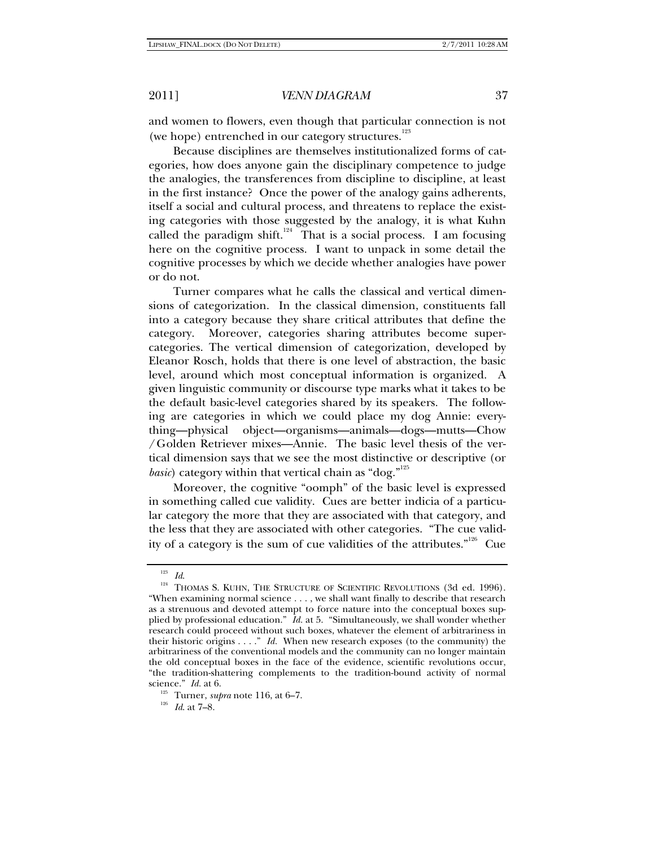and women to flowers, even though that particular connection is not (we hope) entrenched in our category structures.<sup>123</sup>

Because disciplines are themselves institutionalized forms of categories, how does anyone gain the disciplinary competence to judge the analogies, the transferences from discipline to discipline, at least in the first instance? Once the power of the analogy gains adherents, itself a social and cultural process, and threatens to replace the existing categories with those suggested by the analogy, it is what Kuhn called the paradigm shift.<sup>124</sup> That is a social process. I am focusing here on the cognitive process. I want to unpack in some detail the cognitive processes by which we decide whether analogies have power or do not.

Turner compares what he calls the classical and vertical dimensions of categorization. In the classical dimension, constituents fall into a category because they share critical attributes that define the category. Moreover, categories sharing attributes become supercategories. The vertical dimension of categorization, developed by Eleanor Rosch, holds that there is one level of abstraction, the basic level, around which most conceptual information is organized. A given linguistic community or discourse type marks what it takes to be the default basic-level categories shared by its speakers. The following are categories in which we could place my dog Annie: everything—physical object—organisms—animals—dogs—mutts—Chow /Golden Retriever mixes—Annie. The basic level thesis of the vertical dimension says that we see the most distinctive or descriptive (or *basic*) category within that vertical chain as "dog."<sup>125</sup>

Moreover, the cognitive "oomph" of the basic level is expressed in something called cue validity. Cues are better indicia of a particular category the more that they are associated with that category, and the less that they are associated with other categories. "The cue validity of a category is the sum of cue validities of the attributes."<sup>126</sup> Cue

<sup>&</sup>lt;sup>123</sup> *Id.* 124 THOMAS S. KUHN, THE STRUCTURE OF SCIENTIFIC REVOLUTIONS (3d ed. 1996). "When examining normal science . . . , we shall want finally to describe that research as a strenuous and devoted attempt to force nature into the conceptual boxes supplied by professional education." *Id.* at 5. "Simultaneously, we shall wonder whether research could proceed without such boxes, whatever the element of arbitrariness in their historic origins . . . ." *Id.* When new research exposes (to the community) the arbitrariness of the conventional models and the community can no longer maintain the old conceptual boxes in the face of the evidence, scientific revolutions occur, "the tradition-shattering complements to the tradition-bound activity of normal science." *Id.* at 6. 125 Turner, *supra* note 116, at 6–7. 126 *Id*. at 7–8.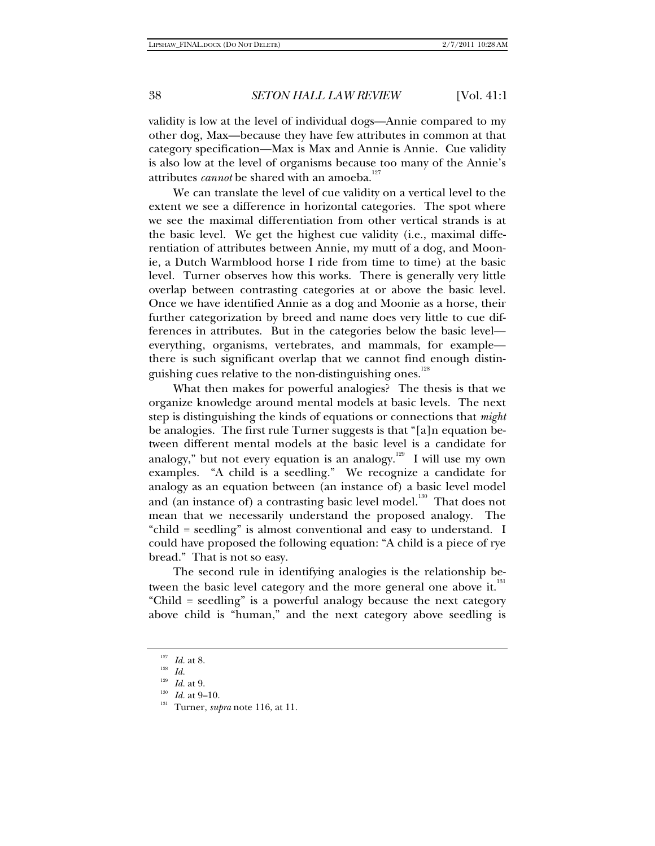validity is low at the level of individual dogs—Annie compared to my other dog, Max—because they have few attributes in common at that category specification—Max is Max and Annie is Annie. Cue validity is also low at the level of organisms because too many of the Annie's attributes *cannot* be shared with an amoeba.<sup>127</sup>

We can translate the level of cue validity on a vertical level to the extent we see a difference in horizontal categories. The spot where we see the maximal differentiation from other vertical strands is at the basic level. We get the highest cue validity (i.e., maximal differentiation of attributes between Annie, my mutt of a dog, and Moonie, a Dutch Warmblood horse I ride from time to time) at the basic level. Turner observes how this works. There is generally very little overlap between contrasting categories at or above the basic level. Once we have identified Annie as a dog and Moonie as a horse, their further categorization by breed and name does very little to cue differences in attributes. But in the categories below the basic level everything, organisms, vertebrates, and mammals, for example there is such significant overlap that we cannot find enough distinguishing cues relative to the non-distinguishing ones.<sup>128</sup>

What then makes for powerful analogies? The thesis is that we organize knowledge around mental models at basic levels. The next step is distinguishing the kinds of equations or connections that *might* be analogies. The first rule Turner suggests is that "[a]n equation between different mental models at the basic level is a candidate for analogy," but not every equation is an analogy.<sup>129</sup> I will use my own examples. "A child is a seedling." We recognize a candidate for analogy as an equation between (an instance of) a basic level model and (an instance of) a contrasting basic level model.<sup>130</sup> That does not mean that we necessarily understand the proposed analogy. The "child = seedling" is almost conventional and easy to understand. I could have proposed the following equation: "A child is a piece of rye bread." That is not so easy.

The second rule in identifying analogies is the relationship between the basic level category and the more general one above it.<sup>131</sup> "Child = seedling" is a powerful analogy because the next category above child is "human," and the next category above seedling is

<sup>&</sup>lt;sup>127</sup> *Id.* at 8.<br><sup>128</sup> *Id.*<br><sup>129</sup> *Id.* at 9.

<sup>&</sup>lt;sup>130</sup> *Id.* at 9–10.<br><sup>131</sup> Turner, *supra* note 116, at 11.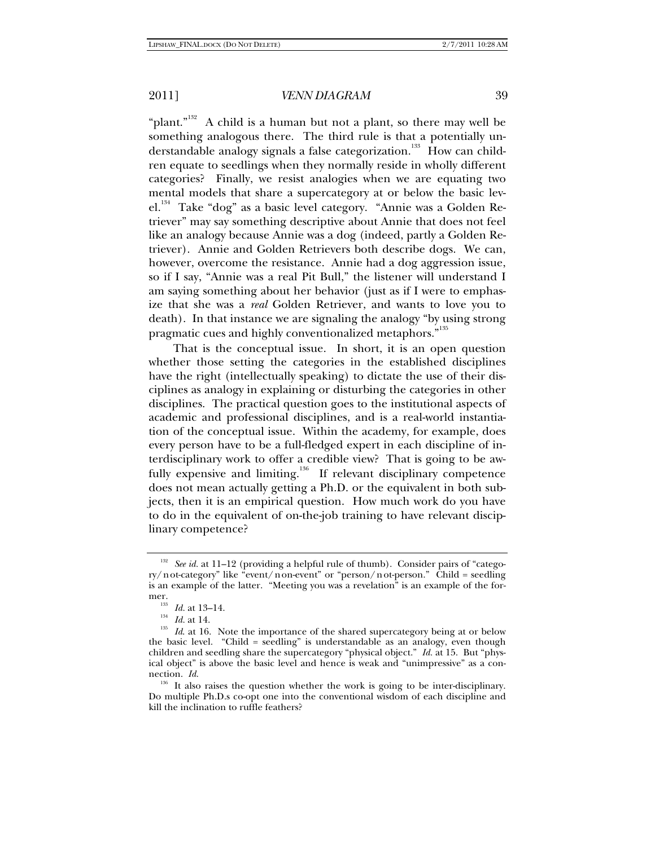"plant."<sup>132</sup> A child is a human but not a plant, so there may well be something analogous there. The third rule is that a potentially understandable analogy signals a false categorization.<sup>133</sup> How can children equate to seedlings when they normally reside in wholly different categories? Finally, we resist analogies when we are equating two mental models that share a supercategory at or below the basic lev $el.^{134}$  Take "dog" as a basic level category. "Annie was a Golden Retriever" may say something descriptive about Annie that does not feel like an analogy because Annie was a dog (indeed, partly a Golden Retriever). Annie and Golden Retrievers both describe dogs. We can, however, overcome the resistance. Annie had a dog aggression issue, so if I say, "Annie was a real Pit Bull," the listener will understand I am saying something about her behavior (just as if I were to emphasize that she was a *real* Golden Retriever, and wants to love you to death). In that instance we are signaling the analogy "by using strong pragmatic cues and highly conventionalized metaphors."<sup>135</sup>

That is the conceptual issue. In short, it is an open question whether those setting the categories in the established disciplines have the right (intellectually speaking) to dictate the use of their disciplines as analogy in explaining or disturbing the categories in other disciplines. The practical question goes to the institutional aspects of academic and professional disciplines, and is a real-world instantiation of the conceptual issue. Within the academy, for example, does every person have to be a full-fledged expert in each discipline of interdisciplinary work to offer a credible view? That is going to be awfully expensive and limiting.<sup>136</sup> If relevant disciplinary competence does not mean actually getting a Ph.D. or the equivalent in both subjects, then it is an empirical question. How much work do you have to do in the equivalent of on-the-job training to have relevant disciplinary competence?

<sup>&</sup>lt;sup>132</sup> See id. at 11–12 (providing a helpful rule of thumb). Consider pairs of "category/not-category" like "event/non-event" or "person/not-person." Child = seedling is an example of the latter. "Meeting you was a revelation" is an example of the for-

mer.<br><sup>133</sup> *Id.* at 13–14.<br><sup>135</sup> *Id.* at 14.<br><sup>135</sup> *Id.* at 16. Note the importance of the shared supercategory being at or below the basic level. "Child = seedling" is understandable as an analogy, even though children and seedling share the supercategory "physical object." *Id.* at 15. But "physical object" is above the basic level and hence is weak and "unimpressive" as a con-<br>nection.  $Id$ .

<sup>&</sup>lt;sup>136</sup> It also raises the question whether the work is going to be inter-disciplinary. Do multiple Ph.D.s co-opt one into the conventional wisdom of each discipline and kill the inclination to ruffle feathers?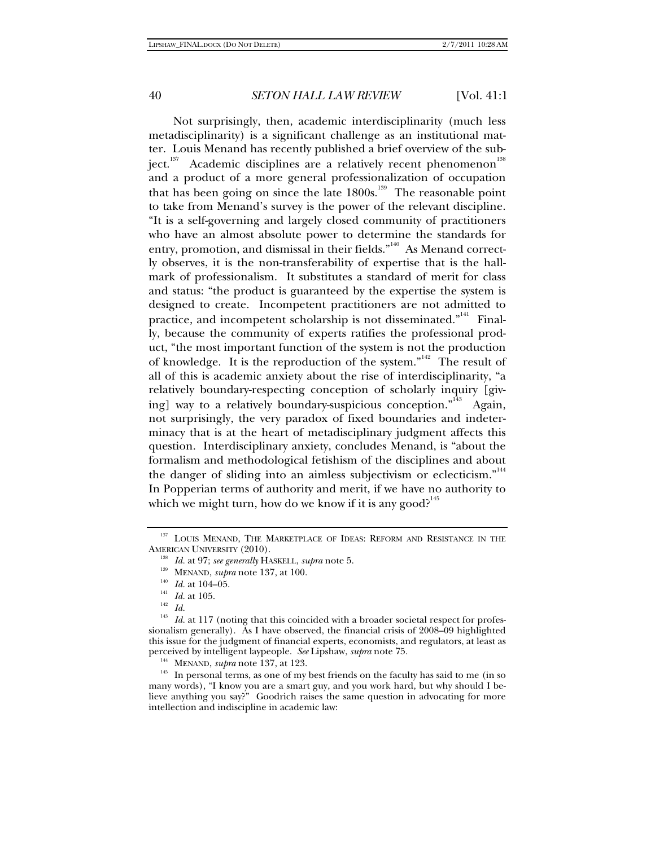Not surprisingly, then, academic interdisciplinarity (much less metadisciplinarity) is a significant challenge as an institutional matter. Louis Menand has recently published a brief overview of the subject. $137$  Academic disciplines are a relatively recent phenomenon<sup>138</sup> and a product of a more general professionalization of occupation that has been going on since the late  $1800s$ .<sup>139</sup> The reasonable point to take from Menand's survey is the power of the relevant discipline. "It is a self-governing and largely closed community of practitioners who have an almost absolute power to determine the standards for entry, promotion, and dismissal in their fields."<sup>140</sup> As Menand correctly observes, it is the non-transferability of expertise that is the hallmark of professionalism. It substitutes a standard of merit for class and status: "the product is guaranteed by the expertise the system is designed to create. Incompetent practitioners are not admitted to practice, and incompetent scholarship is not disseminated."<sup>141</sup> Finally, because the community of experts ratifies the professional product, "the most important function of the system is not the production of knowledge. It is the reproduction of the system."<sup>142</sup> The result of all of this is academic anxiety about the rise of interdisciplinarity, "a relatively boundary-respecting conception of scholarly inquiry [giving] way to a relatively boundary-suspicious conception."<sup>143</sup> Again, not surprisingly, the very paradox of fixed boundaries and indeterminacy that is at the heart of metadisciplinary judgment affects this question. Interdisciplinary anxiety, concludes Menand, is "about the formalism and methodological fetishism of the disciplines and about the danger of sliding into an aimless subjectivism or eclecticism."<sup>144</sup> In Popperian terms of authority and merit, if we have no authority to which we might turn, how do we know if it is any good?<sup>145</sup>

<sup>&</sup>lt;sup>137</sup> LOUIS MENAND, THE MARKETPLACE OF IDEAS: REFORM AND RESISTANCE IN THE AMERICAN UNIVERSITY (2010).<br><sup>138</sup> *Id.* at 97; *see generally* HASKELL, *supra* note 5.<br><sup>139</sup> MENAND, *supra* note 137, at 100.<br><sup>140</sup> *Id.* at 104–05.<br><sup>142</sup> *Id.* 1117 (potipa that this caincided with a

Id. at 117 (noting that this coincided with a broader societal respect for professionalism generally). As I have observed, the financial crisis of 2008–09 highlighted this issue for the judgment of financial experts, economists, and regulators, at least as perceived by intelligent laypeople. See Lipshaw, supra note 75.

<sup>&</sup>lt;sup>144</sup> MENAND, *supra* note 137, at 123. **145** In personal terms, as one of my best friends on the faculty has said to me (in so many words), "I know you are a smart guy, and you work hard, but why should I believe anything you say?" Goodrich raises the same question in advocating for more intellection and indiscipline in academic law: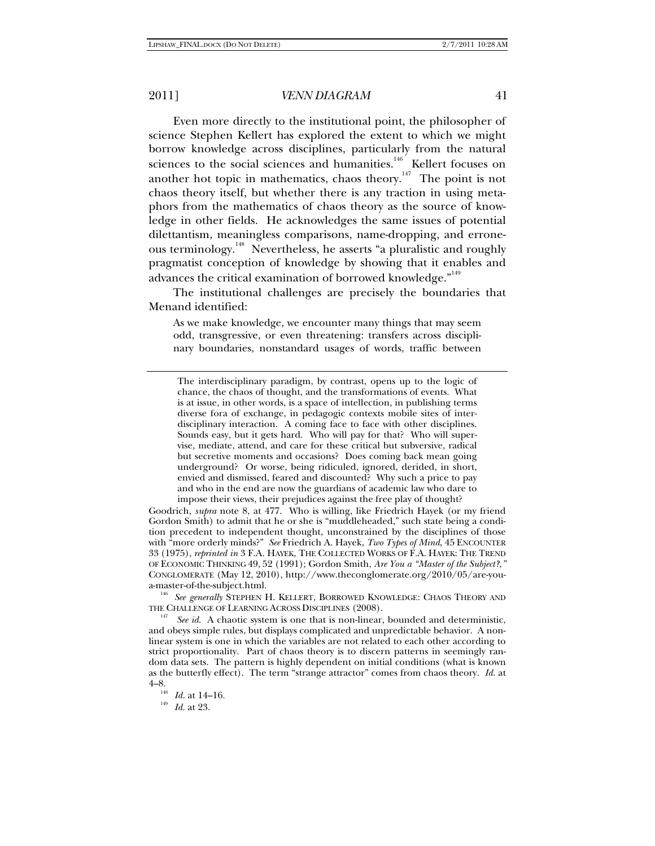Even more directly to the institutional point, the philosopher of science Stephen Kellert has explored the extent to which we might borrow knowledge across disciplines, particularly from the natural sciences to the social sciences and humanities.<sup>146</sup> Kellert focuses on another hot topic in mathematics, chaos theory.147 The point is not chaos theory itself, but whether there is any traction in using metaphors from the mathematics of chaos theory as the source of knowledge in other fields. He acknowledges the same issues of potential dilettantism, meaningless comparisons, name-dropping, and erroneous terminology.<sup>148</sup> Nevertheless, he asserts "a pluralistic and roughly pragmatist conception of knowledge by showing that it enables and advances the critical examination of borrowed knowledge. $^{\rm n49}$ 

The institutional challenges are precisely the boundaries that Menand identified:

As we make knowledge, we encounter many things that may seem odd, transgressive, or even threatening: transfers across disciplinary boundaries, nonstandard usages of words, traffic between

The interdisciplinary paradigm, by contrast, opens up to the logic of chance, the chaos of thought, and the transformations of events. What is at issue, in other words, is a space of intellection, in publishing terms diverse fora of exchange, in pedagogic contexts mobile sites of interdisciplinary interaction. A coming face to face with other disciplines. Sounds easy, but it gets hard. Who will pay for that? Who will supervise, mediate, attend, and care for these critical but subversive, radical but secretive moments and occasions? Does coming back mean going underground? Or worse, being ridiculed, ignored, derided, in short, envied and dismissed, feared and discounted? Why such a price to pay and who in the end are now the guardians of academic law who dare to impose their views, their prejudices against the free play of thought?

Goodrich, *supra* note 8, at 477. Who is willing, like Friedrich Hayek (or my friend Gordon Smith) to admit that he or she is "muddleheaded," such state being a condition precedent to independent thought, unconstrained by the disciplines of those with "more orderly minds?" *See* Friedrich A. Hayek, *Two Types of Mind*, 45 ENCOUNTER 33 (1975), *reprinted in* 3 F.A. HAYEK, THE COLLECTED WORKS OF F.A. HAYEK: THE TREND OF ECONOMIC THINKING 49, 52 (1991); Gordon Smith, *Are You a "Master of the Subject?*,*"* CONGLOMERATE (May 12, 2010), http://www.theconglomerate.org/2010/05/are-you-

a-master-of-the-subject.html. 146 *See generally* STEPHEN H. KELLERT, BORROWED KNOWLEDGE: CHAOS THEORY AND THE CHALLENGE OF LEARNING ACROSS DISCIPLINES (2008).

<sup>147</sup> See id. A chaotic system is one that is non-linear, bounded and deterministic, and obeys simple rules, but displays complicated and unpredictable behavior. A nonlinear system is one in which the variables are not related to each other according to strict proportionality. Part of chaos theory is to discern patterns in seemingly random data sets. The pattern is highly dependent on initial conditions (what is known as the butterfly effect). The term "strange attractor" comes from chaos theory. *Id.* at 4–8. 148 *Id.* at 14–16. 149 *Id.* at 23.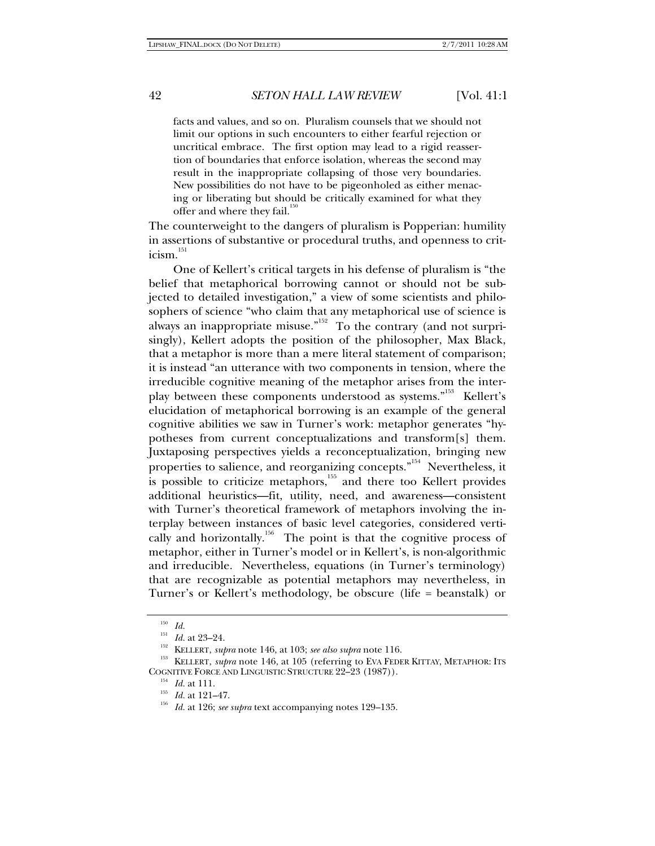facts and values, and so on. Pluralism counsels that we should not limit our options in such encounters to either fearful rejection or uncritical embrace. The first option may lead to a rigid reassertion of boundaries that enforce isolation, whereas the second may result in the inappropriate collapsing of those very boundaries. New possibilities do not have to be pigeonholed as either menacing or liberating but should be critically examined for what they offer and where they fail.<sup>150</sup>

The counterweight to the dangers of pluralism is Popperian: humility in assertions of substantive or procedural truths, and openness to crit $icism.$ <sup>151</sup>

One of Kellert's critical targets in his defense of pluralism is "the belief that metaphorical borrowing cannot or should not be subjected to detailed investigation," a view of some scientists and philosophers of science "who claim that any metaphorical use of science is always an inappropriate misuse." $\overline{1}$  To the contrary (and not surprisingly), Kellert adopts the position of the philosopher, Max Black, that a metaphor is more than a mere literal statement of comparison; it is instead "an utterance with two components in tension, where the irreducible cognitive meaning of the metaphor arises from the interplay between these components understood as systems."<sup>153</sup> Kellert's elucidation of metaphorical borrowing is an example of the general cognitive abilities we saw in Turner's work: metaphor generates "hypotheses from current conceptualizations and transform[s] them. Juxtaposing perspectives yields a reconceptualization, bringing new properties to salience, and reorganizing concepts."<sup>154</sup> Nevertheless, it is possible to criticize metaphors, $155$  and there too Kellert provides additional heuristics—fit, utility, need, and awareness—consistent with Turner's theoretical framework of metaphors involving the interplay between instances of basic level categories, considered vertically and horizontally.<sup>156</sup> The point is that the cognitive process of metaphor, either in Turner's model or in Kellert's, is non-algorithmic and irreducible. Nevertheless, equations (in Turner's terminology) that are recognizable as potential metaphors may nevertheless, in Turner's or Kellert's methodology, be obscure (life = beanstalk) or

 $\frac{150}{151}$  *Id.* at 23–24.

<sup>&</sup>lt;sup>152</sup> KELLERT, *supra* note 146, at 103; *see also supra* note 116.<br><sup>153</sup> KELLERT, *supra* note 146, at 105 (referring to EVA FEDER KITTAY, METAPHOR: ITS<br>COGNITIVE FORCE AND LINGUISTIC STRUCTURE 22–23 (1987)).

<sup>&</sup>lt;sup>154</sup> *Id.* at 111.<br><sup>155</sup> *Id.* at 121–47.<br><sup>156</sup> *Id.* at 126; *see supra* text accompanying notes 129–135.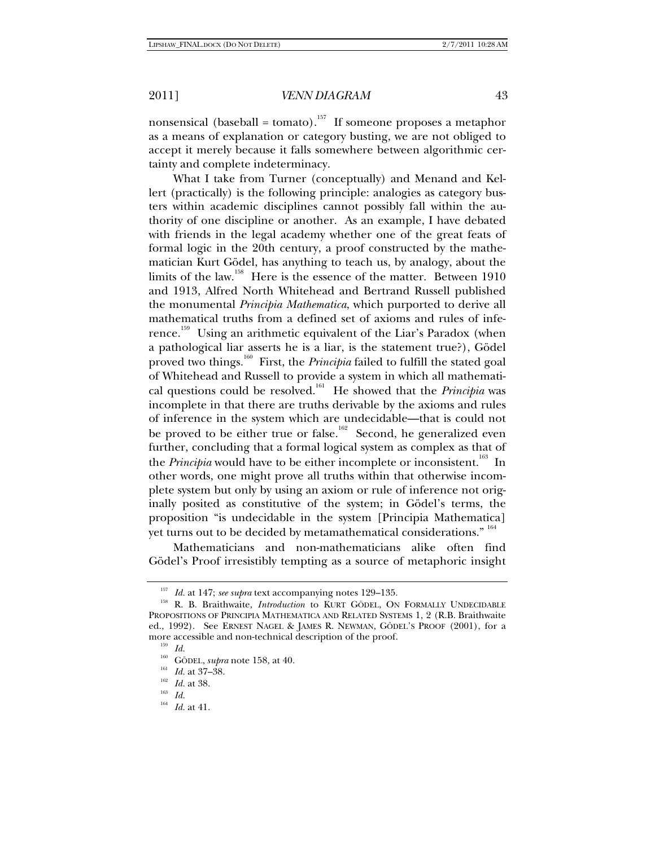nonsensical (baseball = tomato).<sup>157</sup> If someone proposes a metaphor as a means of explanation or category busting, we are not obliged to accept it merely because it falls somewhere between algorithmic certainty and complete indeterminacy.

What I take from Turner (conceptually) and Menand and Kellert (practically) is the following principle: analogies as category busters within academic disciplines cannot possibly fall within the authority of one discipline or another. As an example, I have debated with friends in the legal academy whether one of the great feats of formal logic in the 20th century, a proof constructed by the mathematician Kurt Gödel, has anything to teach us, by analogy, about the limits of the law.<sup>158</sup> Here is the essence of the matter. Between 1910 and 1913, Alfred North Whitehead and Bertrand Russell published the monumental *Principia Mathematica*, which purported to derive all mathematical truths from a defined set of axioms and rules of inference.159 Using an arithmetic equivalent of the Liar's Paradox (when a pathological liar asserts he is a liar, is the statement true?), Gödel proved two things.<sup>160</sup> First, the *Principia* failed to fulfill the stated goal of Whitehead and Russell to provide a system in which all mathematical questions could be resolved.<sup>161</sup> He showed that the *Principia* was incomplete in that there are truths derivable by the axioms and rules of inference in the system which are undecidable—that is could not be proved to be either true or false.<sup>162</sup> Second, he generalized even further, concluding that a formal logical system as complex as that of the *Principia* would have to be either incomplete or inconsistent.<sup>163</sup> In other words, one might prove all truths within that otherwise incomplete system but only by using an axiom or rule of inference not originally posited as constitutive of the system; in Gödel's terms, the proposition "is undecidable in the system [Principia Mathematica] yet turns out to be decided by metamathematical considerations." <sup>164</sup>

Mathematicians and non-mathematicians alike often find Gödel's Proof irresistibly tempting as a source of metaphoric insight

<sup>&</sup>lt;sup>157</sup> Id. at 147; *see supra* text accompanying notes 129–135.<br><sup>158</sup> R. B. Braithwaite, *Introduction* to KURT GÖDEL, ON FORMALLY UNDECIDABLE PROPOSITIONS OF PRINCIPIA MATHEMATICA AND RELATED SYSTEMS 1, 2 (R.B. Braithwaite ed., 1992). See ERNEST NAGEL & JAMES R. NEWMAN, GÖDEL'S PROOF (2001), for a more accessible and non-technical description of the proof.<br>
<sup>159</sup> *Id.*<br>
<sup>160</sup> GÖDEL, *supra* note 158, at 40.<br>
<sup>161</sup> *Id.* at 37–38.<br>
<sup>162</sup> *Id.* at 38.<br>
<sup>163</sup> *Id.*<br>
<sup>164</sup> *Id.* at 41

*Id.* at 41.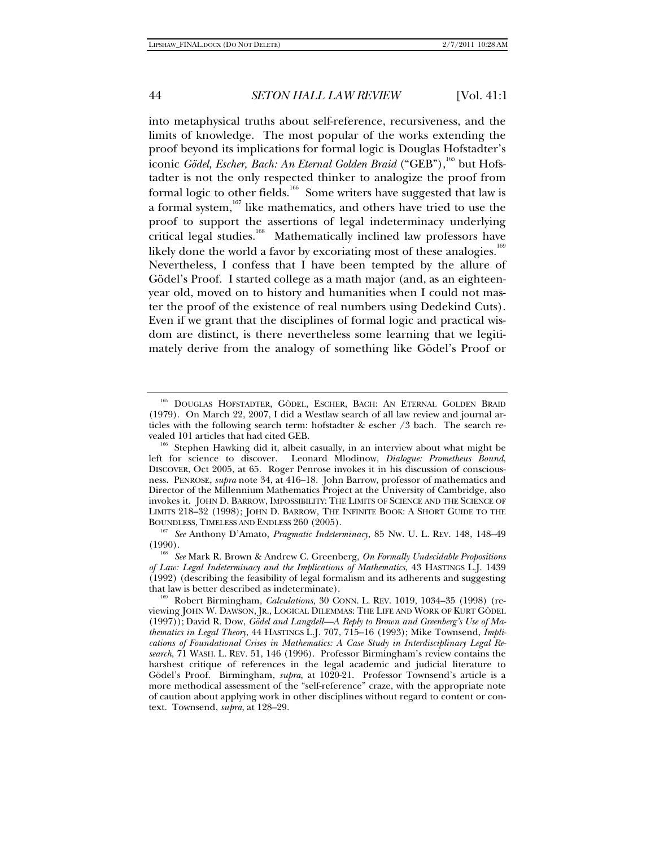into metaphysical truths about self-reference, recursiveness, and the limits of knowledge. The most popular of the works extending the proof beyond its implications for formal logic is Douglas Hofstadter's iconic *Gödel, Escher, Bach: An Eternal Golden Braid* ("GEB"),<sup>165</sup> but Hofstadter is not the only respected thinker to analogize the proof from formal logic to other fields.<sup>166</sup> Some writers have suggested that law is a formal system,<sup>167</sup> like mathematics, and others have tried to use the proof to support the assertions of legal indeterminacy underlying critical legal studies.<sup>168</sup> Mathematically inclined law professors have likely done the world a favor by excoriating most of these analogies.<sup>169</sup> Nevertheless, I confess that I have been tempted by the allure of Gödel's Proof. I started college as a math major (and, as an eighteenyear old, moved on to history and humanities when I could not master the proof of the existence of real numbers using Dedekind Cuts). Even if we grant that the disciplines of formal logic and practical wisdom are distinct, is there nevertheless some learning that we legitimately derive from the analogy of something like Gödel's Proof or

<sup>165</sup> DOUGLAS HOFSTADTER, GÖDEL, ESCHER, BACH: AN ETERNAL GOLDEN BRAID (1979). On March 22, 2007, I did a Westlaw search of all law review and journal articles with the following search term: hofstadter & escher /3 bach. The search re-

vealed 101 articles that had cited GEB.<br><sup>166</sup> Stephen Hawking did it, albeit casually, in an interview about what might be left for science to discover. Leonard Mlodinow, *Dialogue: Prometheus Bound*, DISCOVER, Oct 2005, at 65. Roger Penrose invokes it in his discussion of consciousness. PENROSE, *supra* note 34, at 416–18. John Barrow, professor of mathematics and Director of the Millennium Mathematics Project at the University of Cambridge, also invokes it. JOHN D. BARROW, IMPOSSIBILITY: THE LIMITS OF SCIENCE AND THE SCIENCE OF LIMITS 218–32 (1998); JOHN D. BARROW, THE INFINITE BOOK: A SHORT GUIDE TO THE BOUNDLESS, TIMELESS AND ENDLESS 260 (2005).

<sup>&</sup>lt;sup>167</sup> See Anthony D'Amato, *Pragmatic Indeterminacy*, 85 Nw. U. L. REV. 148, 148–49 (1990).

<sup>&</sup>lt;sup>168</sup> See Mark R. Brown & Andrew C. Greenberg, On Formally Undecidable Propositions *of Law: Legal Indeterminacy and the Implications of Mathematics*, 43 HASTINGS L.J. 1439 (1992) (describing the feasibility of legal formalism and its adherents and suggesting that law is better described as indeterminate).<br><sup>169</sup> Robert Birmingham, *Calculations*, 30 CONN. L. REV. 1019, 1034–35 (1998) (re-

viewing JOHN W. DAWSON, JR., LOGICAL DILEMMAS: THE LIFE AND WORK OF KURT GÖDEL (1997)); David R. Dow, *Gödel and Langdell—A Reply to Brown and Greenberg's Use of Mathematics in Legal Theory*, 44 HASTINGS L.J*.* 707, 715–16 (1993); Mike Townsend, *Implications of Foundational Crises in Mathematics: A Case Study in Interdisciplinary Legal Research*, 71 WASH. L. REV*.* 51, 146 (1996). Professor Birmingham's review contains the harshest critique of references in the legal academic and judicial literature to Gödel's Proof. Birmingham, *supra*, at 1020-21. Professor Townsend's article is a more methodical assessment of the "self-reference" craze, with the appropriate note of caution about applying work in other disciplines without regard to content or context. Townsend, *supra*, at 128–29.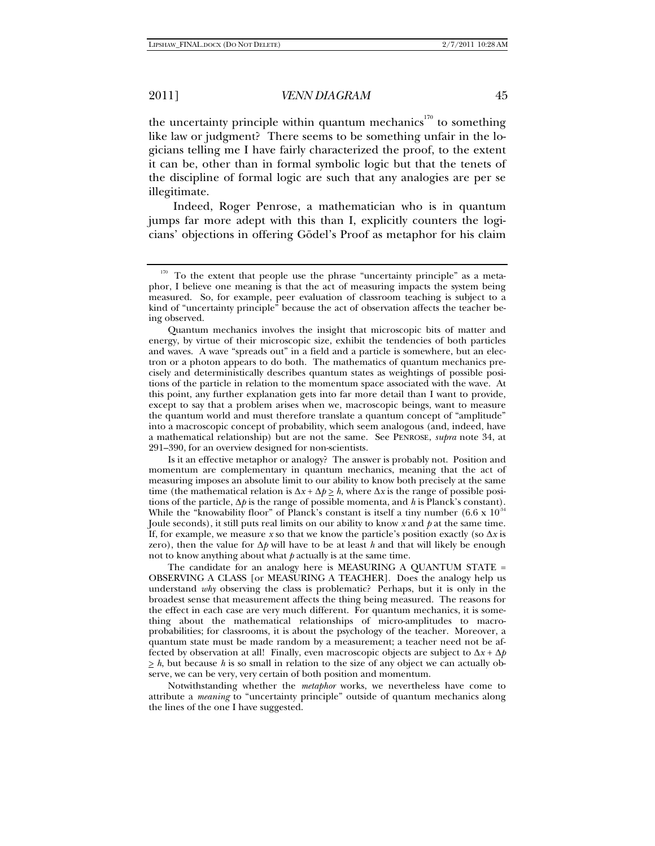the uncertainty principle within quantum mechanics<sup>170</sup> to something like law or judgment? There seems to be something unfair in the logicians telling me I have fairly characterized the proof, to the extent it can be, other than in formal symbolic logic but that the tenets of the discipline of formal logic are such that any analogies are per se illegitimate.

Indeed, Roger Penrose, a mathematician who is in quantum jumps far more adept with this than I, explicitly counters the logicians' objections in offering Gödel's Proof as metaphor for his claim

Is it an effective metaphor or analogy? The answer is probably not. Position and momentum are complementary in quantum mechanics, meaning that the act of measuring imposes an absolute limit to our ability to know both precisely at the same time (the mathematical relation is  $\Delta x + \Delta p \geq h$ , where  $\Delta x$  is the range of possible positions of the particle, Δ*p* is the range of possible momenta, and *h* is Planck's constant). While the "knowability floor" of Planck's constant is itself a tiny number  $(6.6 \times 10^3$ Joule seconds), it still puts real limits on our ability to know *x* and *p* at the same time. If, for example, we measure *x* so that we know the particle's position exactly (so  $\Delta x$  is zero), then the value for Δ*p* will have to be at least *h* and that will likely be enough not to know anything about what *p* actually is at the same time.

The candidate for an analogy here is MEASURING A QUANTUM STATE = OBSERVING A CLASS [or MEASURING A TEACHER]. Does the analogy help us understand *why* observing the class is problematic? Perhaps, but it is only in the broadest sense that measurement affects the thing being measured. The reasons for the effect in each case are very much different. For quantum mechanics, it is something about the mathematical relationships of micro-amplitudes to macroprobabilities; for classrooms, it is about the psychology of the teacher. Moreover, a quantum state must be made random by a measurement; a teacher need not be affected by observation at all! Finally, even macroscopic objects are subject to  $\Delta x + \Delta p$  $\geq h$ , but because *h* is so small in relation to the size of any object we can actually observe, we can be very, very certain of both position and momentum.

Notwithstanding whether the *metaphor* works, we nevertheless have come to attribute a *meaning* to "uncertainty principle" outside of quantum mechanics along the lines of the one I have suggested.

<sup>&</sup>lt;sup>170</sup> To the extent that people use the phrase "uncertainty principle" as a metaphor, I believe one meaning is that the act of measuring impacts the system being measured. So, for example, peer evaluation of classroom teaching is subject to a kind of "uncertainty principle" because the act of observation affects the teacher being observed.

Quantum mechanics involves the insight that microscopic bits of matter and energy, by virtue of their microscopic size, exhibit the tendencies of both particles and waves. A wave "spreads out" in a field and a particle is somewhere, but an electron or a photon appears to do both. The mathematics of quantum mechanics precisely and deterministically describes quantum states as weightings of possible positions of the particle in relation to the momentum space associated with the wave. At this point, any further explanation gets into far more detail than I want to provide, except to say that a problem arises when we, macroscopic beings, want to measure the quantum world and must therefore translate a quantum concept of "amplitude" into a macroscopic concept of probability, which seem analogous (and, indeed, have a mathematical relationship) but are not the same. See PENROSE, *supra* note 34, at 291–390, for an overview designed for non-scientists.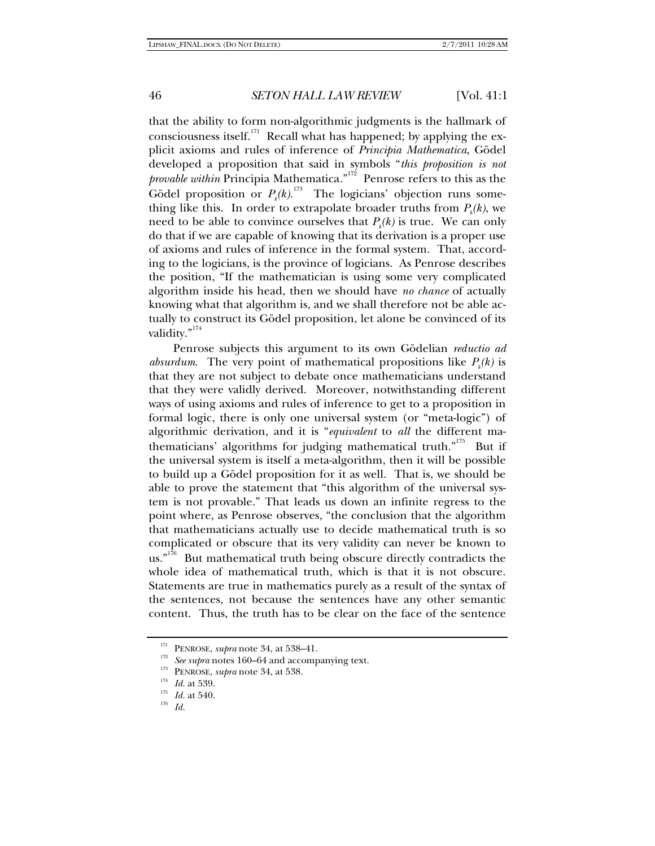that the ability to form non-algorithmic judgments is the hallmark of consciousness itself.<sup>171</sup> Recall what has happened; by applying the explicit axioms and rules of inference of *Principia Mathematica*, Gödel developed a proposition that said in symbols "*this proposition is not provable within* Principia Mathematica*.*" 172 Penrose refers to this as the Gödel proposition or  $P_k(k)$ .<sup>173</sup> The logicians' objection runs something like this. In order to extrapolate broader truths from  $P_k(k)$ , we need to be able to convince ourselves that  $P_k(k)$  is true. We can only do that if we are capable of knowing that its derivation is a proper use of axioms and rules of inference in the formal system. That, according to the logicians, is the province of logicians. As Penrose describes the position, "If the mathematician is using some very complicated algorithm inside his head, then we should have *no chance* of actually knowing what that algorithm is, and we shall therefore not be able actually to construct its Gödel proposition, let alone be convinced of its validity."<sup>174</sup>

Penrose subjects this argument to its own Gödelian *reductio ad absurdum*. The very point of mathematical propositions like  $P_k(k)$  is that they are not subject to debate once mathematicians understand that they were validly derived. Moreover, notwithstanding different ways of using axioms and rules of inference to get to a proposition in formal logic, there is only one universal system (or "meta-logic") of algorithmic derivation, and it is "*equivalent* to *all* the different mathematicians' algorithms for judging mathematical truth."<sup>175</sup> But if the universal system is itself a meta-algorithm, then it will be possible to build up a Gödel proposition for it as well. That is, we should be able to prove the statement that "this algorithm of the universal system is not provable." That leads us down an infinite regress to the point where, as Penrose observes, "the conclusion that the algorithm that mathematicians actually use to decide mathematical truth is so complicated or obscure that its very validity can never be known to  $\text{u}$ s.<sup> $n^{176}$ </sup> But mathematical truth being obscure directly contradicts the whole idea of mathematical truth, which is that it is not obscure. Statements are true in mathematics purely as a result of the syntax of the sentences, not because the sentences have any other semantic content. Thus, the truth has to be clear on the face of the sentence

<sup>&</sup>lt;sup>172</sup> PENROSE, *supra* note 34, at 538–41.<br><sup>172</sup> *See supra* notes 160–64 and accompanying text.<br><sup>173</sup> PENROSE, *supra* note 34, at 538.<br><sup>174</sup> *Id.* at 539.<br>*II*<sub>6</sub> *Id.* at 540.<br>*I*<sup>176</sup> *Id.*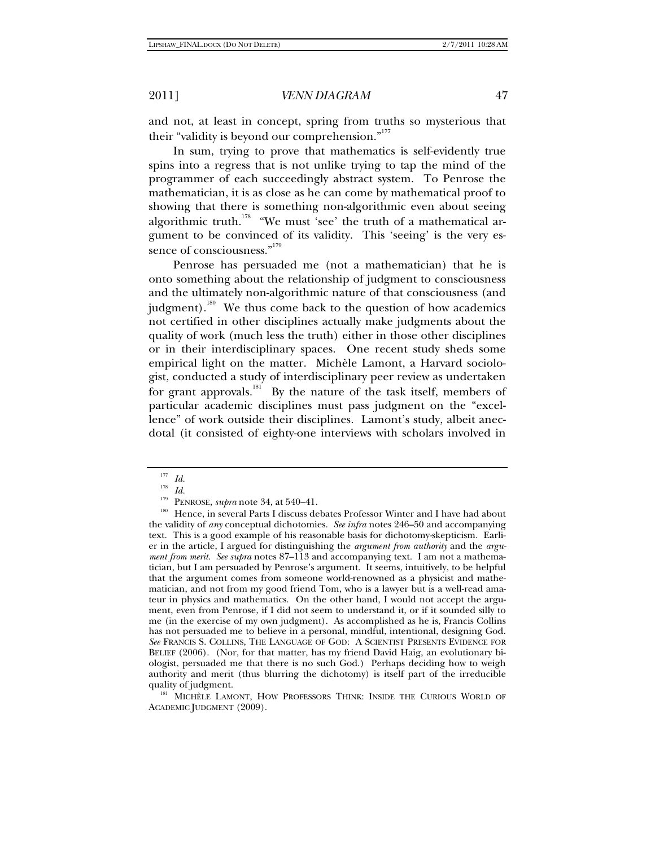and not, at least in concept, spring from truths so mysterious that their "validity is beyond our comprehension."<sup>177</sup>

In sum, trying to prove that mathematics is self-evidently true spins into a regress that is not unlike trying to tap the mind of the programmer of each succeedingly abstract system. To Penrose the mathematician, it is as close as he can come by mathematical proof to showing that there is something non-algorithmic even about seeing algorithmic truth.<sup>178</sup> "We must 'see' the truth of a mathematical argument to be convinced of its validity. This 'seeing' is the very essence of consciousness."<sup>179</sup>

Penrose has persuaded me (not a mathematician) that he is onto something about the relationship of judgment to consciousness and the ultimately non-algorithmic nature of that consciousness (and judgment).<sup>180</sup> We thus come back to the question of how academics not certified in other disciplines actually make judgments about the quality of work (much less the truth) either in those other disciplines or in their interdisciplinary spaces. One recent study sheds some empirical light on the matter. Michèle Lamont, a Harvard sociologist, conducted a study of interdisciplinary peer review as undertaken for grant approvals.<sup>181</sup> By the nature of the task itself, members of particular academic disciplines must pass judgment on the "excellence" of work outside their disciplines. Lamont's study, albeit anecdotal (it consisted of eighty-one interviews with scholars involved in

 $\begin{array}{cc} ^{177} & Id. \\ ^{178} & Id. \end{array}$ 

<sup>&</sup>lt;sup>179</sup> PENROSE, *supra* note 34, at 540–41.<br><sup>180</sup> Hence, in several Parts I discuss debates Professor Winter and I have had about the validity of *any* conceptual dichotomies. *See infra* notes 246–50 and accompanying text. This is a good example of his reasonable basis for dichotomy-skepticism. Earlier in the article, I argued for distinguishing the *argument from authority* and the *argument from merit*. *See supra* notes 87–113 and accompanying text. I am not a mathematician, but I am persuaded by Penrose's argument. It seems, intuitively, to be helpful that the argument comes from someone world-renowned as a physicist and mathematician, and not from my good friend Tom, who is a lawyer but is a well-read amateur in physics and mathematics. On the other hand, I would not accept the argument, even from Penrose, if I did not seem to understand it, or if it sounded silly to me (in the exercise of my own judgment). As accomplished as he is, Francis Collins has not persuaded me to believe in a personal, mindful, intentional, designing God. *See* FRANCIS S. COLLINS, THE LANGUAGE OF GOD: A SCIENTIST PRESENTS EVIDENCE FOR BELIEF (2006). (Nor, for that matter, has my friend David Haig, an evolutionary biologist, persuaded me that there is no such God.) Perhaps deciding how to weigh authority and merit (thus blurring the dichotomy) is itself part of the irreducible

quality of judgment.<br><sup>181</sup> MICHÈLE LAMONT, HOW PROFESSORS THINK: INSIDE THE CURIOUS WORLD OF ACADEMIC JUDGMENT (2009).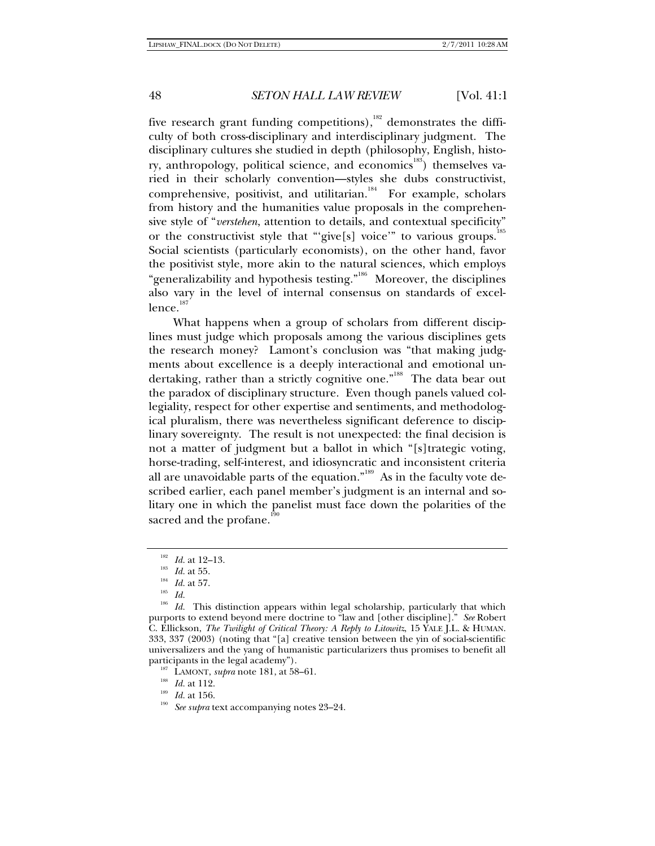five research grant funding competitions), $182$  demonstrates the difficulty of both cross-disciplinary and interdisciplinary judgment. The disciplinary cultures she studied in depth (philosophy, English, history, anthropology, political science, and economics<sup>183</sup>) themselves varied in their scholarly convention—styles she dubs constructivist, comprehensive, positivist, and utilitarian.<sup>184</sup> For example, scholars from history and the humanities value proposals in the comprehensive style of "*verstehen*, attention to details, and contextual specificity" or the constructivist style that "give[s] voice" to various groups.<sup>185</sup> Social scientists (particularly economists), on the other hand, favor the positivist style, more akin to the natural sciences, which employs "generalizability and hypothesis testing."<sup>186</sup> Moreover, the disciplines also vary in the level of internal consensus on standards of excel $l$ ence. $^\mathrm{187}$ 

What happens when a group of scholars from different disciplines must judge which proposals among the various disciplines gets the research money? Lamont's conclusion was "that making judgments about excellence is a deeply interactional and emotional undertaking, rather than a strictly cognitive one."<sup>188</sup> The data bear out the paradox of disciplinary structure. Even though panels valued collegiality, respect for other expertise and sentiments, and methodological pluralism, there was nevertheless significant deference to disciplinary sovereignty. The result is not unexpected: the final decision is not a matter of judgment but a ballot in which "[s]trategic voting, horse-trading, self-interest, and idiosyncratic and inconsistent criteria all are unavoidable parts of the equation."<sup>189</sup> As in the faculty vote described earlier, each panel member's judgment is an internal and solitary one in which the panelist must face down the polarities of the sacred and the profane.<sup>19</sup>

<sup>&</sup>lt;sup>182</sup> *Id.* at 12–13.<br><sup>183</sup> *Id.* at 55.<br><sup>184</sup> *Id.* at 57.<br><sup>185</sup> *Id.* This distinction appears within legal scholarship, particularly that which purports to extend beyond mere doctrine to "law and [other discipline]." *See* Robert C. Ellickson, *The Twilight of Critical Theory: A Reply to Litowitz*, 15 YALE J.L. & HUMAN. 333, 337 (2003) (noting that "[a] creative tension between the yin of social-scientific universalizers and the yang of humanistic particularizers thus promises to benefit all participants in the legal academy").<br><sup>187</sup> LAMONT, *supra* note 181, at 58–61.<br><sup>188</sup> *Id.* at 112.<br><sup>189</sup> *Id.* at 156.<br>*See supra* text accompanying notes 23–24.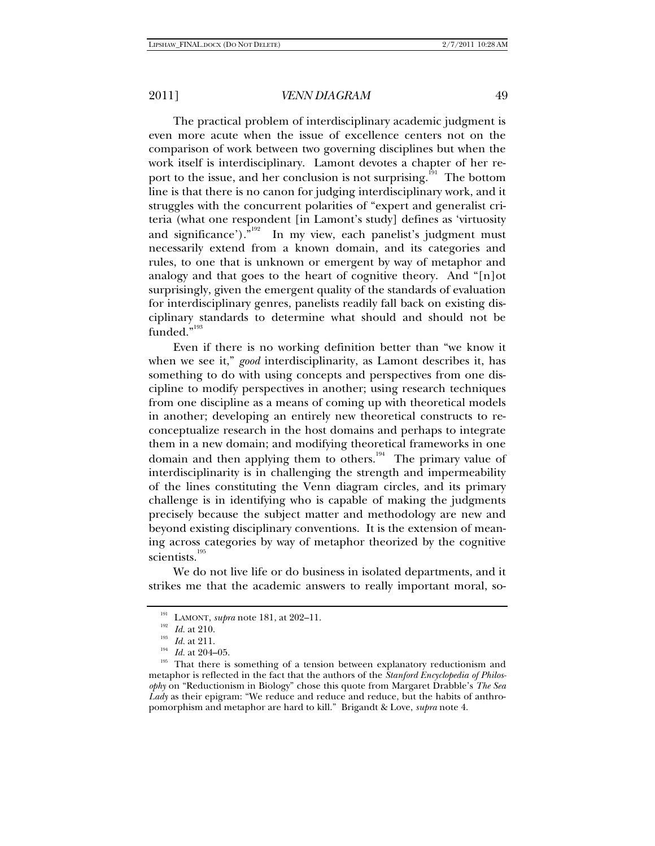The practical problem of interdisciplinary academic judgment is even more acute when the issue of excellence centers not on the comparison of work between two governing disciplines but when the work itself is interdisciplinary. Lamont devotes a chapter of her report to the issue, and her conclusion is not surprising.<sup>191</sup> The bottom line is that there is no canon for judging interdisciplinary work, and it struggles with the concurrent polarities of "expert and generalist criteria (what one respondent [in Lamont's study] defines as 'virtuosity and significance')."<sup>192</sup> In my view, each panelist's judgment must necessarily extend from a known domain, and its categories and rules, to one that is unknown or emergent by way of metaphor and analogy and that goes to the heart of cognitive theory. And "[n]ot surprisingly, given the emergent quality of the standards of evaluation for interdisciplinary genres, panelists readily fall back on existing disciplinary standards to determine what should and should not be funded."<sup>193</sup>

Even if there is no working definition better than "we know it when we see it," *good* interdisciplinarity, as Lamont describes it, has something to do with using concepts and perspectives from one discipline to modify perspectives in another; using research techniques from one discipline as a means of coming up with theoretical models in another; developing an entirely new theoretical constructs to reconceptualize research in the host domains and perhaps to integrate them in a new domain; and modifying theoretical frameworks in one domain and then applying them to others.<sup>194</sup> The primary value of interdisciplinarity is in challenging the strength and impermeability of the lines constituting the Venn diagram circles, and its primary challenge is in identifying who is capable of making the judgments precisely because the subject matter and methodology are new and beyond existing disciplinary conventions. It is the extension of meaning across categories by way of metaphor theorized by the cognitive scientists.<sup>195</sup>

We do not live life or do business in isolated departments, and it strikes me that the academic answers to really important moral, so-

<sup>&</sup>lt;sup>191</sup> LAMONT, *supra* note 181, at 202–11.<br>
<sup>192</sup> *Id.* at 210.<br>
<sup>194</sup> *Id.* at 204–05.<br>
<sup>194</sup> That there is something of a tension between explanatory reductionism and metaphor is reflected in the fact that the authors of the *Stanford Encyclopedia of Philosophy* on "Reductionism in Biology" chose this quote from Margaret Drabble's *The Sea Lady* as their epigram: "We reduce and reduce and reduce, but the habits of anthropomorphism and metaphor are hard to kill." Brigandt & Love, *supra* note 4.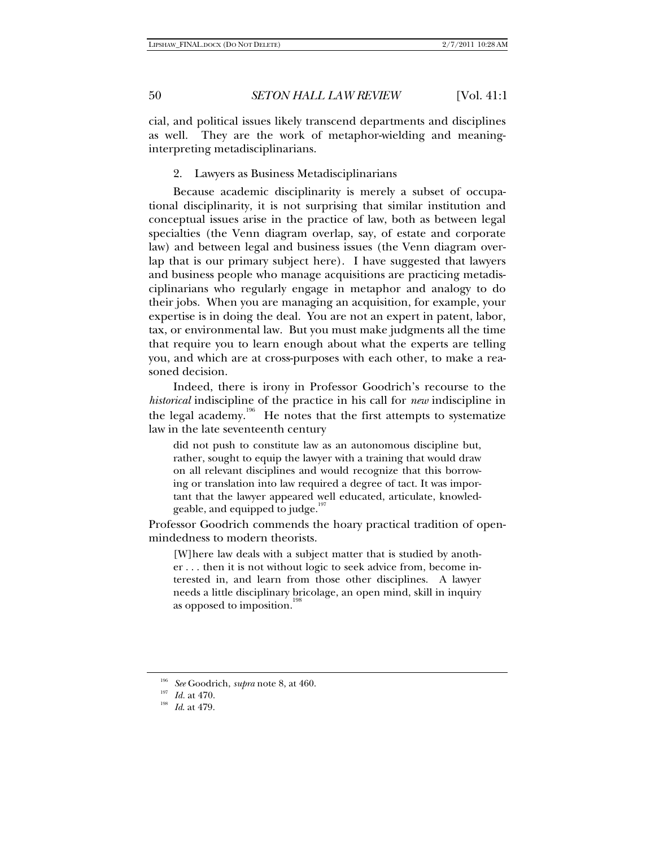cial, and political issues likely transcend departments and disciplines as well. They are the work of metaphor-wielding and meaninginterpreting metadisciplinarians.

2. Lawyers as Business Metadisciplinarians

Because academic disciplinarity is merely a subset of occupational disciplinarity, it is not surprising that similar institution and conceptual issues arise in the practice of law, both as between legal specialties (the Venn diagram overlap, say, of estate and corporate law) and between legal and business issues (the Venn diagram overlap that is our primary subject here). I have suggested that lawyers and business people who manage acquisitions are practicing metadisciplinarians who regularly engage in metaphor and analogy to do their jobs. When you are managing an acquisition, for example, your expertise is in doing the deal. You are not an expert in patent, labor, tax, or environmental law. But you must make judgments all the time that require you to learn enough about what the experts are telling you, and which are at cross-purposes with each other, to make a reasoned decision.

Indeed, there is irony in Professor Goodrich's recourse to the *historical* indiscipline of the practice in his call for *new* indiscipline in the legal academy.<sup>196</sup> He notes that the first attempts to systematize law in the late seventeenth century

did not push to constitute law as an autonomous discipline but, rather, sought to equip the lawyer with a training that would draw on all relevant disciplines and would recognize that this borrowing or translation into law required a degree of tact. It was important that the lawyer appeared well educated, articulate, knowledgeable, and equipped to judge.<sup>19</sup>

Professor Goodrich commends the hoary practical tradition of openmindedness to modern theorists.

[W]here law deals with a subject matter that is studied by another . . . then it is not without logic to seek advice from, become interested in, and learn from those other disciplines. A lawyer needs a little disciplinary bricolage, an open mind, skill in inquiry as opposed to imposition.<sup>1</sup>

<sup>196</sup> *See* Goodrich, *supra* note 8, at 460. 197 *Id.* at 470. 198 *Id*. at 479.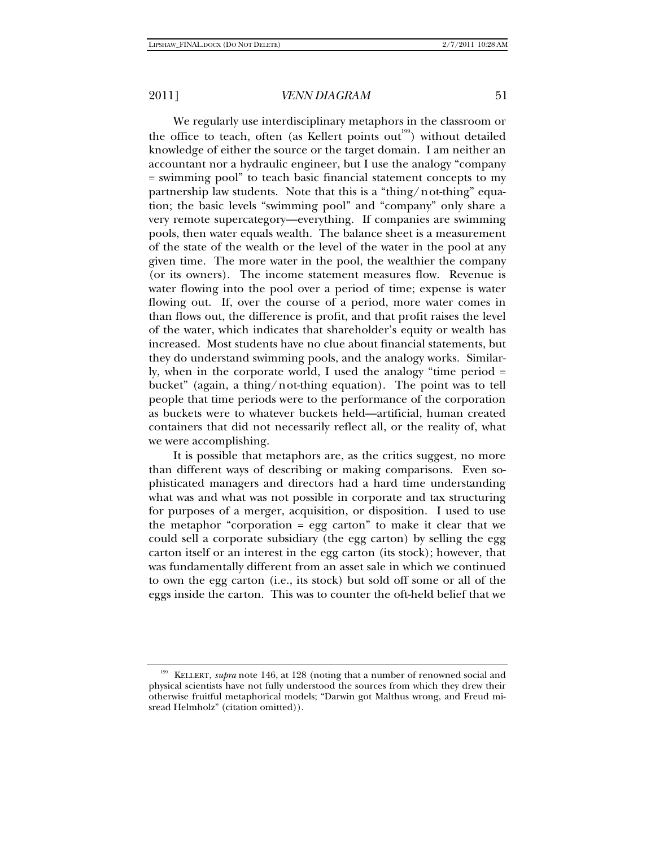We regularly use interdisciplinary metaphors in the classroom or the office to teach, often (as Kellert points out<sup>199</sup>) without detailed knowledge of either the source or the target domain. I am neither an accountant nor a hydraulic engineer, but I use the analogy "company = swimming pool" to teach basic financial statement concepts to my partnership law students. Note that this is a "thing/not-thing" equation; the basic levels "swimming pool" and "company" only share a very remote supercategory—everything. If companies are swimming pools, then water equals wealth. The balance sheet is a measurement of the state of the wealth or the level of the water in the pool at any given time. The more water in the pool, the wealthier the company (or its owners). The income statement measures flow. Revenue is water flowing into the pool over a period of time; expense is water flowing out. If, over the course of a period, more water comes in than flows out, the difference is profit, and that profit raises the level of the water, which indicates that shareholder's equity or wealth has increased. Most students have no clue about financial statements, but they do understand swimming pools, and the analogy works. Similarly, when in the corporate world, I used the analogy "time period = bucket" (again, a thing/not-thing equation). The point was to tell people that time periods were to the performance of the corporation as buckets were to whatever buckets held—artificial, human created containers that did not necessarily reflect all, or the reality of, what we were accomplishing.

It is possible that metaphors are, as the critics suggest, no more than different ways of describing or making comparisons. Even sophisticated managers and directors had a hard time understanding what was and what was not possible in corporate and tax structuring for purposes of a merger, acquisition, or disposition. I used to use the metaphor "corporation = egg carton" to make it clear that we could sell a corporate subsidiary (the egg carton) by selling the egg carton itself or an interest in the egg carton (its stock); however, that was fundamentally different from an asset sale in which we continued to own the egg carton (i.e., its stock) but sold off some or all of the eggs inside the carton. This was to counter the oft-held belief that we

<sup>199</sup> KELLERT, *supra* note 146, at 128 (noting that a number of renowned social and physical scientists have not fully understood the sources from which they drew their otherwise fruitful metaphorical models; "Darwin got Malthus wrong, and Freud misread Helmholz" (citation omitted)).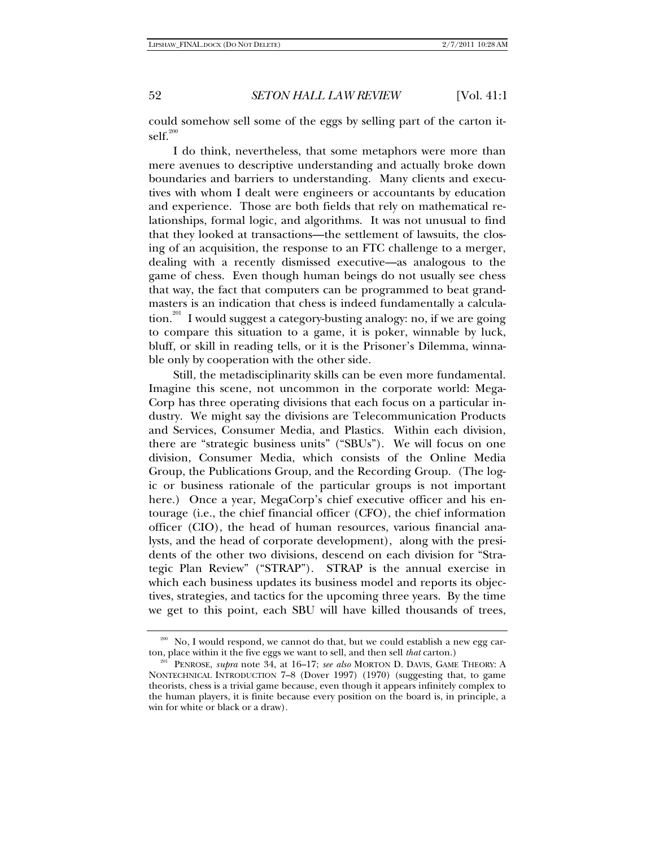could somehow sell some of the eggs by selling part of the carton it $self.<sup>200</sup>$ 

I do think, nevertheless, that some metaphors were more than mere avenues to descriptive understanding and actually broke down boundaries and barriers to understanding. Many clients and executives with whom I dealt were engineers or accountants by education and experience. Those are both fields that rely on mathematical relationships, formal logic, and algorithms. It was not unusual to find that they looked at transactions—the settlement of lawsuits, the closing of an acquisition, the response to an FTC challenge to a merger, dealing with a recently dismissed executive—as analogous to the game of chess. Even though human beings do not usually see chess that way, the fact that computers can be programmed to beat grandmasters is an indication that chess is indeed fundamentally a calculation.<sup>201</sup> I would suggest a category-busting analogy: no, if we are going to compare this situation to a game, it is poker, winnable by luck, bluff, or skill in reading tells, or it is the Prisoner's Dilemma, winnable only by cooperation with the other side.

Still, the metadisciplinarity skills can be even more fundamental. Imagine this scene, not uncommon in the corporate world: Mega-Corp has three operating divisions that each focus on a particular industry. We might say the divisions are Telecommunication Products and Services, Consumer Media, and Plastics. Within each division, there are "strategic business units" ("SBUs"). We will focus on one division, Consumer Media, which consists of the Online Media Group, the Publications Group, and the Recording Group. (The logic or business rationale of the particular groups is not important here.) Once a year, MegaCorp's chief executive officer and his entourage (i.e., the chief financial officer (CFO), the chief information officer (CIO), the head of human resources, various financial analysts, and the head of corporate development), along with the presidents of the other two divisions, descend on each division for "Strategic Plan Review" ("STRAP"). STRAP is the annual exercise in which each business updates its business model and reports its objectives, strategies, and tactics for the upcoming three years. By the time we get to this point, each SBU will have killed thousands of trees,

<sup>&</sup>lt;sup>200</sup> No, I would respond, we cannot do that, but we could establish a new egg car-

ton, place within it the five eggs we want to sell, and then sell *that* carton.)<br><sup>201</sup> PENROSE, *supra* note 34, at 16–17; *see also* MORTON D. DAVIS, GAME THEORY: A NONTECHNICAL INTRODUCTION 7–8 (Dover 1997) (1970) (suggesting that, to game theorists, chess is a trivial game because, even though it appears infinitely complex to the human players, it is finite because every position on the board is, in principle, a win for white or black or a draw).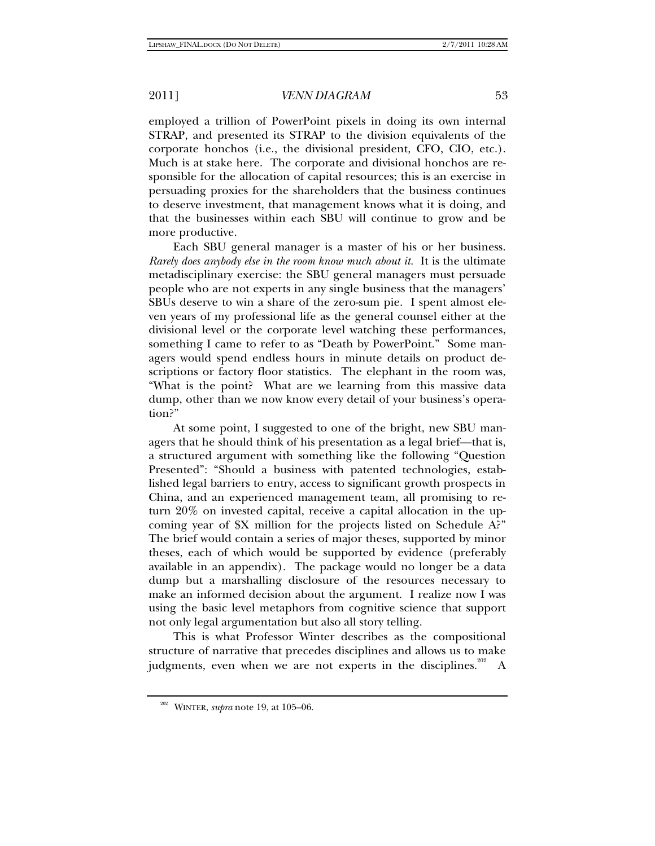employed a trillion of PowerPoint pixels in doing its own internal STRAP, and presented its STRAP to the division equivalents of the corporate honchos (i.e., the divisional president, CFO, CIO, etc.). Much is at stake here. The corporate and divisional honchos are responsible for the allocation of capital resources; this is an exercise in persuading proxies for the shareholders that the business continues to deserve investment, that management knows what it is doing, and that the businesses within each SBU will continue to grow and be more productive.

Each SBU general manager is a master of his or her business. *Rarely does anybody else in the room know much about it.* It is the ultimate metadisciplinary exercise: the SBU general managers must persuade people who are not experts in any single business that the managers' SBUs deserve to win a share of the zero-sum pie. I spent almost eleven years of my professional life as the general counsel either at the divisional level or the corporate level watching these performances, something I came to refer to as "Death by PowerPoint." Some managers would spend endless hours in minute details on product descriptions or factory floor statistics. The elephant in the room was, "What is the point? What are we learning from this massive data dump, other than we now know every detail of your business's operation?"

At some point, I suggested to one of the bright, new SBU managers that he should think of his presentation as a legal brief—that is, a structured argument with something like the following "Question Presented": "Should a business with patented technologies, established legal barriers to entry, access to significant growth prospects in China, and an experienced management team, all promising to return 20% on invested capital, receive a capital allocation in the upcoming year of \$X million for the projects listed on Schedule A?" The brief would contain a series of major theses, supported by minor theses, each of which would be supported by evidence (preferably available in an appendix). The package would no longer be a data dump but a marshalling disclosure of the resources necessary to make an informed decision about the argument. I realize now I was using the basic level metaphors from cognitive science that support not only legal argumentation but also all story telling.

This is what Professor Winter describes as the compositional structure of narrative that precedes disciplines and allows us to make judgments, even when we are not experts in the disciplines.<sup>202</sup> A

<sup>202</sup> WINTER, *supra* note 19, at 105–06.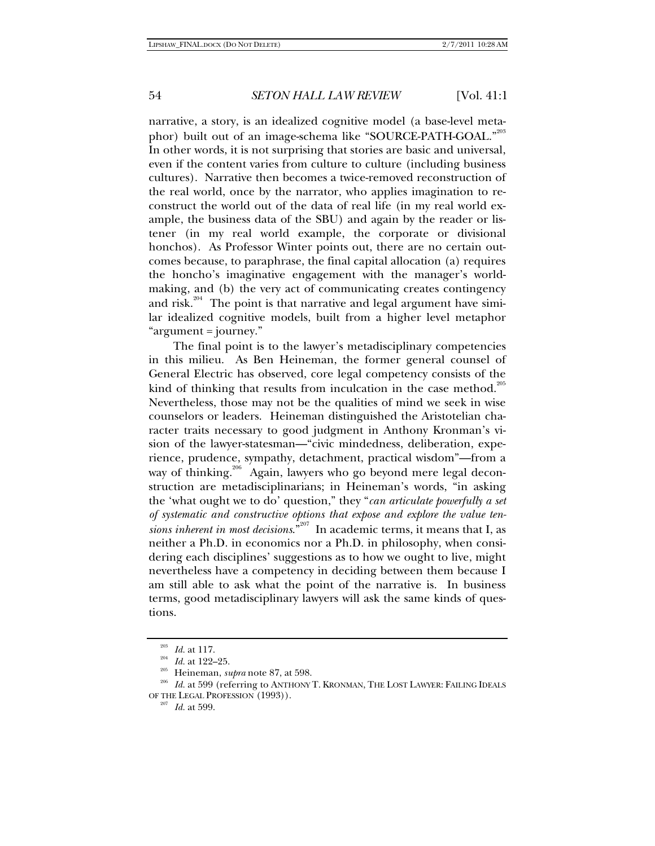narrative, a story, is an idealized cognitive model (a base-level metaphor) built out of an image-schema like "SOURCE-PATH-GOAL."<sup>203</sup> In other words, it is not surprising that stories are basic and universal, even if the content varies from culture to culture (including business cultures). Narrative then becomes a twice-removed reconstruction of the real world, once by the narrator, who applies imagination to reconstruct the world out of the data of real life (in my real world example, the business data of the SBU) and again by the reader or listener (in my real world example, the corporate or divisional honchos). As Professor Winter points out, there are no certain outcomes because, to paraphrase, the final capital allocation (a) requires the honcho's imaginative engagement with the manager's worldmaking, and (b) the very act of communicating creates contingency and risk.<sup>204</sup> The point is that narrative and legal argument have similar idealized cognitive models, built from a higher level metaphor "argument = journey."

The final point is to the lawyer's metadisciplinary competencies in this milieu. As Ben Heineman, the former general counsel of General Electric has observed, core legal competency consists of the kind of thinking that results from inculcation in the case method.<sup>205</sup> Nevertheless, those may not be the qualities of mind we seek in wise counselors or leaders. Heineman distinguished the Aristotelian character traits necessary to good judgment in Anthony Kronman's vision of the lawyer-statesman—"civic mindedness, deliberation, experience, prudence, sympathy, detachment, practical wisdom"—from a way of thinking.<sup>206</sup> Again, lawyers who go beyond mere legal deconstruction are metadisciplinarians; in Heineman's words, "in asking the 'what ought we to do' question," they "*can articulate powerfully a set of systematic and constructive options that expose and explore the value tensions inherent in most decisions*."207 In academic terms, it means that I, as neither a Ph.D. in economics nor a Ph.D. in philosophy, when considering each disciplines' suggestions as to how we ought to live, might nevertheless have a competency in deciding between them because I am still able to ask what the point of the narrative is. In business terms, good metadisciplinary lawyers will ask the same kinds of questions.

<sup>&</sup>lt;sup>203</sup> Id. at 117.<br><sup>204</sup> Id. at 122–25.<br><sup>205</sup> Heineman, *supra* note 87, at 598.<br><sup>206</sup> Id. at 599 (referring to ANTHONY T. KRONMAN, THE LOST LAWYER: FAILING IDEALS OF THE LEGAL PROFESSION (1993)). 207 *Id.* at 599.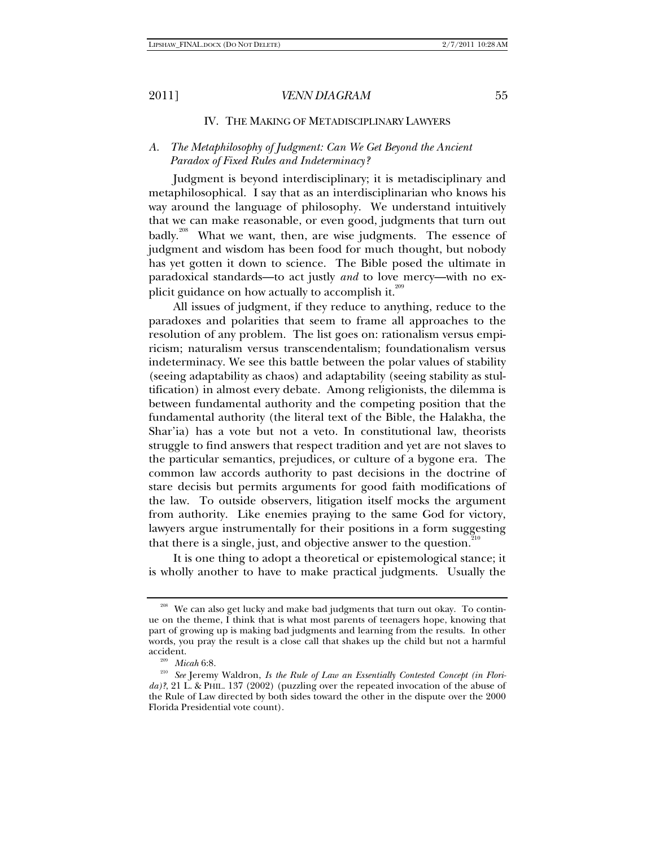### IV. THE MAKING OF METADISCIPLINARY LAWYERS

# *A. The Metaphilosophy of Judgment: Can We Get Beyond the Ancient Paradox of Fixed Rules and Indeterminacy?*

Judgment is beyond interdisciplinary; it is metadisciplinary and metaphilosophical. I say that as an interdisciplinarian who knows his way around the language of philosophy. We understand intuitively that we can make reasonable, or even good, judgments that turn out badly.<sup>208</sup> What we want, then, are wise judgments. The essence of judgment and wisdom has been food for much thought, but nobody has yet gotten it down to science. The Bible posed the ultimate in paradoxical standards—to act justly *and* to love mercy—with no explicit guidance on how actually to accomplish it. $^{209}$ 

All issues of judgment, if they reduce to anything, reduce to the paradoxes and polarities that seem to frame all approaches to the resolution of any problem. The list goes on: rationalism versus empiricism; naturalism versus transcendentalism; foundationalism versus indeterminacy. We see this battle between the polar values of stability (seeing adaptability as chaos) and adaptability (seeing stability as stultification) in almost every debate. Among religionists, the dilemma is between fundamental authority and the competing position that the fundamental authority (the literal text of the Bible, the Halakha, the Shar'ia) has a vote but not a veto. In constitutional law, theorists struggle to find answers that respect tradition and yet are not slaves to the particular semantics, prejudices, or culture of a bygone era. The common law accords authority to past decisions in the doctrine of stare decisis but permits arguments for good faith modifications of the law. To outside observers, litigation itself mocks the argument from authority. Like enemies praying to the same God for victory, lawyers argue instrumentally for their positions in a form suggesting that there is a single, just, and objective answer to the question. $210$ 

It is one thing to adopt a theoretical or epistemological stance; it is wholly another to have to make practical judgments. Usually the

<sup>&</sup>lt;sup>208</sup> We can also get lucky and make bad judgments that turn out okay. To continue on the theme, I think that is what most parents of teenagers hope, knowing that part of growing up is making bad judgments and learning from the results. In other words, you pray the result is a close call that shakes up the child but not a harmful

<sup>&</sup>lt;sup>209</sup> Micah 6:8.<br><sup>210</sup> See Jeremy Waldron, *Is the Rule of Law an Essentially Contested Concept (in Florida)?*, 21 L. & PHIL. 137 (2002) (puzzling over the repeated invocation of the abuse of the Rule of Law directed by both sides toward the other in the dispute over the 2000 Florida Presidential vote count).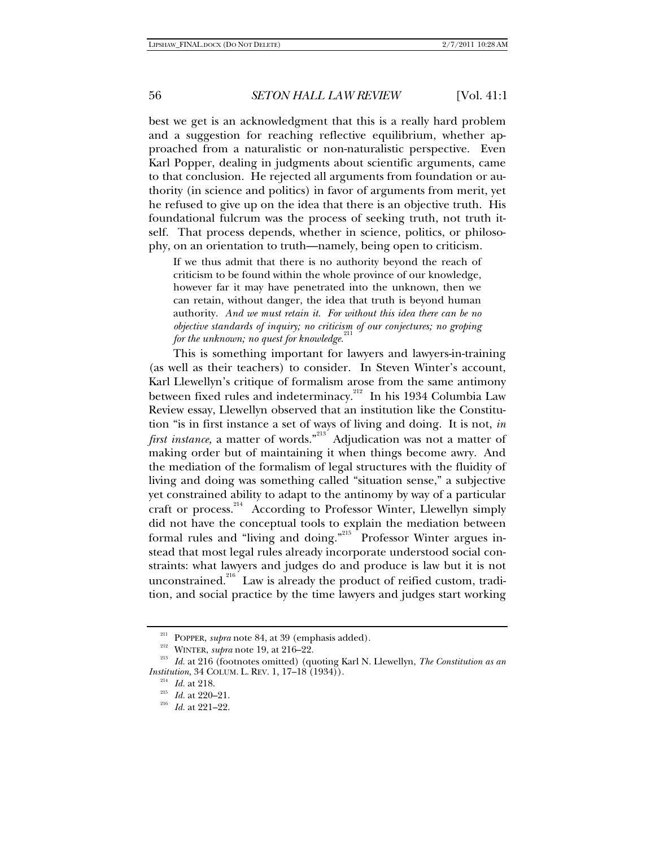best we get is an acknowledgment that this is a really hard problem and a suggestion for reaching reflective equilibrium, whether approached from a naturalistic or non-naturalistic perspective. Even Karl Popper, dealing in judgments about scientific arguments, came to that conclusion. He rejected all arguments from foundation or authority (in science and politics) in favor of arguments from merit, yet he refused to give up on the idea that there is an objective truth. His foundational fulcrum was the process of seeking truth, not truth itself. That process depends, whether in science, politics, or philosophy, on an orientation to truth—namely, being open to criticism.

If we thus admit that there is no authority beyond the reach of criticism to be found within the whole province of our knowledge, however far it may have penetrated into the unknown, then we can retain, without danger, the idea that truth is beyond human authority. *And we must retain it. For without this idea there can be no objective standards of inquiry; no criticism of our conjectures; no groping for the unknown; no quest for knowledge.* 

This is something important for lawyers and lawyers-in-training (as well as their teachers) to consider. In Steven Winter's account, Karl Llewellyn's critique of formalism arose from the same antimony between fixed rules and indeterminacy.<sup>212</sup> In his 1934 Columbia Law Review essay, Llewellyn observed that an institution like the Constitution "is in first instance a set of ways of living and doing. It is not, *in first instance*, a matter of words."<sup>213</sup> Adjudication was not a matter of making order but of maintaining it when things become awry. And the mediation of the formalism of legal structures with the fluidity of living and doing was something called "situation sense," a subjective yet constrained ability to adapt to the antinomy by way of a particular craft or process.<sup>214</sup> According to Professor Winter, Llewellyn simply did not have the conceptual tools to explain the mediation between formal rules and "living and doing."<sup>215</sup> Professor Winter argues instead that most legal rules already incorporate understood social constraints: what lawyers and judges do and produce is law but it is not unconstrained.<sup>216</sup> Law is already the product of reified custom, tradition, and social practice by the time lawyers and judges start working

<sup>211</sup> POPPER, *supra* note 84, at 39 (emphasis added). 212 WINTER, *supra* note 19, at 216–22. 213 *Id.* at 216 (footnotes omitted) (quoting Karl N. Llewellyn, *The Constitution as an Institution*, 34 COLUM. L. REV. 1, 17–18 (1934)).<br><sup>214</sup> *Id.* at 218.<br><sup>215</sup> *Id.* at 220–21.<br>*Id.* at 221–22.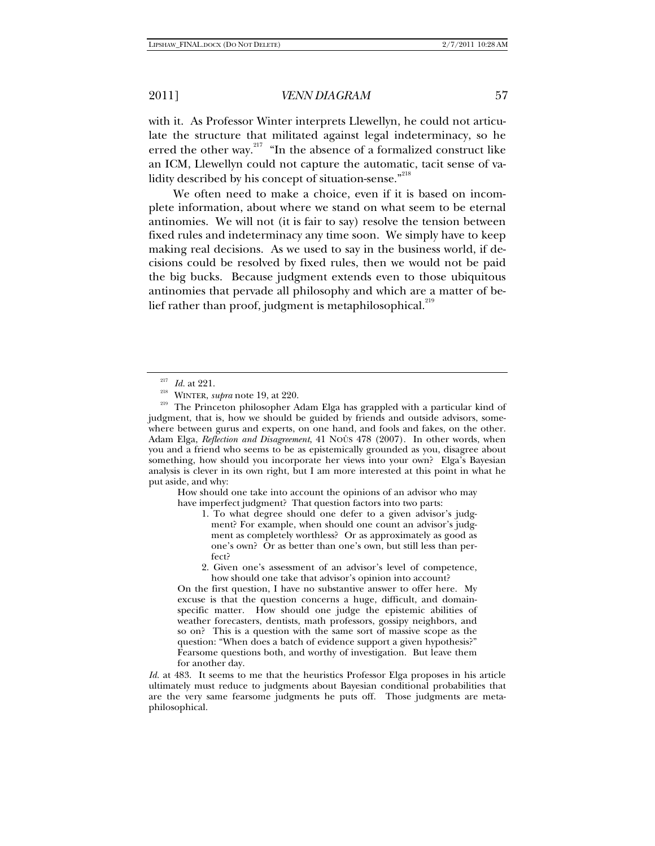with it. As Professor Winter interprets Llewellyn, he could not articulate the structure that militated against legal indeterminacy, so he erred the other way.<sup>217</sup> "In the absence of a formalized construct like an ICM, Llewellyn could not capture the automatic, tacit sense of validity described by his concept of situation-sense."<sup>218</sup>

We often need to make a choice, even if it is based on incomplete information, about where we stand on what seem to be eternal antinomies. We will not (it is fair to say) resolve the tension between fixed rules and indeterminacy any time soon. We simply have to keep making real decisions. As we used to say in the business world, if decisions could be resolved by fixed rules, then we would not be paid the big bucks. Because judgment extends even to those ubiquitous antinomies that pervade all philosophy and which are a matter of belief rather than proof, judgment is metaphilosophical. $219$ 

How should one take into account the opinions of an advisor who may have imperfect judgment? That question factors into two parts:

1. To what degree should one defer to a given advisor's judgment? For example, when should one count an advisor's judgment as completely worthless? Or as approximately as good as one's own? Or as better than one's own, but still less than perfect?

2. Given one's assessment of an advisor's level of competence, how should one take that advisor's opinion into account?

On the first question, I have no substantive answer to offer here. My excuse is that the question concerns a huge, difficult, and domainspecific matter. How should one judge the epistemic abilities of weather forecasters, dentists, math professors, gossipy neighbors, and so on? This is a question with the same sort of massive scope as the question: "When does a batch of evidence support a given hypothesis?" Fearsome questions both, and worthy of investigation. But leave them for another day.

*Id.* at 483. It seems to me that the heuristics Professor Elga proposes in his article ultimately must reduce to judgments about Bayesian conditional probabilities that are the very same fearsome judgments he puts off. Those judgments are metaphilosophical.

<sup>&</sup>lt;sup>217</sup> *Id.* at 221.<br><sup>218</sup> WINTER, *supra* note 19, at 220.<br><sup>219</sup> The Princeton philosopher Adam Elga has grappled with a particular kind of judgment, that is, how we should be guided by friends and outside advisors, somewhere between gurus and experts, on one hand, and fools and fakes, on the other. Adam Elga, *Reflection and Disagreement*, 41 NOÛS 478 (2007). In other words, when you and a friend who seems to be as epistemically grounded as you, disagree about something, how should you incorporate her views into your own? Elga's Bayesian analysis is clever in its own right, but I am more interested at this point in what he put aside, and why: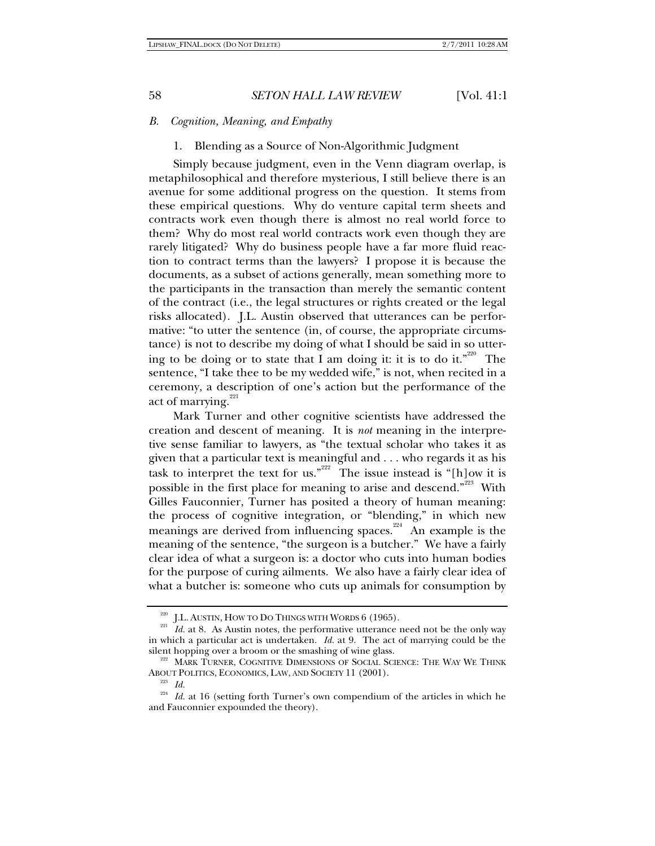### *B. Cognition, Meaning, and Empathy*

### 1. Blending as a Source of Non-Algorithmic Judgment

Simply because judgment, even in the Venn diagram overlap, is metaphilosophical and therefore mysterious, I still believe there is an avenue for some additional progress on the question. It stems from these empirical questions. Why do venture capital term sheets and contracts work even though there is almost no real world force to them? Why do most real world contracts work even though they are rarely litigated? Why do business people have a far more fluid reaction to contract terms than the lawyers? I propose it is because the documents, as a subset of actions generally, mean something more to the participants in the transaction than merely the semantic content of the contract (i.e., the legal structures or rights created or the legal risks allocated). J.L. Austin observed that utterances can be performative: "to utter the sentence (in, of course, the appropriate circumstance) is not to describe my doing of what I should be said in so uttering to be doing or to state that I am doing it: it is to do it."<sup>220</sup> The sentence, "I take thee to be my wedded wife," is not, when recited in a ceremony, a description of one's action but the performance of the act of marrying.<sup>221</sup>

Mark Turner and other cognitive scientists have addressed the creation and descent of meaning. It is *not* meaning in the interpretive sense familiar to lawyers, as "the textual scholar who takes it as given that a particular text is meaningful and . . . who regards it as his task to interpret the text for us."<sup>222</sup> The issue instead is "[h]ow it is possible in the first place for meaning to arise and descend."<sup>223</sup> With Gilles Fauconnier, Turner has posited a theory of human meaning: the process of cognitive integration, or "blending," in which new meanings are derived from influencing spaces.<sup>224</sup> An example is the meaning of the sentence, "the surgeon is a butcher." We have a fairly clear idea of what a surgeon is: a doctor who cuts into human bodies for the purpose of curing ailments. We also have a fairly clear idea of what a butcher is: someone who cuts up animals for consumption by

<sup>&</sup>lt;sup>220</sup> J.L. AUSTIN, HOW TO DO THINGS WITH WORDS 6 (1965).<br><sup>221</sup> *Id.* at 8. As Austin notes, the performative utterance need not be the only way in which a particular act is undertaken. *Id.* at 9. The act of marrying could be the silent hopping over a broom or the smashing of wine glass.

<sup>&</sup>lt;sup>222</sup> MARK TURNER, COGNITIVE DIMENSIONS OF SOCIAL SCIENCE: THE WAY WE THINK ABOUT POLITICS, ECONOMICS, LAW, AND SOCIETY 11 (2001). 223 *Id.*

<sup>&</sup>lt;sup>224</sup> Id. at 16 (setting forth Turner's own compendium of the articles in which he and Fauconnier expounded the theory).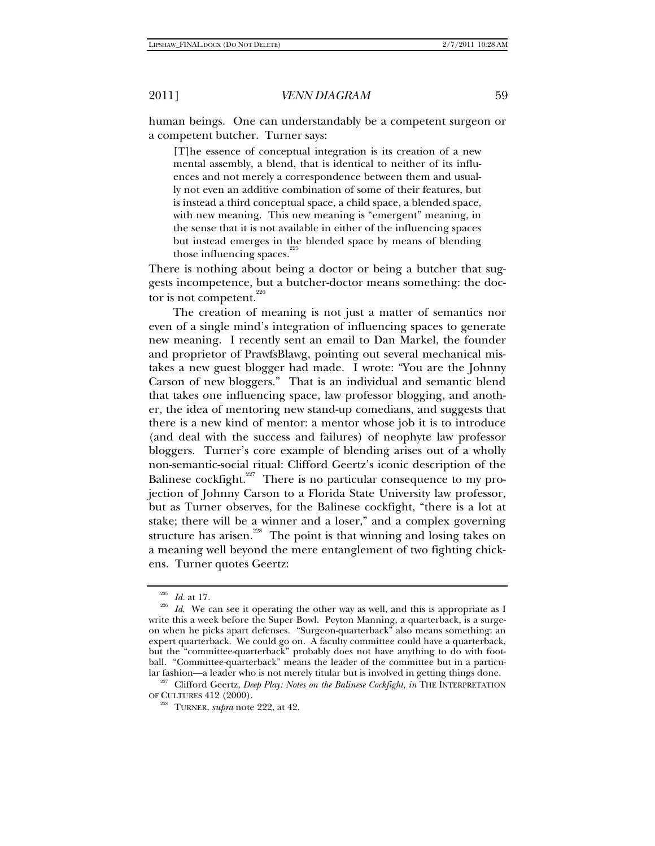human beings. One can understandably be a competent surgeon or a competent butcher. Turner says:

[T]he essence of conceptual integration is its creation of a new mental assembly, a blend, that is identical to neither of its influences and not merely a correspondence between them and usually not even an additive combination of some of their features, but is instead a third conceptual space, a child space, a blended space, with new meaning. This new meaning is "emergent" meaning, in the sense that it is not available in either of the influencing spaces but instead emerges in the blended space by means of blending those influencing spaces.<sup>2</sup>

There is nothing about being a doctor or being a butcher that suggests incompetence, but a butcher-doctor means something: the doctor is not competent.  $226$ 

The creation of meaning is not just a matter of semantics nor even of a single mind's integration of influencing spaces to generate new meaning. I recently sent an email to Dan Markel, the founder and proprietor of PrawfsBlawg, pointing out several mechanical mistakes a new guest blogger had made. I wrote: "You are the Johnny Carson of new bloggers." That is an individual and semantic blend that takes one influencing space, law professor blogging, and another, the idea of mentoring new stand-up comedians, and suggests that there is a new kind of mentor: a mentor whose job it is to introduce (and deal with the success and failures) of neophyte law professor bloggers. Turner's core example of blending arises out of a wholly non-semantic-social ritual: Clifford Geertz's iconic description of the Balinese cockfight.<sup> $227$ </sup> There is no particular consequence to my projection of Johnny Carson to a Florida State University law professor, but as Turner observes, for the Balinese cockfight, "there is a lot at stake; there will be a winner and a loser," and a complex governing structure has arisen.<sup>228</sup> The point is that winning and losing takes on a meaning well beyond the mere entanglement of two fighting chickens. Turner quotes Geertz:

<sup>225</sup> *Id.* at 17. 226 *Id*. We can see it operating the other way as well, and this is appropriate as I write this a week before the Super Bowl. Peyton Manning, a quarterback, is a surgeon when he picks apart defenses. "Surgeon-quarterback" also means something: an expert quarterback. We could go on. A faculty committee could have a quarterback, but the "committee-quarterback" probably does not have anything to do with football. "Committee-quarterback" means the leader of the committee but in a particu-

lar fashion—a leader who is not merely titular but is involved in getting things done. 227 Clifford Geertz, *Deep Play: Notes on the Balinese Cockfight*, *in* THE INTERPRETATION OF CULTURES 412 (2000). 228 TURNER, *supra* note 222, at 42.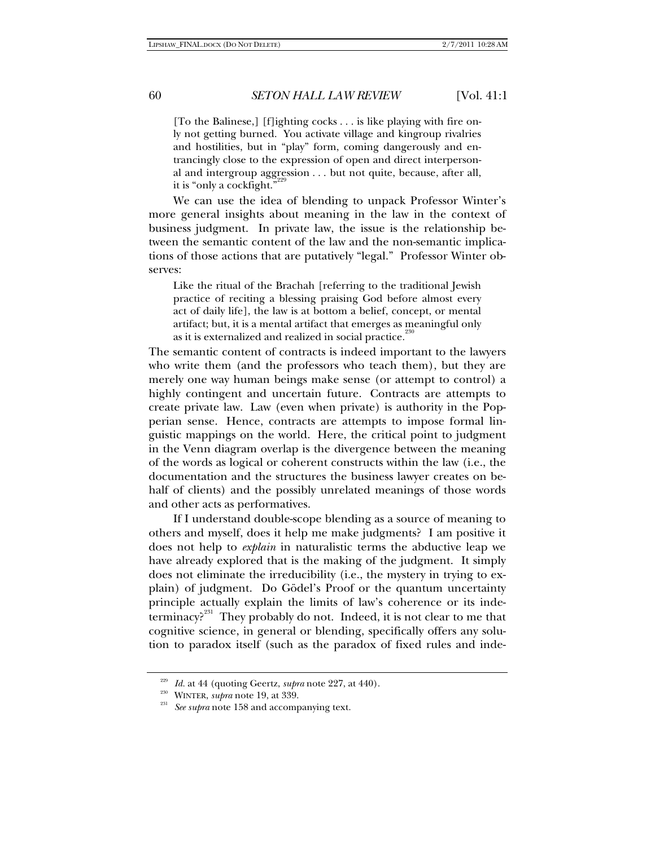[To the Balinese,] [f]ighting cocks . . . is like playing with fire only not getting burned. You activate village and kingroup rivalries and hostilities, but in "play" form, coming dangerously and entrancingly close to the expression of open and direct interpersonal and intergroup aggression . . . but not quite, because, after all, it is "only a cockfight."

We can use the idea of blending to unpack Professor Winter's more general insights about meaning in the law in the context of business judgment. In private law, the issue is the relationship between the semantic content of the law and the non-semantic implications of those actions that are putatively "legal." Professor Winter observes:

Like the ritual of the Brachah [referring to the traditional Jewish practice of reciting a blessing praising God before almost every act of daily life], the law is at bottom a belief, concept, or mental artifact; but, it is a mental artifact that emerges as meaningful only as it is externalized and realized in social practice.

The semantic content of contracts is indeed important to the lawyers who write them (and the professors who teach them), but they are merely one way human beings make sense (or attempt to control) a highly contingent and uncertain future. Contracts are attempts to create private law. Law (even when private) is authority in the Popperian sense. Hence, contracts are attempts to impose formal linguistic mappings on the world. Here, the critical point to judgment in the Venn diagram overlap is the divergence between the meaning of the words as logical or coherent constructs within the law (i.e., the documentation and the structures the business lawyer creates on behalf of clients) and the possibly unrelated meanings of those words and other acts as performatives.

If I understand double-scope blending as a source of meaning to others and myself, does it help me make judgments? I am positive it does not help to *explain* in naturalistic terms the abductive leap we have already explored that is the making of the judgment. It simply does not eliminate the irreducibility (i.e., the mystery in trying to explain) of judgment. Do Gödel's Proof or the quantum uncertainty principle actually explain the limits of law's coherence or its indeterminacy?231 They probably do not. Indeed, it is not clear to me that cognitive science, in general or blending, specifically offers any solution to paradox itself (such as the paradox of fixed rules and inde-

<sup>&</sup>lt;sup>229</sup> *Id.* at 44 (quoting Geertz, *supra* note 227, at 440).<br><sup>230</sup> WINTER, *supra* note 19, at 339.<br><sup>231</sup> *See supra* note 158 and accompanying text.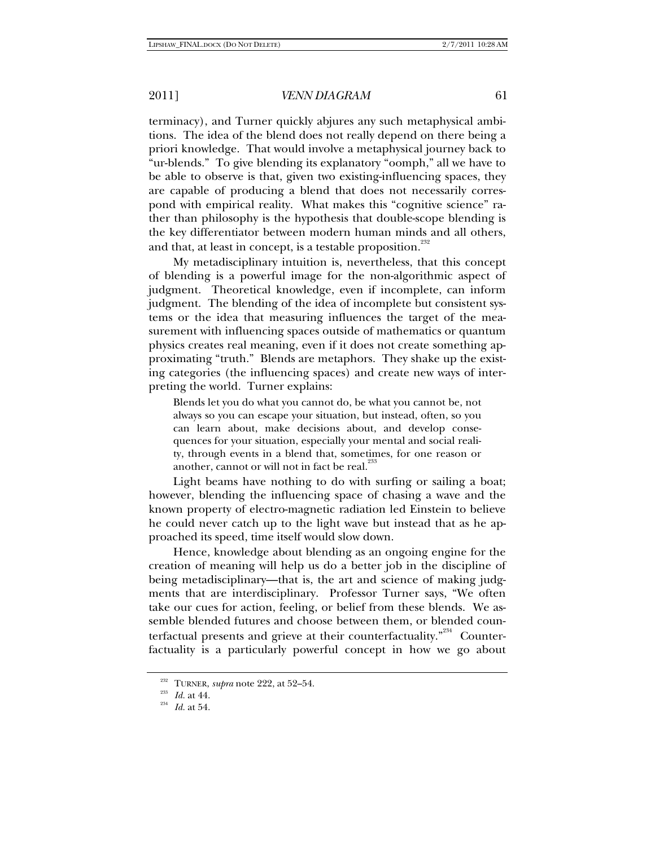terminacy), and Turner quickly abjures any such metaphysical ambitions. The idea of the blend does not really depend on there being a priori knowledge. That would involve a metaphysical journey back to "ur-blends." To give blending its explanatory "oomph," all we have to be able to observe is that, given two existing-influencing spaces, they are capable of producing a blend that does not necessarily correspond with empirical reality. What makes this "cognitive science" rather than philosophy is the hypothesis that double-scope blending is the key differentiator between modern human minds and all others, and that, at least in concept, is a testable proposition.<sup>232</sup>

My metadisciplinary intuition is, nevertheless, that this concept of blending is a powerful image for the non-algorithmic aspect of judgment. Theoretical knowledge, even if incomplete, can inform judgment. The blending of the idea of incomplete but consistent systems or the idea that measuring influences the target of the measurement with influencing spaces outside of mathematics or quantum physics creates real meaning, even if it does not create something approximating "truth." Blends are metaphors. They shake up the existing categories (the influencing spaces) and create new ways of interpreting the world. Turner explains:

Blends let you do what you cannot do, be what you cannot be, not always so you can escape your situation, but instead, often, so you can learn about, make decisions about, and develop consequences for your situation, especially your mental and social reality, through events in a blend that, sometimes, for one reason or another, cannot or will not in fact be real.

Light beams have nothing to do with surfing or sailing a boat; however, blending the influencing space of chasing a wave and the known property of electro-magnetic radiation led Einstein to believe he could never catch up to the light wave but instead that as he approached its speed, time itself would slow down.

Hence, knowledge about blending as an ongoing engine for the creation of meaning will help us do a better job in the discipline of being metadisciplinary—that is, the art and science of making judgments that are interdisciplinary. Professor Turner says, "We often take our cues for action, feeling, or belief from these blends. We assemble blended futures and choose between them, or blended counterfactual presents and grieve at their counterfactuality. $^{234}$  Counterfactuality is a particularly powerful concept in how we go about

<sup>232</sup> TURNER, *supra* note 222, at 52–54. 233 *Id.* at 44. 234 *Id.* at 54.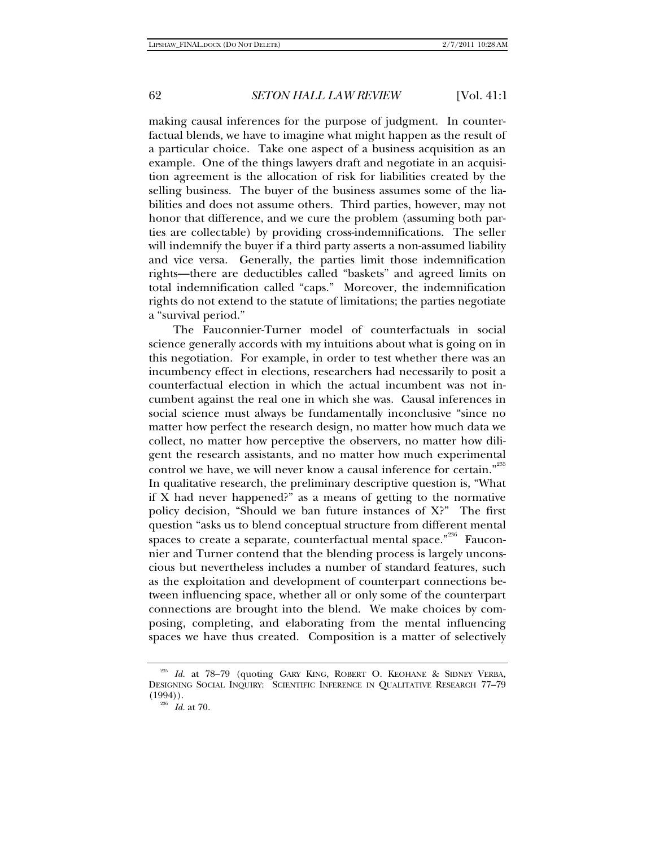making causal inferences for the purpose of judgment. In counterfactual blends, we have to imagine what might happen as the result of a particular choice. Take one aspect of a business acquisition as an example. One of the things lawyers draft and negotiate in an acquisition agreement is the allocation of risk for liabilities created by the selling business. The buyer of the business assumes some of the liabilities and does not assume others. Third parties, however, may not honor that difference, and we cure the problem (assuming both parties are collectable) by providing cross-indemnifications. The seller will indemnify the buyer if a third party asserts a non-assumed liability and vice versa. Generally, the parties limit those indemnification rights—there are deductibles called "baskets" and agreed limits on total indemnification called "caps." Moreover, the indemnification rights do not extend to the statute of limitations; the parties negotiate a "survival period."

The Fauconnier-Turner model of counterfactuals in social science generally accords with my intuitions about what is going on in this negotiation. For example, in order to test whether there was an incumbency effect in elections, researchers had necessarily to posit a counterfactual election in which the actual incumbent was not incumbent against the real one in which she was. Causal inferences in social science must always be fundamentally inconclusive "since no matter how perfect the research design, no matter how much data we collect, no matter how perceptive the observers, no matter how diligent the research assistants, and no matter how much experimental control we have, we will never know a causal inference for certain."<sup>235</sup> In qualitative research, the preliminary descriptive question is, "What if X had never happened?" as a means of getting to the normative policy decision, "Should we ban future instances of X?" The first question "asks us to blend conceptual structure from different mental spaces to create a separate, counterfactual mental space."<sup>236</sup> Fauconnier and Turner contend that the blending process is largely unconscious but nevertheless includes a number of standard features, such as the exploitation and development of counterpart connections between influencing space, whether all or only some of the counterpart connections are brought into the blend. We make choices by composing, completing, and elaborating from the mental influencing spaces we have thus created. Composition is a matter of selectively

<sup>235</sup> *Id.* at 78–79 (quoting GARY KING, ROBERT O. KEOHANE & SIDNEY VERBA, DESIGNING SOCIAL INQUIRY: SCIENTIFIC INFERENCE IN QUALITATIVE RESEARCH 77–79  $(1994))$ .<br><sup>236</sup> *Id.* at 70.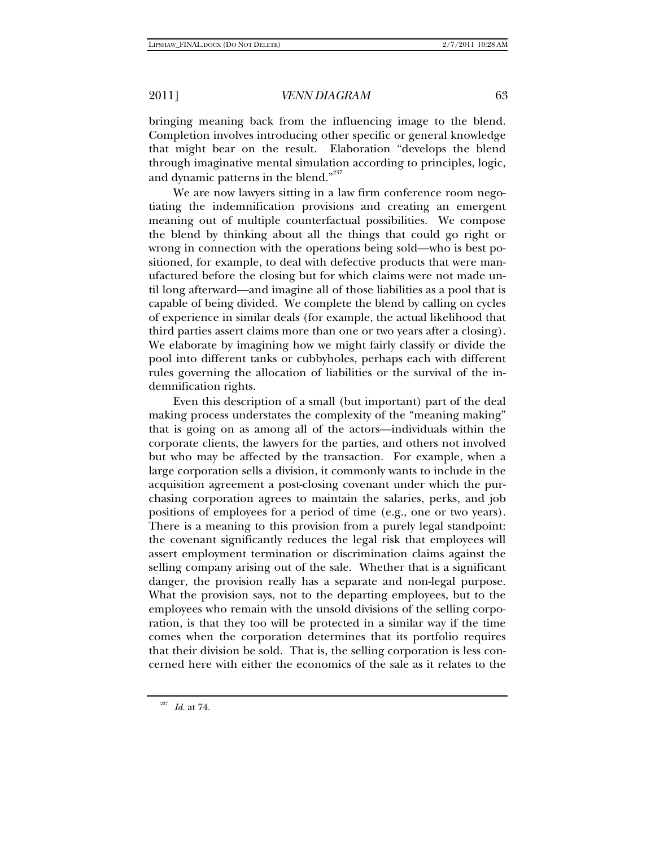bringing meaning back from the influencing image to the blend. Completion involves introducing other specific or general knowledge that might bear on the result. Elaboration "develops the blend through imaginative mental simulation according to principles, logic, and dynamic patterns in the blend."<sup>237</sup>

We are now lawyers sitting in a law firm conference room negotiating the indemnification provisions and creating an emergent meaning out of multiple counterfactual possibilities. We compose the blend by thinking about all the things that could go right or wrong in connection with the operations being sold—who is best positioned, for example, to deal with defective products that were manufactured before the closing but for which claims were not made until long afterward—and imagine all of those liabilities as a pool that is capable of being divided. We complete the blend by calling on cycles of experience in similar deals (for example, the actual likelihood that third parties assert claims more than one or two years after a closing). We elaborate by imagining how we might fairly classify or divide the pool into different tanks or cubbyholes, perhaps each with different rules governing the allocation of liabilities or the survival of the indemnification rights.

Even this description of a small (but important) part of the deal making process understates the complexity of the "meaning making" that is going on as among all of the actors—individuals within the corporate clients, the lawyers for the parties, and others not involved but who may be affected by the transaction. For example, when a large corporation sells a division, it commonly wants to include in the acquisition agreement a post-closing covenant under which the purchasing corporation agrees to maintain the salaries, perks, and job positions of employees for a period of time (e.g., one or two years). There is a meaning to this provision from a purely legal standpoint: the covenant significantly reduces the legal risk that employees will assert employment termination or discrimination claims against the selling company arising out of the sale. Whether that is a significant danger, the provision really has a separate and non-legal purpose. What the provision says, not to the departing employees, but to the employees who remain with the unsold divisions of the selling corporation, is that they too will be protected in a similar way if the time comes when the corporation determines that its portfolio requires that their division be sold. That is, the selling corporation is less concerned here with either the economics of the sale as it relates to the

<sup>237</sup> *Id.* at 74.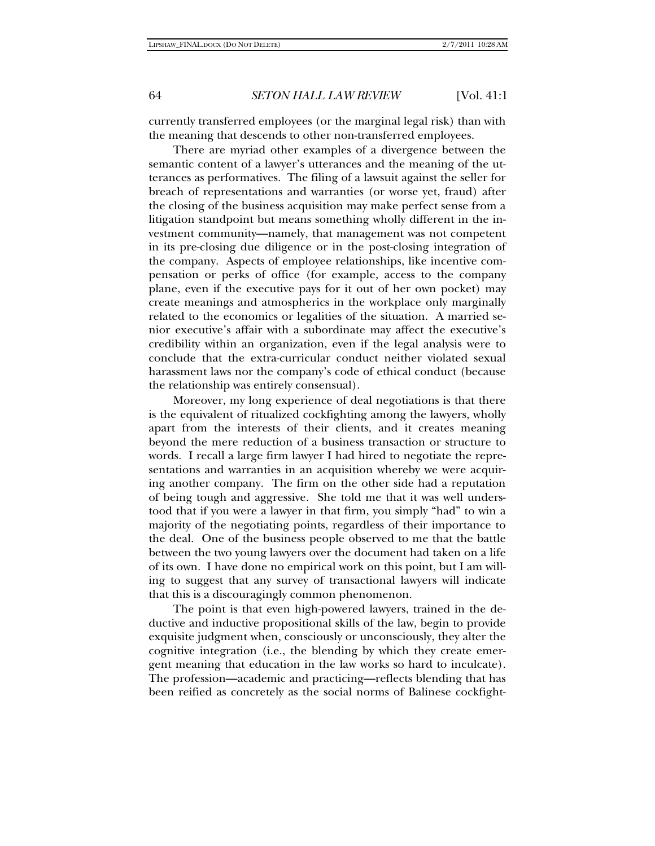currently transferred employees (or the marginal legal risk) than with the meaning that descends to other non-transferred employees.

There are myriad other examples of a divergence between the semantic content of a lawyer's utterances and the meaning of the utterances as performatives. The filing of a lawsuit against the seller for breach of representations and warranties (or worse yet, fraud) after the closing of the business acquisition may make perfect sense from a litigation standpoint but means something wholly different in the investment community—namely, that management was not competent in its pre-closing due diligence or in the post-closing integration of the company. Aspects of employee relationships, like incentive compensation or perks of office (for example, access to the company plane, even if the executive pays for it out of her own pocket) may create meanings and atmospherics in the workplace only marginally related to the economics or legalities of the situation. A married senior executive's affair with a subordinate may affect the executive's credibility within an organization, even if the legal analysis were to conclude that the extra-curricular conduct neither violated sexual harassment laws nor the company's code of ethical conduct (because the relationship was entirely consensual).

Moreover, my long experience of deal negotiations is that there is the equivalent of ritualized cockfighting among the lawyers, wholly apart from the interests of their clients, and it creates meaning beyond the mere reduction of a business transaction or structure to words. I recall a large firm lawyer I had hired to negotiate the representations and warranties in an acquisition whereby we were acquiring another company. The firm on the other side had a reputation of being tough and aggressive. She told me that it was well understood that if you were a lawyer in that firm, you simply "had" to win a majority of the negotiating points, regardless of their importance to the deal. One of the business people observed to me that the battle between the two young lawyers over the document had taken on a life of its own. I have done no empirical work on this point, but I am willing to suggest that any survey of transactional lawyers will indicate that this is a discouragingly common phenomenon.

The point is that even high-powered lawyers, trained in the deductive and inductive propositional skills of the law, begin to provide exquisite judgment when, consciously or unconsciously, they alter the cognitive integration (i.e., the blending by which they create emergent meaning that education in the law works so hard to inculcate). The profession—academic and practicing—reflects blending that has been reified as concretely as the social norms of Balinese cockfight-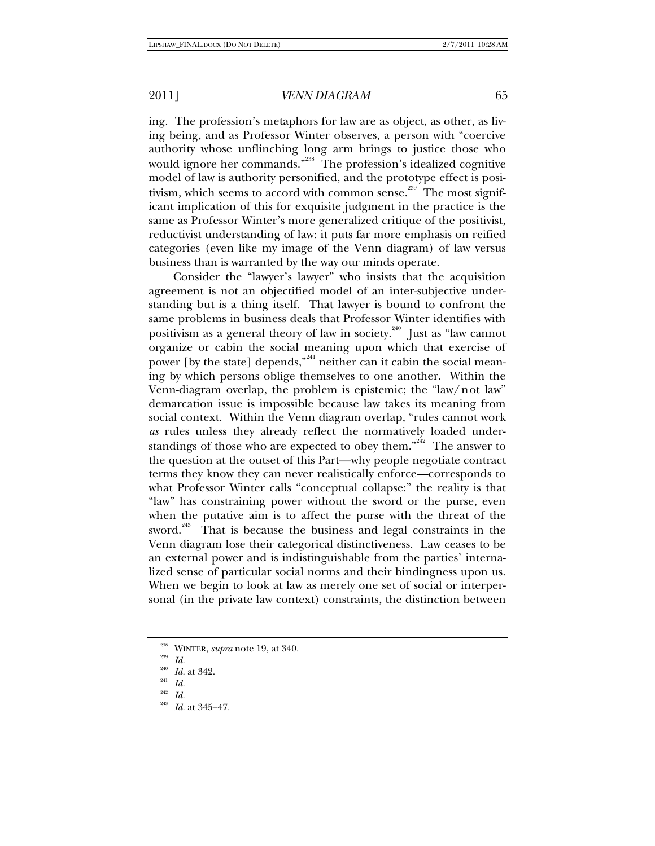ing. The profession's metaphors for law are as object, as other, as living being, and as Professor Winter observes, a person with "coercive authority whose unflinching long arm brings to justice those who would ignore her commands."<sup>238</sup> The profession's idealized cognitive model of law is authority personified, and the prototype effect is positivism, which seems to accord with common sense.<sup>239</sup> The most significant implication of this for exquisite judgment in the practice is the same as Professor Winter's more generalized critique of the positivist, reductivist understanding of law: it puts far more emphasis on reified categories (even like my image of the Venn diagram) of law versus business than is warranted by the way our minds operate.

Consider the "lawyer's lawyer" who insists that the acquisition agreement is not an objectified model of an inter-subjective understanding but is a thing itself. That lawyer is bound to confront the same problems in business deals that Professor Winter identifies with positivism as a general theory of law in society.<sup>240</sup> Just as "law cannot organize or cabin the social meaning upon which that exercise of power [by the state] depends,"<sup>241</sup> neither can it cabin the social meaning by which persons oblige themselves to one another. Within the Venn-diagram overlap, the problem is epistemic; the "law/not law" demarcation issue is impossible because law takes its meaning from social context. Within the Venn diagram overlap, "rules cannot work *as* rules unless they already reflect the normatively loaded understandings of those who are expected to obey them."<sup>242</sup> The answer to the question at the outset of this Part—why people negotiate contract terms they know they can never realistically enforce—corresponds to what Professor Winter calls "conceptual collapse:" the reality is that "law" has constraining power without the sword or the purse, even when the putative aim is to affect the purse with the threat of the sword.<sup>243</sup> That is because the business and legal constraints in the Venn diagram lose their categorical distinctiveness. Law ceases to be an external power and is indistinguishable from the parties' internalized sense of particular social norms and their bindingness upon us. When we begin to look at law as merely one set of social or interpersonal (in the private law context) constraints, the distinction between

<sup>&</sup>lt;sup>238</sup> WINTER, *supra* note 19, at 340.<br>
<sup>239</sup> *Id.*<br>
<sup>240</sup> *Id.* 249

<sup>&</sup>lt;sup>240</sup> *Id.* at 342.<br><sup>241</sup> *Id.*<br><sup>242</sup> *Il.* 

 $\frac{^{242}}{^{243}}$  *Id.* 

*Id.* at 345–47.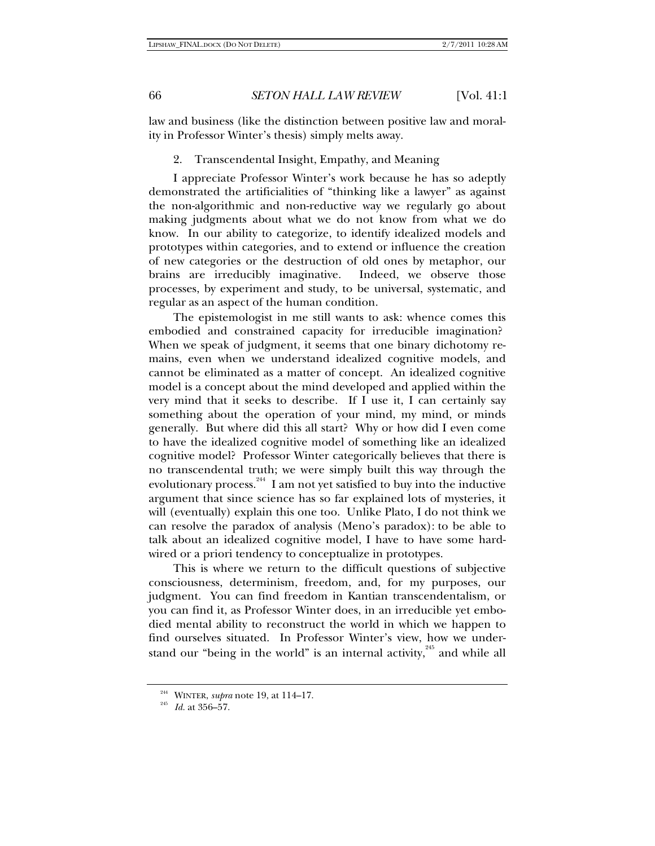law and business (like the distinction between positive law and morality in Professor Winter's thesis) simply melts away.

### 2. Transcendental Insight, Empathy, and Meaning

I appreciate Professor Winter's work because he has so adeptly demonstrated the artificialities of "thinking like a lawyer" as against the non-algorithmic and non-reductive way we regularly go about making judgments about what we do not know from what we do know. In our ability to categorize, to identify idealized models and prototypes within categories, and to extend or influence the creation of new categories or the destruction of old ones by metaphor, our brains are irreducibly imaginative. Indeed, we observe those processes, by experiment and study, to be universal, systematic, and regular as an aspect of the human condition.

The epistemologist in me still wants to ask: whence comes this embodied and constrained capacity for irreducible imagination? When we speak of judgment, it seems that one binary dichotomy remains, even when we understand idealized cognitive models, and cannot be eliminated as a matter of concept. An idealized cognitive model is a concept about the mind developed and applied within the very mind that it seeks to describe. If I use it, I can certainly say something about the operation of your mind, my mind, or minds generally. But where did this all start? Why or how did I even come to have the idealized cognitive model of something like an idealized cognitive model? Professor Winter categorically believes that there is no transcendental truth; we were simply built this way through the evolutionary process.<sup>244</sup> I am not yet satisfied to buy into the inductive argument that since science has so far explained lots of mysteries, it will (eventually) explain this one too. Unlike Plato, I do not think we can resolve the paradox of analysis (Meno's paradox): to be able to talk about an idealized cognitive model, I have to have some hardwired or a priori tendency to conceptualize in prototypes.

This is where we return to the difficult questions of subjective consciousness, determinism, freedom, and, for my purposes, our judgment. You can find freedom in Kantian transcendentalism, or you can find it, as Professor Winter does, in an irreducible yet embodied mental ability to reconstruct the world in which we happen to find ourselves situated. In Professor Winter's view, how we understand our "being in the world" is an internal activity, $245$  and while all

<sup>244</sup> WINTER, *supra* note 19, at 114–17. 245 *Id.* at 356–57.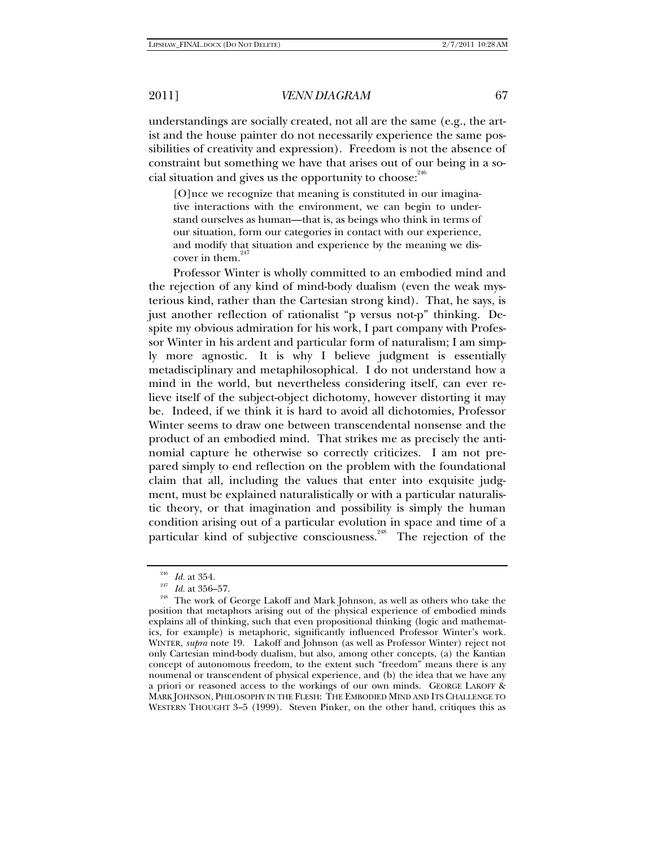understandings are socially created, not all are the same (e.g., the artist and the house painter do not necessarily experience the same possibilities of creativity and expression). Freedom is not the absence of constraint but something we have that arises out of our being in a social situation and gives us the opportunity to choose:<sup>246</sup>

[O]nce we recognize that meaning is constituted in our imaginative interactions with the environment, we can begin to understand ourselves as human—that is, as beings who think in terms of our situation, form our categories in contact with our experience, and modify that situation and experience by the meaning we discover in them. $247$ 

Professor Winter is wholly committed to an embodied mind and the rejection of any kind of mind-body dualism (even the weak mysterious kind, rather than the Cartesian strong kind). That, he says, is just another reflection of rationalist "p versus not-p" thinking. Despite my obvious admiration for his work, I part company with Professor Winter in his ardent and particular form of naturalism; I am simply more agnostic. It is why I believe judgment is essentially metadisciplinary and metaphilosophical. I do not understand how a mind in the world, but nevertheless considering itself, can ever relieve itself of the subject-object dichotomy, however distorting it may be. Indeed, if we think it is hard to avoid all dichotomies, Professor Winter seems to draw one between transcendental nonsense and the product of an embodied mind. That strikes me as precisely the antinomial capture he otherwise so correctly criticizes. I am not prepared simply to end reflection on the problem with the foundational claim that all, including the values that enter into exquisite judgment, must be explained naturalistically or with a particular naturalistic theory, or that imagination and possibility is simply the human condition arising out of a particular evolution in space and time of a particular kind of subjective consciousness.<sup>248</sup> The rejection of the

<sup>&</sup>lt;sup>246</sup> *Id.* at 354.<br><sup>247</sup> *Id.* at 356–57.<br><sup>248</sup> The work of George Lakoff and Mark Johnson, as well as others who take the position that metaphors arising out of the physical experience of embodied minds explains all of thinking, such that even propositional thinking (logic and mathematics, for example) is metaphoric, significantly influenced Professor Winter's work. WINTER, *supra* note 19. Lakoff and Johnson (as well as Professor Winter) reject not only Cartesian mind-body dualism, but also, among other concepts, (a) the Kantian concept of autonomous freedom, to the extent such "freedom" means there is any noumenal or transcendent of physical experience, and (b) the idea that we have any a priori or reasoned access to the workings of our own minds. GEORGE LAKOFF & MARK JOHNSON, PHILOSOPHY IN THE FLESH: THE EMBODIED MIND AND ITS CHALLENGE TO WESTERN THOUGHT 3–5 (1999). Steven Pinker, on the other hand, critiques this as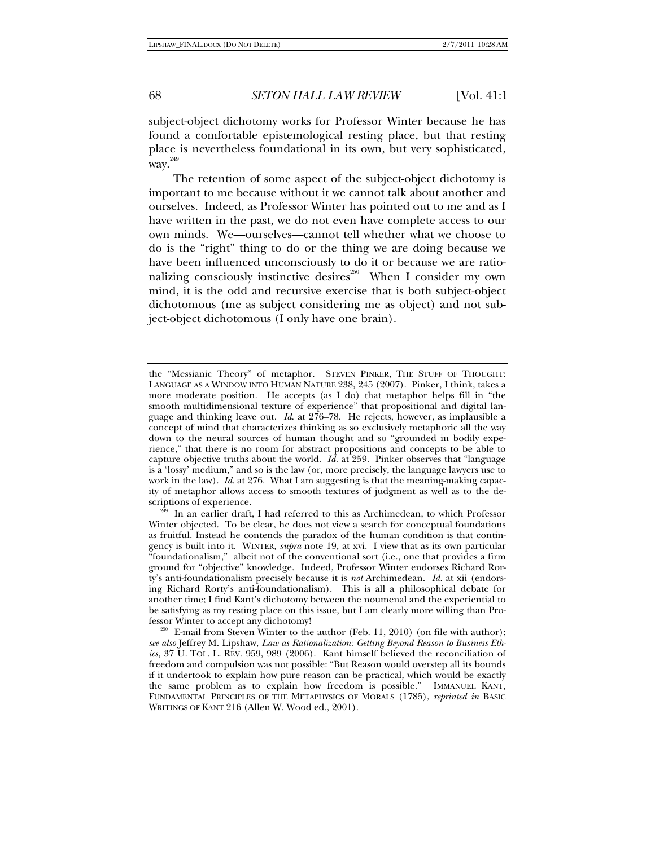subject-object dichotomy works for Professor Winter because he has found a comfortable epistemological resting place, but that resting place is nevertheless foundational in its own, but very sophisticated, way.<sup>249</sup>

The retention of some aspect of the subject-object dichotomy is important to me because without it we cannot talk about another and ourselves. Indeed, as Professor Winter has pointed out to me and as I have written in the past, we do not even have complete access to our own minds. We—ourselves—cannot tell whether what we choose to do is the "right" thing to do or the thing we are doing because we have been influenced unconsciously to do it or because we are rationalizing consciously instinctive desires<sup> $250$ </sup> When I consider my own mind, it is the odd and recursive exercise that is both subject-object dichotomous (me as subject considering me as object) and not subject-object dichotomous (I only have one brain).

the "Messianic Theory" of metaphor. STEVEN PINKER, THE STUFF OF THOUGHT: LANGUAGE AS A WINDOW INTO HUMAN NATURE 238, 245 (2007). Pinker, I think, takes a more moderate position. He accepts (as I do) that metaphor helps fill in "the smooth multidimensional texture of experience" that propositional and digital language and thinking leave out. *Id*. at 276–78. He rejects, however, as implausible a concept of mind that characterizes thinking as so exclusively metaphoric all the way down to the neural sources of human thought and so "grounded in bodily experience," that there is no room for abstract propositions and concepts to be able to capture objective truths about the world. *Id.* at 259. Pinker observes that "language is a 'lossy' medium," and so is the law (or, more precisely, the language lawyers use to work in the law). *Id.* at 276. What I am suggesting is that the meaning-making capacity of metaphor allows access to smooth textures of judgment as well as to the descriptions of experience.<br><sup>249</sup> In an earlier draft, I had referred to this as Archimedean, to which Professor

Winter objected. To be clear, he does not view a search for conceptual foundations as fruitful. Instead he contends the paradox of the human condition is that contingency is built into it. WINTER, *supra* note 19, at xvi. I view that as its own particular "foundationalism," albeit not of the conventional sort (i.e., one that provides a firm ground for "objective" knowledge. Indeed, Professor Winter endorses Richard Rorty's anti-foundationalism precisely because it is *not* Archimedean. *Id.* at xii (endorsing Richard Rorty's anti-foundationalism). This is all a philosophical debate for another time; I find Kant's dichotomy between the noumenal and the experiential to be satisfying as my resting place on this issue, but I am clearly more willing than Professor Winter to accept any dichotomy! 250 E-mail from Steven Winter to the author (Feb. 11, 2010) (on file with author);

*see also* Jeffrey M. Lipshaw, *Law as Rationalization: Getting Beyond Reason to Business Ethics*, 37 U. TOL. L. REV. 959, 989 (2006). Kant himself believed the reconciliation of freedom and compulsion was not possible: "But Reason would overstep all its bounds if it undertook to explain how pure reason can be practical, which would be exactly the same problem as to explain how freedom is possible." IMMANUEL KANT, FUNDAMENTAL PRINCIPLES OF THE METAPHYSICS OF MORALS (1785), *reprinted in* BASIC WRITINGS OF KANT 216 (Allen W. Wood ed., 2001).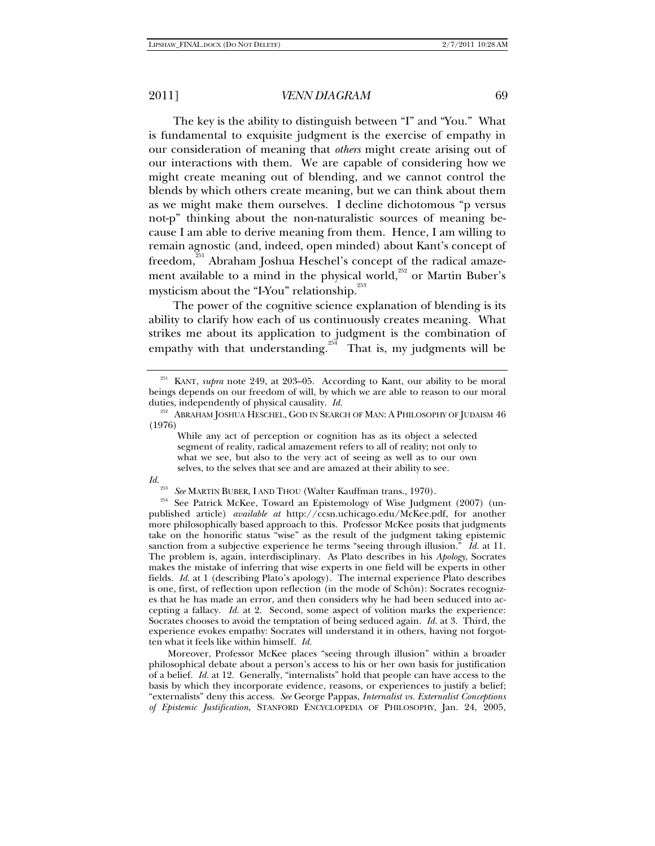The key is the ability to distinguish between "I" and "You." What is fundamental to exquisite judgment is the exercise of empathy in our consideration of meaning that *others* might create arising out of our interactions with them. We are capable of considering how we might create meaning out of blending, and we cannot control the blends by which others create meaning, but we can think about them as we might make them ourselves. I decline dichotomous "p versus not-p" thinking about the non-naturalistic sources of meaning because I am able to derive meaning from them. Hence, I am willing to remain agnostic (and, indeed, open minded) about Kant's concept of freedom,<sup>251</sup> Abraham Joshua Heschel's concept of the radical amazement available to a mind in the physical world, $252$  or Martin Buber's mysticism about the "I-You" relationship.<sup>253</sup>

The power of the cognitive science explanation of blending is its ability to clarify how each of us continuously creates meaning. What strikes me about its application to judgment is the combination of empathy with that understanding.<sup>254</sup> That is, my judgments will be

# *Id.*

<sup>253</sup> See MARTIN BUBER, I AND THOU (Walter Kauffman trans., 1970).<br><sup>254</sup> See Patrick McKee, Toward an Epistemology of Wise Judgment (2007) (unpublished article) *available at* http://ccsn.uchicago.edu/McKee.pdf, for another more philosophically based approach to this. Professor McKee posits that judgments take on the honorific status "wise" as the result of the judgment taking epistemic sanction from a subjective experience he terms "seeing through illusion." *Id.* at 11. The problem is, again, interdisciplinary. As Plato describes in his *Apology*, Socrates makes the mistake of inferring that wise experts in one field will be experts in other fields. *Id.* at 1 (describing Plato's apology). The internal experience Plato describes is one, first, of reflection upon reflection (in the mode of Schön): Socrates recognizes that he has made an error, and then considers why he had been seduced into accepting a fallacy. *Id.* at 2. Second, some aspect of volition marks the experience: Socrates chooses to avoid the temptation of being seduced again. *Id.* at 3. Third, the experience evokes empathy: Socrates will understand it in others, having not forgotten what it feels like within himself. *Id.*

Moreover, Professor McKee places "seeing through illusion" within a broader philosophical debate about a person's access to his or her own basis for justification of a belief. *Id.* at 12. Generally, "internalists" hold that people can have access to the basis by which they incorporate evidence, reasons, or experiences to justify a belief; "externalists" deny this access. *See* George Pappas, *Internalist vs. Externalist Conceptions of Epistemic Justification*, STANFORD ENCYCLOPEDIA OF PHILOSOPHY, Jan. 24, 2005,

<sup>&</sup>lt;sup>251</sup> KANT, *supra* note 249, at 203-05. According to Kant, our ability to be moral beings depends on our freedom of will, by which we are able to reason to our moral duties, independently of physical causality. *Id.* 

 $^{252}$  Abraham Joshua Heschel, God in Search of Man: A Philosophy of Judaism  $46$ (1976)

While any act of perception or cognition has as its object a selected segment of reality, radical amazement refers to all of reality; not only to what we see, but also to the very act of seeing as well as to our own selves, to the selves that see and are amazed at their ability to see.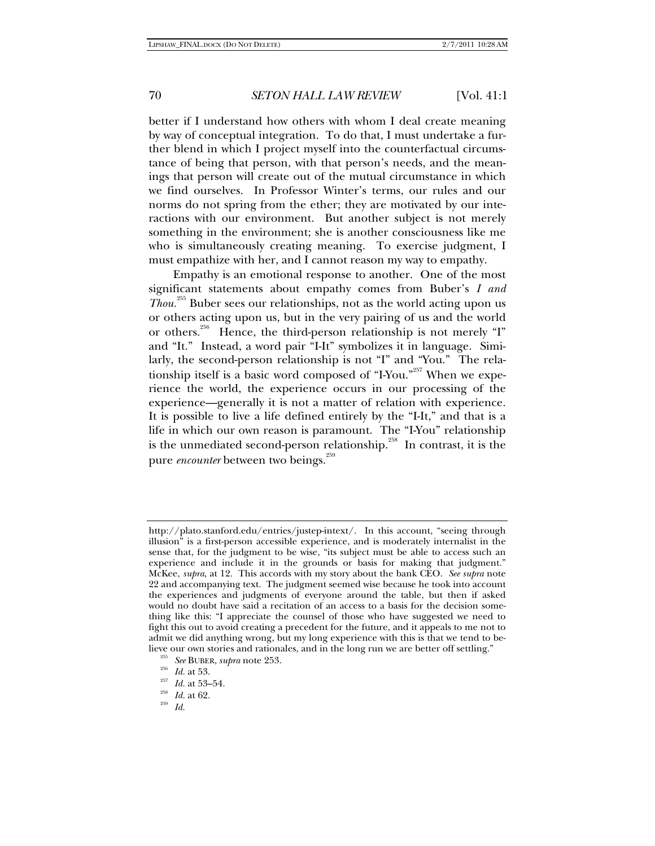better if I understand how others with whom I deal create meaning by way of conceptual integration. To do that, I must undertake a further blend in which I project myself into the counterfactual circumstance of being that person, with that person's needs, and the meanings that person will create out of the mutual circumstance in which we find ourselves. In Professor Winter's terms, our rules and our norms do not spring from the ether; they are motivated by our interactions with our environment. But another subject is not merely something in the environment; she is another consciousness like me who is simultaneously creating meaning. To exercise judgment, I must empathize with her, and I cannot reason my way to empathy.

Empathy is an emotional response to another. One of the most significant statements about empathy comes from Buber's *I and Thou.*255 Buber sees our relationships, not as the world acting upon us or others acting upon us, but in the very pairing of us and the world or others.<sup>256</sup> Hence, the third-person relationship is not merely "I" and "It." Instead, a word pair "I-It" symbolizes it in language. Similarly, the second-person relationship is not "I" and "You." The relationship itself is a basic word composed of "I-You."<sup>257</sup> When we experience the world, the experience occurs in our processing of the experience—generally it is not a matter of relation with experience. It is possible to live a life defined entirely by the "I-It," and that is a life in which our own reason is paramount. The "I-You" relationship is the unmediated second-person relationship.<sup> $^{258}$ </sup> In contrast, it is the pure *encounter* between two beings.<sup>259</sup>

http://plato.stanford.edu/entries/justep-intext/. In this account, "seeing through illusion" is a first-person accessible experience, and is moderately internalist in the sense that, for the judgment to be wise, "its subject must be able to access such an experience and include it in the grounds or basis for making that judgment." McKee, *supra*, at 12. This accords with my story about the bank CEO. *See supra* note 22 and accompanying text. The judgment seemed wise because he took into account the experiences and judgments of everyone around the table, but then if asked would no doubt have said a recitation of an access to a basis for the decision something like this: "I appreciate the counsel of those who have suggested we need to fight this out to avoid creating a precedent for the future, and it appeals to me not to admit we did anything wrong, but my long experience with this is that we tend to believe our own stories and rationales, and in the long run we are better off settling."<br><sup>255</sup> See BUBER, *supra* note 253.<br>*Id.* at 53.<br><sup>257</sup> *Id.* at 53–54.<br><sup>258</sup> *Id.* at 62.<br>*Id.* 259 *Id.*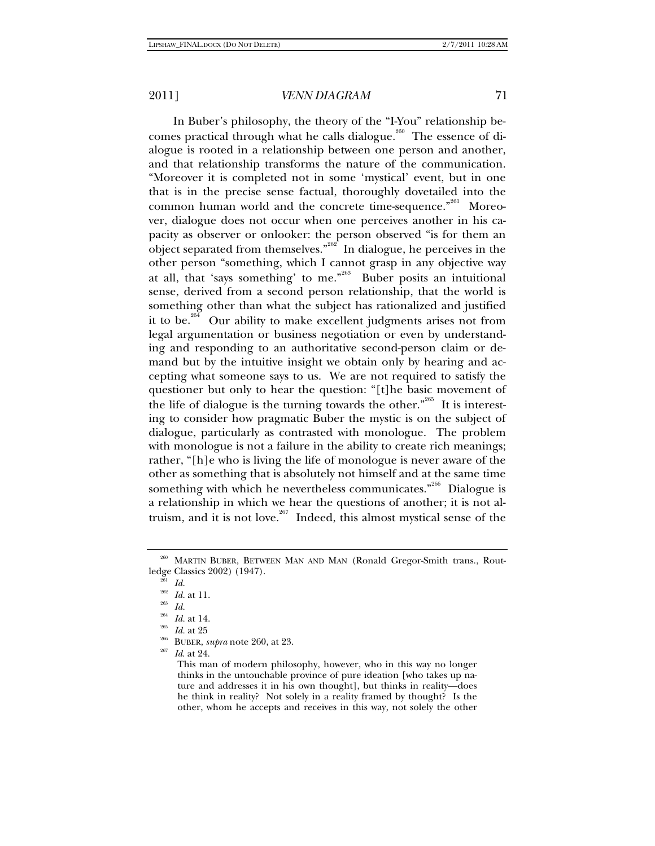In Buber's philosophy, the theory of the "I-You" relationship becomes practical through what he calls dialogue.<sup>260</sup> The essence of dialogue is rooted in a relationship between one person and another, and that relationship transforms the nature of the communication. "Moreover it is completed not in some 'mystical' event, but in one that is in the precise sense factual, thoroughly dovetailed into the common human world and the concrete time-sequence."<sup>261</sup> Moreover, dialogue does not occur when one perceives another in his capacity as observer or onlooker: the person observed "is for them an object separated from themselves."<sup>262</sup> In dialogue, he perceives in the other person "something, which I cannot grasp in any objective way at all, that 'says something' to me. $n^{263}$  Buber posits an intuitional sense, derived from a second person relationship, that the world is something other than what the subject has rationalized and justified it to be.<sup>264</sup> Our ability to make excellent judgments arises not from legal argumentation or business negotiation or even by understanding and responding to an authoritative second-person claim or demand but by the intuitive insight we obtain only by hearing and accepting what someone says to us. We are not required to satisfy the questioner but only to hear the question: "[t]he basic movement of the life of dialogue is the turning towards the other."<sup>265</sup> It is interesting to consider how pragmatic Buber the mystic is on the subject of dialogue, particularly as contrasted with monologue. The problem with monologue is not a failure in the ability to create rich meanings; rather, "[h]e who is living the life of monologue is never aware of the other as something that is absolutely not himself and at the same time something with which he nevertheless communicates.<sup> $266$ </sup> Dialogue is a relationship in which we hear the questions of another; it is not altruism, and it is not love.<sup>267</sup> Indeed, this almost mystical sense of the

<sup>260</sup> MARTIN BUBER, BETWEEN MAN AND MAN (Ronald Gregor-Smith trans., Routledge Classics 2002) (1947).<br><sup>261</sup> *Id.*<br><sup>262</sup> *Id.* 2<sup>1</sup> id.

<sup>262</sup> *Id.* at 11. 263 *Id.*

<sup>&</sup>lt;sup>264</sup> Id. at 14.<br><sup>265</sup> Id. at 25<br><sup>266</sup> BUBER, *supra* note 260, at 23.<br><sup>267</sup> Id. at 24.

This man of modern philosophy, however, who in this way no longer thinks in the untouchable province of pure ideation [who takes up nature and addresses it in his own thought], but thinks in reality—does he think in reality? Not solely in a reality framed by thought? Is the other, whom he accepts and receives in this way, not solely the other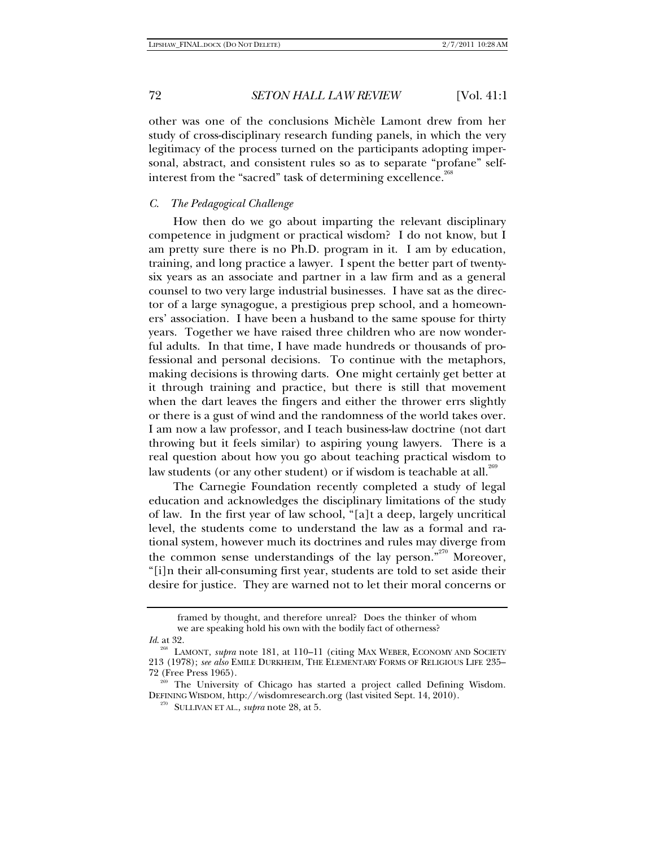other was one of the conclusions Michèle Lamont drew from her study of cross-disciplinary research funding panels, in which the very legitimacy of the process turned on the participants adopting impersonal, abstract, and consistent rules so as to separate "profane" selfinterest from the "sacred" task of determining excellence.<sup>268</sup>

## *C. The Pedagogical Challenge*

How then do we go about imparting the relevant disciplinary competence in judgment or practical wisdom? I do not know, but I am pretty sure there is no Ph.D. program in it. I am by education, training, and long practice a lawyer. I spent the better part of twentysix years as an associate and partner in a law firm and as a general counsel to two very large industrial businesses. I have sat as the director of a large synagogue, a prestigious prep school, and a homeowners' association. I have been a husband to the same spouse for thirty years. Together we have raised three children who are now wonderful adults. In that time, I have made hundreds or thousands of professional and personal decisions. To continue with the metaphors, making decisions is throwing darts. One might certainly get better at it through training and practice, but there is still that movement when the dart leaves the fingers and either the thrower errs slightly or there is a gust of wind and the randomness of the world takes over. I am now a law professor, and I teach business-law doctrine (not dart throwing but it feels similar) to aspiring young lawyers. There is a real question about how you go about teaching practical wisdom to law students (or any other student) or if wisdom is teachable at all.<sup>269</sup>

The Carnegie Foundation recently completed a study of legal education and acknowledges the disciplinary limitations of the study of law. In the first year of law school, "[a]t a deep, largely uncritical level, the students come to understand the law as a formal and rational system, however much its doctrines and rules may diverge from the common sense understandings of the lay person."<sup>270</sup> Moreover, "[i]n their all-consuming first year, students are told to set aside their desire for justice. They are warned not to let their moral concerns or

framed by thought, and therefore unreal? Does the thinker of whom we are speaking hold his own with the bodily fact of otherness?

*Id*. at 32.

LAMONT, *supra* note 181, at 110–11 (citing MAX WEBER, ECONOMY AND SOCIETY 213 (1978); *see also* EMILE DURKHEIM, THE ELEMENTARY FORMS OF RELIGIOUS LIFE 235– 72 (Free Press 1965).<br><sup>269</sup> The University of Chicago has started a project called Defining Wisdom.

DEFINING WISDOM, http://wisdomresearch.org (last visited Sept. 14, 2010). 270 SULLIVAN ET AL., *supra* note 28, at 5.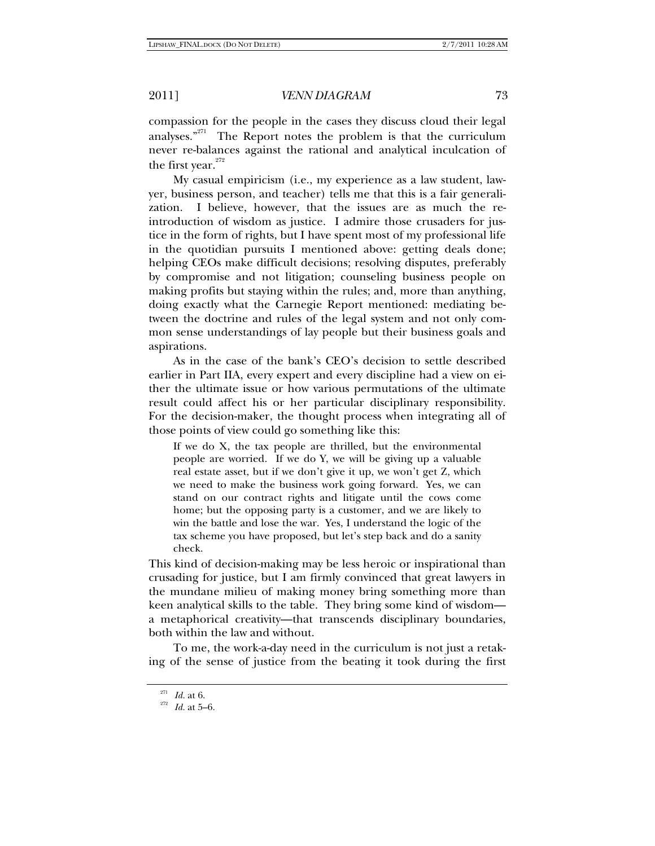## 2011] *VENN DIAGRAM* 73

compassion for the people in the cases they discuss cloud their legal analyses."271 The Report notes the problem is that the curriculum never re-balances against the rational and analytical inculcation of the first year. $272$ 

My casual empiricism (i.e., my experience as a law student, lawyer, business person, and teacher) tells me that this is a fair generalization. I believe, however, that the issues are as much the reintroduction of wisdom as justice. I admire those crusaders for justice in the form of rights, but I have spent most of my professional life in the quotidian pursuits I mentioned above: getting deals done; helping CEOs make difficult decisions; resolving disputes, preferably by compromise and not litigation; counseling business people on making profits but staying within the rules; and, more than anything, doing exactly what the Carnegie Report mentioned: mediating between the doctrine and rules of the legal system and not only common sense understandings of lay people but their business goals and aspirations.

As in the case of the bank's CEO's decision to settle described earlier in Part IIA, every expert and every discipline had a view on either the ultimate issue or how various permutations of the ultimate result could affect his or her particular disciplinary responsibility. For the decision-maker, the thought process when integrating all of those points of view could go something like this:

If we do X, the tax people are thrilled, but the environmental people are worried. If we do Y, we will be giving up a valuable real estate asset, but if we don't give it up, we won't get Z, which we need to make the business work going forward. Yes, we can stand on our contract rights and litigate until the cows come home; but the opposing party is a customer, and we are likely to win the battle and lose the war. Yes, I understand the logic of the tax scheme you have proposed, but let's step back and do a sanity check.

This kind of decision-making may be less heroic or inspirational than crusading for justice, but I am firmly convinced that great lawyers in the mundane milieu of making money bring something more than keen analytical skills to the table. They bring some kind of wisdom a metaphorical creativity—that transcends disciplinary boundaries, both within the law and without.

To me, the work-a-day need in the curriculum is not just a retaking of the sense of justice from the beating it took during the first

<sup>&</sup>lt;sup>271</sup> *Id.* at 6.<br><sup>272</sup> *Id.* at 5–6.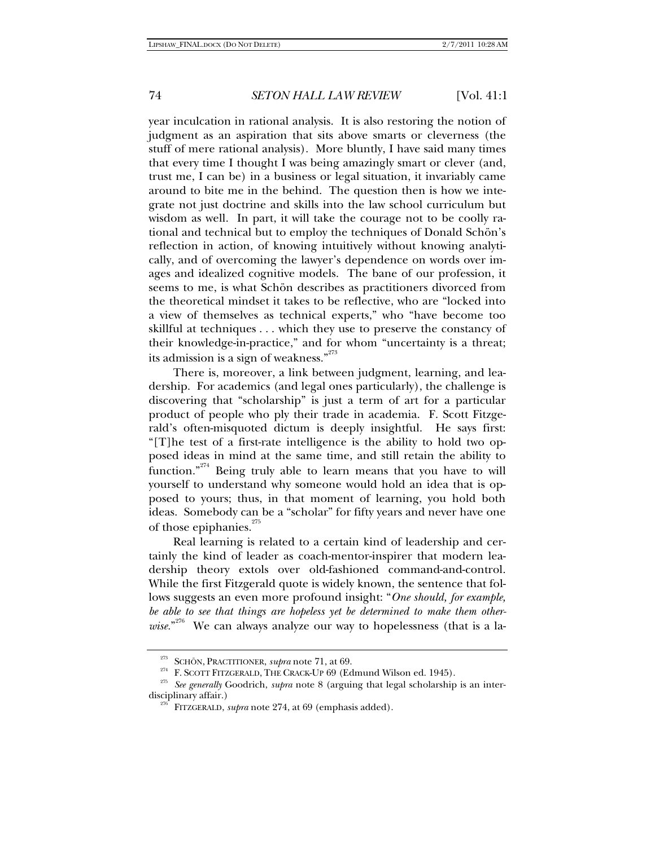# 74 *SETON HALL LAW REVIEW* [Vol. 41:1

year inculcation in rational analysis. It is also restoring the notion of judgment as an aspiration that sits above smarts or cleverness (the stuff of mere rational analysis). More bluntly, I have said many times that every time I thought I was being amazingly smart or clever (and, trust me, I can be) in a business or legal situation, it invariably came around to bite me in the behind. The question then is how we integrate not just doctrine and skills into the law school curriculum but wisdom as well. In part, it will take the courage not to be coolly rational and technical but to employ the techniques of Donald Schön's reflection in action, of knowing intuitively without knowing analytically, and of overcoming the lawyer's dependence on words over images and idealized cognitive models. The bane of our profession, it seems to me, is what Schön describes as practitioners divorced from the theoretical mindset it takes to be reflective, who are "locked into a view of themselves as technical experts," who "have become too skillful at techniques . . . which they use to preserve the constancy of their knowledge-in-practice," and for whom "uncertainty is a threat; its admission is a sign of weakness." $273$ 

There is, moreover, a link between judgment, learning, and leadership. For academics (and legal ones particularly), the challenge is discovering that "scholarship" is just a term of art for a particular product of people who ply their trade in academia. F. Scott Fitzgerald's often-misquoted dictum is deeply insightful. He says first: "[T]he test of a first-rate intelligence is the ability to hold two opposed ideas in mind at the same time, and still retain the ability to function."<sup>274</sup> Being truly able to learn means that you have to will yourself to understand why someone would hold an idea that is opposed to yours; thus, in that moment of learning, you hold both ideas. Somebody can be a "scholar" for fifty years and never have one of those epiphanies.<sup>275</sup>

Real learning is related to a certain kind of leadership and certainly the kind of leader as coach-mentor-inspirer that modern leadership theory extols over old-fashioned command-and-control. While the first Fitzgerald quote is widely known, the sentence that follows suggests an even more profound insight: "*One should, for example, be able to see that things are hopeless yet be determined to make them other*wise."<sup>276</sup> We can always analyze our way to hopelessness (that is a la-

<sup>&</sup>lt;sup>273</sup> SCHÖN, PRACTITIONER, *supra* note 71, at 69.<br><sup>274</sup> F. SCOTT FITZGERALD, THE CRACK-UP 69 (Edmund Wilson ed. 1945).<br><sup>275</sup> See generally Goodrich, *supra* note 8 (arguing that legal scholarship is an interdisciplinary affair.) 276 FITZGERALD, *supra* note 274, at 69 (emphasis added).